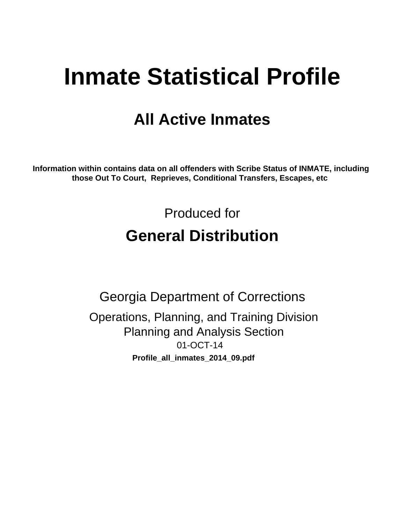# **Inmate Statistical Profile**

# **All Active Inmates**

Information within contains data on all offenders with Scribe Status of INMATE, including those Out To Court, Reprieves, Conditional Transfers, Escapes, etc

> Produced for **General Distribution**

**Georgia Department of Corrections** Operations, Planning, and Training Division **Planning and Analysis Section** 01-OCT-14 Profile\_all\_inmates\_2014\_09.pdf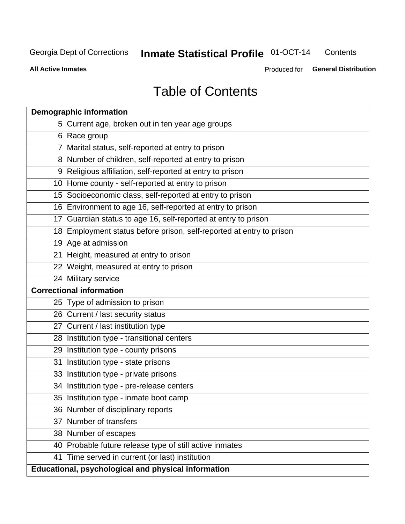#### **Inmate Statistical Profile 01-OCT-14** Contents

**All Active Inmates** 

Produced for General Distribution

# **Table of Contents**

|    | <b>Demographic information</b>                                       |
|----|----------------------------------------------------------------------|
|    | 5 Current age, broken out in ten year age groups                     |
|    | 6 Race group                                                         |
|    | 7 Marital status, self-reported at entry to prison                   |
|    | 8 Number of children, self-reported at entry to prison               |
|    | 9 Religious affiliation, self-reported at entry to prison            |
|    | 10 Home county - self-reported at entry to prison                    |
|    | 15 Socioeconomic class, self-reported at entry to prison             |
|    | 16 Environment to age 16, self-reported at entry to prison           |
|    | 17 Guardian status to age 16, self-reported at entry to prison       |
|    | 18 Employment status before prison, self-reported at entry to prison |
|    | 19 Age at admission                                                  |
|    | 21 Height, measured at entry to prison                               |
|    | 22 Weight, measured at entry to prison                               |
|    | 24 Military service                                                  |
|    | <b>Correctional information</b>                                      |
|    | 25 Type of admission to prison                                       |
|    | 26 Current / last security status                                    |
|    | 27 Current / last institution type                                   |
|    | 28 Institution type - transitional centers                           |
|    | 29 Institution type - county prisons                                 |
| 31 | Institution type - state prisons                                     |
|    | 33 Institution type - private prisons                                |
|    | 34 Institution type - pre-release centers                            |
|    | 35 Institution type - inmate boot camp                               |
|    | 36 Number of disciplinary reports                                    |
|    | 37 Number of transfers                                               |
|    | 38 Number of escapes                                                 |
|    | 40 Probable future release type of still active inmates              |
|    | 41 Time served in current (or last) institution                      |
|    | Educational, psychological and physical information                  |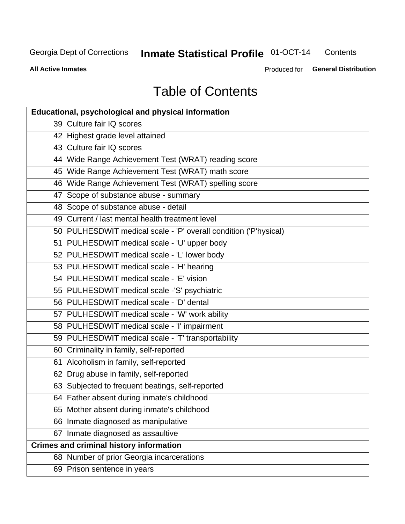#### **Inmate Statistical Profile 01-OCT-14** Contents

**All Active Inmates** 

Produced for General Distribution

# **Table of Contents**

| <b>Educational, psychological and physical information</b>       |
|------------------------------------------------------------------|
| 39 Culture fair IQ scores                                        |
| 42 Highest grade level attained                                  |
| 43 Culture fair IQ scores                                        |
| 44 Wide Range Achievement Test (WRAT) reading score              |
| 45 Wide Range Achievement Test (WRAT) math score                 |
| 46 Wide Range Achievement Test (WRAT) spelling score             |
| 47 Scope of substance abuse - summary                            |
| 48 Scope of substance abuse - detail                             |
| 49 Current / last mental health treatment level                  |
| 50 PULHESDWIT medical scale - 'P' overall condition ('P'hysical) |
| 51 PULHESDWIT medical scale - 'U' upper body                     |
| 52 PULHESDWIT medical scale - 'L' lower body                     |
| 53 PULHESDWIT medical scale - 'H' hearing                        |
| 54 PULHESDWIT medical scale - 'E' vision                         |
| 55 PULHESDWIT medical scale -'S' psychiatric                     |
| 56 PULHESDWIT medical scale - 'D' dental                         |
| 57 PULHESDWIT medical scale - 'W' work ability                   |
| 58 PULHESDWIT medical scale - 'I' impairment                     |
| 59 PULHESDWIT medical scale - 'T' transportability               |
| 60 Criminality in family, self-reported                          |
| 61 Alcoholism in family, self-reported                           |
| 62 Drug abuse in family, self-reported                           |
| 63 Subjected to frequent beatings, self-reported                 |
| 64 Father absent during inmate's childhood                       |
| 65 Mother absent during inmate's childhood                       |
| 66 Inmate diagnosed as manipulative                              |
| 67 Inmate diagnosed as assaultive                                |
| <b>Crimes and criminal history information</b>                   |
| 68 Number of prior Georgia incarcerations                        |
| 69 Prison sentence in years                                      |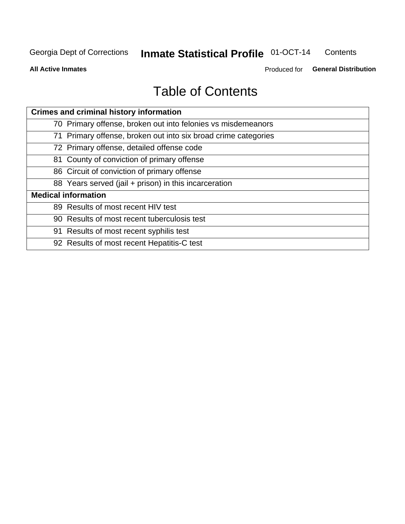#### **Inmate Statistical Profile 01-OCT-14** Contents

**All Active Inmates** 

Produced for General Distribution

# **Table of Contents**

| <b>Crimes and criminal history information</b>                 |
|----------------------------------------------------------------|
| 70 Primary offense, broken out into felonies vs misdemeanors   |
| 71 Primary offense, broken out into six broad crime categories |
| 72 Primary offense, detailed offense code                      |
| 81 County of conviction of primary offense                     |
| 86 Circuit of conviction of primary offense                    |
| 88 Years served (jail + prison) in this incarceration          |
| <b>Medical information</b>                                     |
| 89 Results of most recent HIV test                             |
| 90 Results of most recent tuberculosis test                    |
| 91 Results of most recent syphilis test                        |
| 92 Results of most recent Hepatitis-C test                     |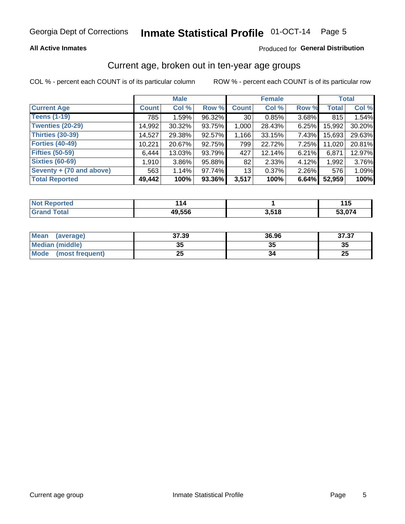### **All Active Inmates**

### Produced for General Distribution

### Current age, broken out in ten-year age groups

COL % - percent each COUNT is of its particular column

|                            |              | <b>Male</b> |        |                 | <b>Female</b> |       |              | <b>Total</b> |
|----------------------------|--------------|-------------|--------|-----------------|---------------|-------|--------------|--------------|
| <b>Current Age</b>         | <b>Count</b> | Col %       | Row %  | <b>Count</b>    | Col %         | Row % | <b>Total</b> | Col %        |
| <b>Teens (1-19)</b>        | 785          | 1.59%       | 96.32% | 30 <sup>1</sup> | 0.85%         | 3.68% | 815          | 1.54%        |
| <b>Twenties (20-29)</b>    | 14,992       | $30.32\%$   | 93.75% | 1,000           | 28.43%        | 6.25% | 15,992       | 30.20%       |
| <b>Thirties (30-39)</b>    | 14,527       | 29.38%      | 92.57% | 1,166           | 33.15%        | 7.43% | 15,693       | 29.63%       |
| <b>Forties (40-49)</b>     | 10,221       | 20.67%      | 92.75% | 799             | 22.72%        | 7.25% | 11,020       | 20.81%       |
| <b>Fifties (50-59)</b>     | 6,444        | 13.03%      | 93.79% | 427             | 12.14%        | 6.21% | 6,871        | 12.97%       |
| <b>Sixties (60-69)</b>     | 1,910        | $3.86\%$    | 95.88% | 82              | 2.33%         | 4.12% | 1,992        | 3.76%        |
| Seventy $+$ (70 and above) | 563          | 1.14%       | 97.74% | 13              | 0.37%         | 2.26% | 576          | 1.09%        |
| <b>Total Reported</b>      | 49,442       | 100%        | 93.36% | 3,517           | 100%          | 6.64% | 52,959       | 100%         |

| <b>Not Repo</b><br>`≏norted i | ıл     |       | .<br>. . J |
|-------------------------------|--------|-------|------------|
| Total                         | 49,556 | 3,518 | :3 074     |

| <b>Mean</b><br>(average) | 37.39     | 36.96 | 37.37    |
|--------------------------|-----------|-------|----------|
| Median (middle)          | -25<br>vu | JJ    | 35       |
| Mode<br>(most frequent)  | つら<br>⊷   |       | つじ<br>ZJ |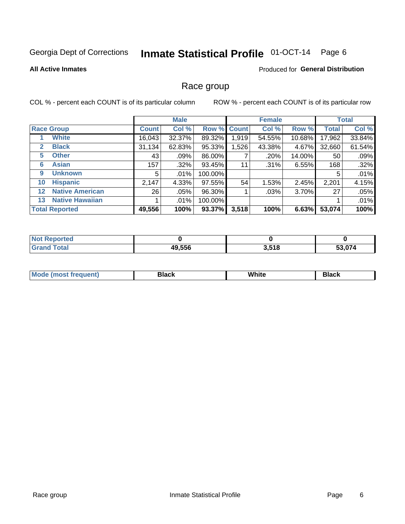#### Inmate Statistical Profile 01-OCT-14 Page 6

### **All Active Inmates**

### **Produced for General Distribution**

### Race group

COL % - percent each COUNT is of its particular column

|              |                        |              | <b>Male</b> |         |             | <b>Female</b> |        |              | <b>Total</b> |
|--------------|------------------------|--------------|-------------|---------|-------------|---------------|--------|--------------|--------------|
|              | <b>Race Group</b>      | <b>Count</b> | Col %       |         | Row % Count | Col %         | Row %  | <b>Total</b> | Col %        |
|              | <b>White</b>           | 16,043       | 32.37%      | 89.32%  | 1,919       | 54.55%        | 10.68% | 17,962       | 33.84%       |
| $\mathbf{2}$ | <b>Black</b>           | 31,134       | 62.83%      | 95.33%  | 1,526       | 43.38%        | 4.67%  | 32,660       | 61.54%       |
| 5.           | <b>Other</b>           | 43           | .09%        | 86.00%  |             | .20%          | 14.00% | 50           | .09%         |
| 6            | <b>Asian</b>           | 157          | .32%        | 93.45%  | 11          | .31%          | 6.55%  | 168          | .32%         |
| 9            | <b>Unknown</b>         | 5            | .01%        | 100.00% |             |               |        | 5            | .01%         |
| 10           | <b>Hispanic</b>        | 2,147        | 4.33%       | 97.55%  | 54          | 1.53%         | 2.45%  | 2,201        | 4.15%        |
| $12 \,$      | <b>Native American</b> | 26           | $.05\%$     | 96.30%  |             | $.03\%$       | 3.70%  | 27           | .05%         |
| 13           | <b>Native Hawaiian</b> |              | $.01\%$     | 100.00% |             |               |        |              | .01%         |
|              | <b>Total Reported</b>  | 49,556       | 100%        | 93.37%  | 3,518       | 100%          | 6.63%  | 53,074       | 100%         |

| <b>Not Reported</b> |        |       |        |
|---------------------|--------|-------|--------|
| <b>Grand Total</b>  | 49,556 | 3,518 | 53,074 |

| Mode (<br>most freduent) | ⊃lack | White | ا تا 1 |
|--------------------------|-------|-------|--------|
|                          |       |       |        |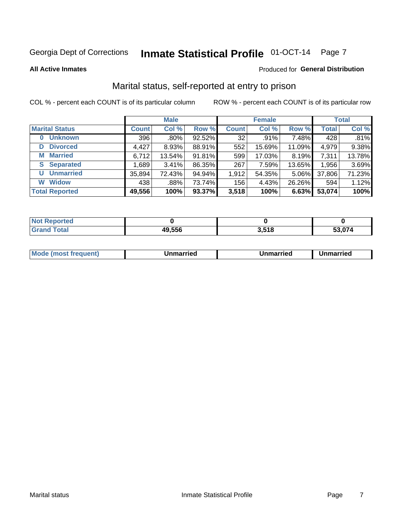# Inmate Statistical Profile 01-OCT-14 Page 7

**All Active Inmates** 

### Produced for General Distribution

### Marital status, self-reported at entry to prison

COL % - percent each COUNT is of its particular column

|                            |              | <b>Male</b> |        |              | <b>Female</b> |        |              | <b>Total</b> |
|----------------------------|--------------|-------------|--------|--------------|---------------|--------|--------------|--------------|
| <b>Marital Status</b>      | <b>Count</b> | Col %       | Row %  | <b>Count</b> | Col %         | Row %  | <b>Total</b> | Col %        |
| <b>Unknown</b><br>$\bf{0}$ | 396          | .80%        | 92.52% | 32           | .91%          | 7.48%  | 428          | .81%         |
| <b>Divorced</b><br>D       | 4,427        | 8.93%       | 88.91% | 552          | 15.69%        | 11.09% | 4,979        | 9.38%        |
| <b>Married</b><br>М        | 6,712        | 13.54%      | 91.81% | 599          | 17.03%        | 8.19%  | 7,311        | 13.78%       |
| <b>Separated</b><br>S      | 1,689        | 3.41%       | 86.35% | 267          | 7.59%         | 13.65% | 1,956        | 3.69%        |
| <b>Unmarried</b><br>U      | 35,894       | 72.43%      | 94.94% | 1,912        | 54.35%        | 5.06%  | 37,806       | 71.23%       |
| <b>Widow</b><br>W          | 438          | .88%        | 73.74% | 156          | 4.43%         | 26.26% | 594          | 1.12%        |
| <b>Total Reported</b>      | 49,556       | 100%        | 93.37% | 3,518        | 100%          | 6.63%  | 53,074       | 100%         |

| <b>Not</b><br><b>Exercised</b> |        |               |        |
|--------------------------------|--------|---------------|--------|
| Гоtal                          | 49.556 | E40<br>טו טוט | 53 074 |

|--|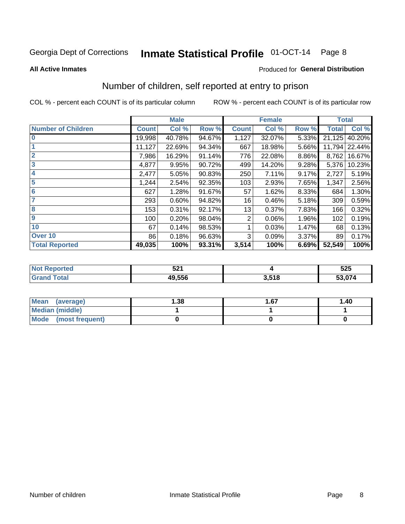# Inmate Statistical Profile 01-OCT-14 Page 8

#### **All Active Inmates**

### **Produced for General Distribution**

### Number of children, self reported at entry to prison

COL % - percent each COUNT is of its particular column

|                           |              | <b>Male</b> |        |              | <b>Female</b> |       | <b>Total</b> |        |
|---------------------------|--------------|-------------|--------|--------------|---------------|-------|--------------|--------|
| <b>Number of Children</b> | <b>Count</b> | Col %       | Row %  | <b>Count</b> | Col %         | Row % | <b>Total</b> | Col %  |
| $\bf{0}$                  | 19,998       | 40.78%      | 94.67% | 1,127        | 32.07%        | 5.33% | 21,125       | 40.20% |
|                           | 11,127       | 22.69%      | 94.34% | 667          | 18.98%        | 5.66% | 11,794       | 22.44% |
| $\overline{2}$            | 7,986        | 16.29%      | 91.14% | 776          | 22.08%        | 8.86% | 8,762        | 16.67% |
| 3                         | 4,877        | 9.95%       | 90.72% | 499          | 14.20%        | 9.28% | 5,376        | 10.23% |
| 4                         | 2,477        | 5.05%       | 90.83% | 250          | 7.11%         | 9.17% | 2,727        | 5.19%  |
| 5                         | 1,244        | 2.54%       | 92.35% | 103          | 2.93%         | 7.65% | 1,347        | 2.56%  |
| $6\phantom{1}6$           | 627          | 1.28%       | 91.67% | 57           | 1.62%         | 8.33% | 684          | 1.30%  |
| 7                         | 293          | 0.60%       | 94.82% | 16           | 0.46%         | 5.18% | 309          | 0.59%  |
| 8                         | 153          | 0.31%       | 92.17% | 13           | 0.37%         | 7.83% | 166          | 0.32%  |
| $\boldsymbol{9}$          | 100          | 0.20%       | 98.04% | 2            | 0.06%         | 1.96% | 102          | 0.19%  |
| 10                        | 67           | 0.14%       | 98.53% |              | 0.03%         | 1.47% | 68           | 0.13%  |
| Over 10                   | 86           | 0.18%       | 96.63% | 3            | 0.09%         | 3.37% | 89           | 0.17%  |
| <b>Total Reported</b>     | 49,035       | 100%        | 93.31% | 3,514        | 100%          | 6.69% | 52,549       | 100%   |

|      | にへん<br>ᅸ         |           | よつよ<br>ບ∠ບ |
|------|------------------|-----------|------------|
| υιαι | 10E <sub>E</sub> | E4C<br>по | ,074<br>99 |

| <b>Mean</b><br>(average) | 1.38 | 1.67 | 1.40 |
|--------------------------|------|------|------|
| Median (middle)          |      |      |      |
| Mode<br>(most frequent)  |      |      |      |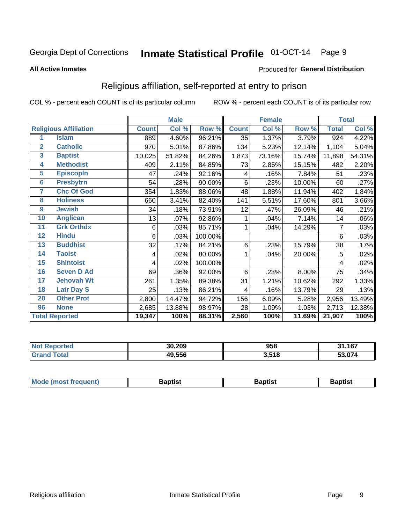#### Inmate Statistical Profile 01-OCT-14 Page 9

#### **All Active Inmates**

#### Produced for General Distribution

### Religious affiliation, self-reported at entry to prison

COL % - percent each COUNT is of its particular column

|                |                              | <b>Male</b>  |        | <b>Female</b> |              |        | <b>Total</b> |              |        |
|----------------|------------------------------|--------------|--------|---------------|--------------|--------|--------------|--------------|--------|
|                | <b>Religious Affiliation</b> | <b>Count</b> | Col %  | Row %         | <b>Count</b> | Col %  | Row %        | <b>Total</b> | Col %  |
| 1              | <b>Islam</b>                 | 889          | 4.60%  | 96.21%        | 35           | 1.37%  | 3.79%        | 924          | 4.22%  |
| $\overline{2}$ | <b>Catholic</b>              | 970          | 5.01%  | 87.86%        | 134          | 5.23%  | 12.14%       | 1,104        | 5.04%  |
| $\mathbf{3}$   | <b>Baptist</b>               | 10,025       | 51.82% | 84.26%        | 1,873        | 73.16% | 15.74%       | 11,898       | 54.31% |
| 4              | <b>Methodist</b>             | 409          | 2.11%  | 84.85%        | 73           | 2.85%  | 15.15%       | 482          | 2.20%  |
| 5              | <b>EpiscopIn</b>             | 47           | .24%   | 92.16%        | 4            | .16%   | 7.84%        | 51           | .23%   |
| $6\phantom{a}$ | <b>Presbytrn</b>             | 54           | .28%   | 90.00%        | 6            | .23%   | 10.00%       | 60           | .27%   |
| 7              | <b>Chc Of God</b>            | 354          | 1.83%  | 88.06%        | 48           | 1.88%  | 11.94%       | 402          | 1.84%  |
| 8              | <b>Holiness</b>              | 660          | 3.41%  | 82.40%        | 141          | 5.51%  | 17.60%       | 801          | 3.66%  |
| 9              | <b>Jewish</b>                | 34           | .18%   | 73.91%        | 12           | .47%   | 26.09%       | 46           | .21%   |
| 10             | <b>Anglican</b>              | 13           | .07%   | 92.86%        |              | .04%   | 7.14%        | 14           | .06%   |
| 11             | <b>Grk Orthdx</b>            | 6            | .03%   | 85.71%        | 1            | .04%   | 14.29%       | 7            | .03%   |
| 12             | <b>Hindu</b>                 | 6            | .03%   | 100.00%       |              |        |              | 6            | .03%   |
| 13             | <b>Buddhist</b>              | 32           | .17%   | 84.21%        | 6            | .23%   | 15.79%       | 38           | .17%   |
| 14             | <b>Taoist</b>                | 4            | .02%   | 80.00%        | 1            | .04%   | 20.00%       | 5            | .02%   |
| 15             | <b>Shintoist</b>             | 4            | .02%   | 100.00%       |              |        |              | 4            | .02%   |
| 16             | <b>Seven D Ad</b>            | 69           | .36%   | 92.00%        | 6            | .23%   | 8.00%        | 75           | .34%   |
| 17             | <b>Jehovah Wt</b>            | 261          | 1.35%  | 89.38%        | 31           | 1.21%  | 10.62%       | 292          | 1.33%  |
| 18             | <b>Latr Day S</b>            | 25           | .13%   | 86.21%        | 4            | .16%   | 13.79%       | 29           | .13%   |
| 20             | <b>Other Prot</b>            | 2,800        | 14.47% | 94.72%        | 156          | 6.09%  | 5.28%        | 2,956        | 13.49% |
| 96             | <b>None</b>                  | 2,685        | 13.88% | 98.97%        | 28           | 1.09%  | 1.03%        | 2,713        | 12.38% |
|                | <b>Total Reported</b>        | 19,347       | 100%   | 88.31%        | 2,560        | 100%   | 11.69%       | 21,907       | 100%   |

| 30.209 | 958   | ,167          |
|--------|-------|---------------|
| 49,556 | 3,518 | <u>גדה ה־</u> |

|  | Mode (most frequent) | 3aptist | 3aptist | Baptist |
|--|----------------------|---------|---------|---------|
|--|----------------------|---------|---------|---------|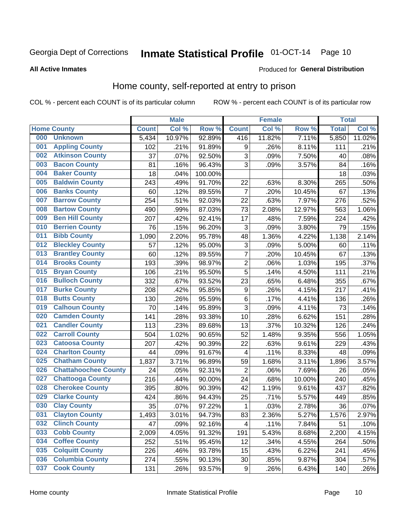# Inmate Statistical Profile 01-OCT-14 Page 10

#### **All Active Inmates**

### Produced for General Distribution

### Home county, self-reported at entry to prison

COL % - percent each COUNT is of its particular column

|     |                             |              | <b>Male</b> |         |                           | <b>Female</b> |        | <b>Total</b> |        |
|-----|-----------------------------|--------------|-------------|---------|---------------------------|---------------|--------|--------------|--------|
|     | <b>Home County</b>          | <b>Count</b> | Col %       | Row %   | <b>Count</b>              | Col %         | Row %  | <b>Total</b> | Col %  |
| 000 | <b>Unknown</b>              | 5,434        | 10.97%      | 92.89%  | 416                       | 11.82%        | 7.11%  | 5,850        | 11.02% |
| 001 | <b>Appling County</b>       | 102          | .21%        | 91.89%  | 9                         | .26%          | 8.11%  | 111          | .21%   |
| 002 | <b>Atkinson County</b>      | 37           | .07%        | 92.50%  | $\ensuremath{\mathsf{3}}$ | .09%          | 7.50%  | 40           | .08%   |
| 003 | <b>Bacon County</b>         | 81           | .16%        | 96.43%  | 3                         | .09%          | 3.57%  | 84           | .16%   |
| 004 | <b>Baker County</b>         | 18           | .04%        | 100.00% |                           |               |        | 18           | .03%   |
| 005 | <b>Baldwin County</b>       | 243          | .49%        | 91.70%  | 22                        | .63%          | 8.30%  | 265          | .50%   |
| 006 | <b>Banks County</b>         | 60           | .12%        | 89.55%  | $\overline{7}$            | .20%          | 10.45% | 67           | .13%   |
| 007 | <b>Barrow County</b>        | 254          | .51%        | 92.03%  | 22                        | .63%          | 7.97%  | 276          | .52%   |
| 008 | <b>Bartow County</b>        | 490          | .99%        | 87.03%  | 73                        | 2.08%         | 12.97% | 563          | 1.06%  |
| 009 | <b>Ben Hill County</b>      | 207          | .42%        | 92.41%  | 17                        | .48%          | 7.59%  | 224          | .42%   |
| 010 | <b>Berrien County</b>       | 76           | .15%        | 96.20%  | 3                         | .09%          | 3.80%  | 79           | .15%   |
| 011 | <b>Bibb County</b>          | 1,090        | 2.20%       | 95.78%  | 48                        | 1.36%         | 4.22%  | 1,138        | 2.14%  |
| 012 | <b>Bleckley County</b>      | 57           | .12%        | 95.00%  | $\ensuremath{\mathsf{3}}$ | .09%          | 5.00%  | 60           | .11%   |
| 013 | <b>Brantley County</b>      | 60           | .12%        | 89.55%  | $\overline{7}$            | .20%          | 10.45% | 67           | .13%   |
| 014 | <b>Brooks County</b>        | 193          | .39%        | 98.97%  | $\overline{2}$            | .06%          | 1.03%  | 195          | .37%   |
| 015 | <b>Bryan County</b>         | 106          | .21%        | 95.50%  | 5                         | .14%          | 4.50%  | 111          | .21%   |
| 016 | <b>Bulloch County</b>       | 332          | .67%        | 93.52%  | 23                        | .65%          | 6.48%  | 355          | .67%   |
| 017 | <b>Burke County</b>         | 208          | .42%        | 95.85%  | $\boldsymbol{9}$          | .26%          | 4.15%  | 217          | .41%   |
| 018 | <b>Butts County</b>         | 130          | .26%        | 95.59%  | $\,6$                     | .17%          | 4.41%  | 136          | .26%   |
| 019 | <b>Calhoun County</b>       | 70           | .14%        | 95.89%  | 3                         | .09%          | 4.11%  | 73           | .14%   |
| 020 | <b>Camden County</b>        | 141          | .28%        | 93.38%  | 10                        | .28%          | 6.62%  | 151          | .28%   |
| 021 | <b>Candler County</b>       | 113          | .23%        | 89.68%  | 13                        | .37%          | 10.32% | 126          | .24%   |
| 022 | <b>Carroll County</b>       | 504          | 1.02%       | 90.65%  | 52                        | 1.48%         | 9.35%  | 556          | 1.05%  |
| 023 | <b>Catoosa County</b>       | 207          | .42%        | 90.39%  | 22                        | .63%          | 9.61%  | 229          | .43%   |
| 024 | <b>Charlton County</b>      | 44           | .09%        | 91.67%  | 4                         | .11%          | 8.33%  | 48           | .09%   |
| 025 | <b>Chatham County</b>       | 1,837        | 3.71%       | 96.89%  | 59                        | 1.68%         | 3.11%  | 1,896        | 3.57%  |
| 026 | <b>Chattahoochee County</b> | 24           | .05%        | 92.31%  | $\overline{c}$            | .06%          | 7.69%  | 26           | .05%   |
| 027 | <b>Chattooga County</b>     | 216          | .44%        | 90.00%  | 24                        | .68%          | 10.00% | 240          | .45%   |
| 028 | <b>Cherokee County</b>      | 395          | .80%        | 90.39%  | 42                        | 1.19%         | 9.61%  | 437          | .82%   |
| 029 | <b>Clarke County</b>        | 424          | .86%        | 94.43%  | 25                        | .71%          | 5.57%  | 449          | .85%   |
| 030 | <b>Clay County</b>          | 35           | .07%        | 97.22%  | $\mathbf{1}$              | .03%          | 2.78%  | 36           | .07%   |
| 031 | <b>Clayton County</b>       | 1,493        | 3.01%       | 94.73%  | 83                        | 2.36%         | 5.27%  | 1,576        | 2.97%  |
| 032 | <b>Clinch County</b>        | 47           | .09%        | 92.16%  | 4                         | .11%          | 7.84%  | 51           | .10%   |
| 033 | <b>Cobb County</b>          | 2,009        | 4.05%       | 91.32%  | 191                       | 5.43%         | 8.68%  | 2,200        | 4.15%  |
| 034 | <b>Coffee County</b>        | 252          | .51%        | 95.45%  | 12                        | .34%          | 4.55%  | 264          | .50%   |
| 035 | <b>Colquitt County</b>      | 226          | .46%        | 93.78%  | 15                        | .43%          | 6.22%  | 241          | .45%   |
| 036 | <b>Columbia County</b>      | 274          | .55%        | 90.13%  | 30                        | .85%          | 9.87%  | 304          | .57%   |
| 037 | <b>Cook County</b>          | 131          | .26%        | 93.57%  | $\boldsymbol{9}$          | .26%          | 6.43%  | 140          | .26%   |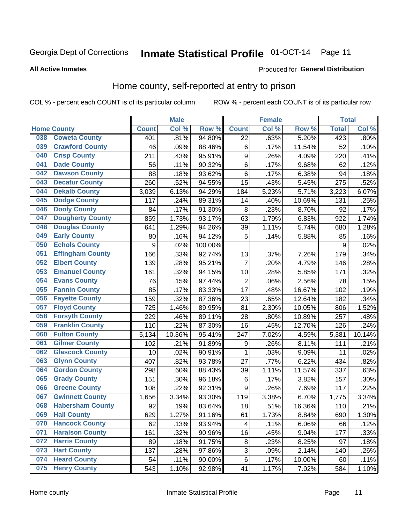# Inmate Statistical Profile 01-OCT-14 Page 11

**All Active Inmates** 

#### Produced for General Distribution

### Home county, self-reported at entry to prison

COL % - percent each COUNT is of its particular column

|     |                         |                  | <b>Male</b> |         |                  | <b>Female</b> |        | <b>Total</b> |        |
|-----|-------------------------|------------------|-------------|---------|------------------|---------------|--------|--------------|--------|
|     | <b>Home County</b>      | <b>Count</b>     | Col %       | Row %   | <b>Count</b>     | Col %         | Row %  | <b>Total</b> | Col %  |
| 038 | <b>Coweta County</b>    | 401              | .81%        | 94.80%  | 22               | .63%          | 5.20%  | 423          | .80%   |
| 039 | <b>Crawford County</b>  | 46               | .09%        | 88.46%  | $\,6$            | .17%          | 11.54% | 52           | .10%   |
| 040 | <b>Crisp County</b>     | 211              | .43%        | 95.91%  | $\boldsymbol{9}$ | .26%          | 4.09%  | 220          | .41%   |
| 041 | <b>Dade County</b>      | 56               | .11%        | 90.32%  | $\,6$            | .17%          | 9.68%  | 62           | .12%   |
| 042 | <b>Dawson County</b>    | 88               | .18%        | 93.62%  | $\,6$            | .17%          | 6.38%  | 94           | .18%   |
| 043 | <b>Decatur County</b>   | 260              | .52%        | 94.55%  | 15               | .43%          | 5.45%  | 275          | .52%   |
| 044 | <b>Dekalb County</b>    | 3,039            | 6.13%       | 94.29%  | 184              | 5.23%         | 5.71%  | 3,223        | 6.07%  |
| 045 | <b>Dodge County</b>     | 117              | .24%        | 89.31%  | 14               | .40%          | 10.69% | 131          | .25%   |
| 046 | <b>Dooly County</b>     | 84               | .17%        | 91.30%  | 8                | .23%          | 8.70%  | 92           | .17%   |
| 047 | <b>Dougherty County</b> | 859              | 1.73%       | 93.17%  | 63               | 1.79%         | 6.83%  | 922          | 1.74%  |
| 048 | <b>Douglas County</b>   | 641              | 1.29%       | 94.26%  | 39               | 1.11%         | 5.74%  | 680          | 1.28%  |
| 049 | <b>Early County</b>     | 80               | .16%        | 94.12%  | 5                | .14%          | 5.88%  | 85           | .16%   |
| 050 | <b>Echols County</b>    | $\boldsymbol{9}$ | .02%        | 100.00% |                  |               |        | 9            | .02%   |
| 051 | <b>Effingham County</b> | 166              | .33%        | 92.74%  | 13               | .37%          | 7.26%  | 179          | .34%   |
| 052 | <b>Elbert County</b>    | 139              | .28%        | 95.21%  | $\overline{7}$   | .20%          | 4.79%  | 146          | .28%   |
| 053 | <b>Emanuel County</b>   | 161              | .32%        | 94.15%  | 10               | .28%          | 5.85%  | 171          | .32%   |
| 054 | <b>Evans County</b>     | 76               | .15%        | 97.44%  | $\overline{c}$   | .06%          | 2.56%  | 78           | .15%   |
| 055 | <b>Fannin County</b>    | 85               | .17%        | 83.33%  | 17               | .48%          | 16.67% | 102          | .19%   |
| 056 | <b>Fayette County</b>   | 159              | .32%        | 87.36%  | 23               | .65%          | 12.64% | 182          | .34%   |
| 057 | <b>Floyd County</b>     | 725              | 1.46%       | 89.95%  | 81               | 2.30%         | 10.05% | 806          | 1.52%  |
| 058 | <b>Forsyth County</b>   | 229              | .46%        | 89.11%  | 28               | .80%          | 10.89% | 257          | .48%   |
| 059 | <b>Franklin County</b>  | 110              | .22%        | 87.30%  | 16               | .45%          | 12.70% | 126          | .24%   |
| 060 | <b>Fulton County</b>    | 5,134            | 10.36%      | 95.41%  | 247              | 7.02%         | 4.59%  | 5,381        | 10.14% |
| 061 | <b>Gilmer County</b>    | 102              | .21%        | 91.89%  | 9                | .26%          | 8.11%  | 111          | .21%   |
| 062 | <b>Glascock County</b>  | 10               | .02%        | 90.91%  | 1                | .03%          | 9.09%  | 11           | .02%   |
| 063 | <b>Glynn County</b>     | 407              | .82%        | 93.78%  | 27               | .77%          | 6.22%  | 434          | .82%   |
| 064 | <b>Gordon County</b>    | 298              | .60%        | 88.43%  | 39               | 1.11%         | 11.57% | 337          | .63%   |
| 065 | <b>Grady County</b>     | 151              | .30%        | 96.18%  | $\,6$            | .17%          | 3.82%  | 157          | .30%   |
| 066 | <b>Greene County</b>    | 108              | .22%        | 92.31%  | 9                | .26%          | 7.69%  | 117          | .22%   |
| 067 | <b>Gwinnett County</b>  | 1,656            | 3.34%       | 93.30%  | 119              | 3.38%         | 6.70%  | 1,775        | 3.34%  |
| 068 | <b>Habersham County</b> | 92               | .19%        | 83.64%  | 18               | .51%          | 16.36% | 110          | .21%   |
| 069 | <b>Hall County</b>      | 629              | 1.27%       | 91.16%  | 61               | 1.73%         | 8.84%  | 690          | 1.30%  |
| 070 | <b>Hancock County</b>   | 62               | .13%        | 93.94%  | $\overline{4}$   | .11%          | 6.06%  | 66           | .12%   |
| 071 | <b>Haralson County</b>  | 161              | .32%        | 90.96%  | 16               | .45%          | 9.04%  | 177          | .33%   |
| 072 | <b>Harris County</b>    | 89               | .18%        | 91.75%  | 8                | .23%          | 8.25%  | 97           | .18%   |
| 073 | <b>Hart County</b>      | 137              | .28%        | 97.86%  | 3                | .09%          | 2.14%  | 140          | .26%   |
| 074 | <b>Heard County</b>     | 54               | .11%        | 90.00%  | $\,6$            | .17%          | 10.00% | 60           | .11%   |
| 075 | <b>Henry County</b>     | 543              | 1.10%       | 92.98%  | 41               | 1.17%         | 7.02%  | 584          | 1.10%  |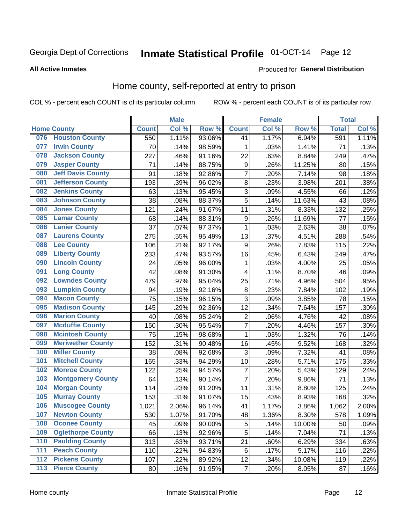# Inmate Statistical Profile 01-OCT-14 Page 12

#### **All Active Inmates**

#### Produced for General Distribution

### Home county, self-reported at entry to prison

COL % - percent each COUNT is of its particular column

|                  |                          |              | <b>Male</b> |        |                | <b>Female</b> |        | <b>Total</b> |       |
|------------------|--------------------------|--------------|-------------|--------|----------------|---------------|--------|--------------|-------|
|                  | <b>Home County</b>       | <b>Count</b> | Col %       | Row %  | <b>Count</b>   | Col %         | Row %  | <b>Total</b> | Col % |
| 076              | <b>Houston County</b>    | 550          | 1.11%       | 93.06% | 41             | 1.17%         | 6.94%  | 591          | 1.11% |
| 077              | <b>Irwin County</b>      | 70           | .14%        | 98.59% | $\mathbf{1}$   | .03%          | 1.41%  | 71           | .13%  |
| 078              | <b>Jackson County</b>    | 227          | .46%        | 91.16% | 22             | .63%          | 8.84%  | 249          | .47%  |
| 079              | <b>Jasper County</b>     | 71           | .14%        | 88.75% | 9              | .26%          | 11.25% | 80           | .15%  |
| 080              | <b>Jeff Davis County</b> | 91           | .18%        | 92.86% | $\overline{7}$ | .20%          | 7.14%  | 98           | .18%  |
| 081              | <b>Jefferson County</b>  | 193          | .39%        | 96.02% | 8              | .23%          | 3.98%  | 201          | .38%  |
| 082              | <b>Jenkins County</b>    | 63           | .13%        | 95.45% | 3              | .09%          | 4.55%  | 66           | .12%  |
| 083              | <b>Johnson County</b>    | 38           | .08%        | 88.37% | 5              | .14%          | 11.63% | 43           | .08%  |
| 084              | <b>Jones County</b>      | 121          | .24%        | 91.67% | 11             | .31%          | 8.33%  | 132          | .25%  |
| 085              | <b>Lamar County</b>      | 68           | .14%        | 88.31% | 9              | .26%          | 11.69% | 77           | .15%  |
| 086              | <b>Lanier County</b>     | 37           | .07%        | 97.37% | $\mathbf{1}$   | .03%          | 2.63%  | 38           | .07%  |
| 087              | <b>Laurens County</b>    | 275          | .55%        | 95.49% | 13             | .37%          | 4.51%  | 288          | .54%  |
| 088              | <b>Lee County</b>        | 106          | .21%        | 92.17% | 9              | .26%          | 7.83%  | 115          | .22%  |
| 089              | <b>Liberty County</b>    | 233          | .47%        | 93.57% | 16             | .45%          | 6.43%  | 249          | .47%  |
| 090              | <b>Lincoln County</b>    | 24           | .05%        | 96.00% | 1              | .03%          | 4.00%  | 25           | .05%  |
| 091              | <b>Long County</b>       | 42           | .08%        | 91.30% | 4              | .11%          | 8.70%  | 46           | .09%  |
| 092              | <b>Lowndes County</b>    | 479          | .97%        | 95.04% | 25             | .71%          | 4.96%  | 504          | .95%  |
| 093              | <b>Lumpkin County</b>    | 94           | .19%        | 92.16% | 8              | .23%          | 7.84%  | 102          | .19%  |
| 094              | <b>Macon County</b>      | 75           | .15%        | 96.15% | 3              | .09%          | 3.85%  | 78           | .15%  |
| 095              | <b>Madison County</b>    | 145          | .29%        | 92.36% | 12             | .34%          | 7.64%  | 157          | .30%  |
| 096              | <b>Marion County</b>     | 40           | .08%        | 95.24% | $\overline{c}$ | .06%          | 4.76%  | 42           | .08%  |
| 097              | <b>Mcduffie County</b>   | 150          | .30%        | 95.54% | $\overline{7}$ | .20%          | 4.46%  | 157          | .30%  |
| 098              | <b>Mcintosh County</b>   | 75           | .15%        | 98.68% | $\mathbf{1}$   | .03%          | 1.32%  | 76           | .14%  |
| 099              | <b>Meriwether County</b> | 152          | .31%        | 90.48% | 16             | .45%          | 9.52%  | 168          | .32%  |
| 100              | <b>Miller County</b>     | 38           | .08%        | 92.68% | 3              | .09%          | 7.32%  | 41           | .08%  |
| 101              | <b>Mitchell County</b>   | 165          | .33%        | 94.29% | 10             | .28%          | 5.71%  | 175          | .33%  |
| 102              | <b>Monroe County</b>     | 122          | .25%        | 94.57% | 7              | .20%          | 5.43%  | 129          | .24%  |
| 103              | <b>Montgomery County</b> | 64           | .13%        | 90.14% | $\overline{7}$ | .20%          | 9.86%  | 71           | .13%  |
| 104              | <b>Morgan County</b>     | 114          | .23%        | 91.20% | 11             | .31%          | 8.80%  | 125          | .24%  |
| 105              | <b>Murray County</b>     | 153          | .31%        | 91.07% | 15             | .43%          | 8.93%  | 168          | .32%  |
| 106              | <b>Muscogee County</b>   | 1,021        | 2.06%       | 96.14% | 41             | 1.17%         | 3.86%  | 1,062        | 2.00% |
| 107              | <b>Newton County</b>     | 530          | 1.07%       | 91.70% | 48             | 1.36%         | 8.30%  | 578          | 1.09% |
| 108              | <b>Oconee County</b>     | 45           | .09%        | 90.00% | 5              | .14%          | 10.00% | 50           | .09%  |
| 109              | <b>Oglethorpe County</b> | 66           | .13%        | 92.96% | 5              | .14%          | 7.04%  | 71           | .13%  |
| 110              | <b>Paulding County</b>   | 313          | .63%        | 93.71% | 21             | .60%          | 6.29%  | 334          | .63%  |
| 111              | <b>Peach County</b>      | 110          | .22%        | 94.83% | $\,6$          | .17%          | 5.17%  | 116          | .22%  |
| $\overline{112}$ | <b>Pickens County</b>    | 107          | .22%        | 89.92% | 12             | .34%          | 10.08% | 119          | .22%  |
| 113              | <b>Pierce County</b>     | 80           | .16%        | 91.95% | $\overline{7}$ | .20%          | 8.05%  | 87           | .16%  |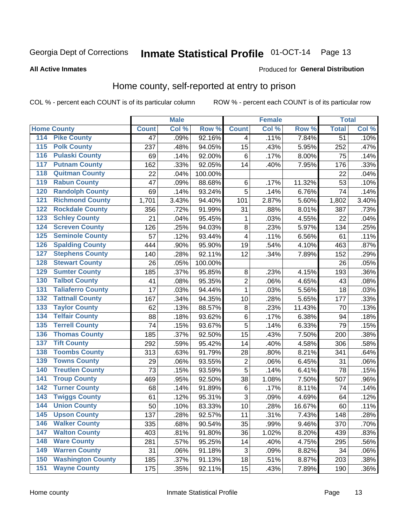# Inmate Statistical Profile 01-OCT-14 Page 13

### **All Active Inmates**

### Produced for General Distribution

### Home county, self-reported at entry to prison

COL % - percent each COUNT is of its particular column

|                  |                          |              | <b>Male</b> |                  |                | <b>Female</b> |        | <b>Total</b>    |         |
|------------------|--------------------------|--------------|-------------|------------------|----------------|---------------|--------|-----------------|---------|
|                  | <b>Home County</b>       | <b>Count</b> | Col %       | Row <sup>%</sup> | <b>Count</b>   | Col %         | Row %  | <b>Total</b>    | Col %   |
| 114              | <b>Pike County</b>       | 47           | .09%        | 92.16%           | 4              | .11%          | 7.84%  | $\overline{51}$ | .10%    |
| 115              | <b>Polk County</b>       | 237          | .48%        | 94.05%           | 15             | .43%          | 5.95%  | 252             | .47%    |
| 116              | <b>Pulaski County</b>    | 69           | .14%        | 92.00%           | $\,6$          | .17%          | 8.00%  | 75              | .14%    |
| 117              | <b>Putnam County</b>     | 162          | .33%        | 92.05%           | 14             | .40%          | 7.95%  | 176             | .33%    |
| 118              | <b>Quitman County</b>    | 22           | .04%        | 100.00%          |                |               |        | 22              | .04%    |
| 119              | <b>Rabun County</b>      | 47           | .09%        | 88.68%           | $\,6$          | .17%          | 11.32% | 53              | .10%    |
| 120              | <b>Randolph County</b>   | 69           | .14%        | 93.24%           | 5              | .14%          | 6.76%  | 74              | .14%    |
| 121              | <b>Richmond County</b>   | 1,701        | 3.43%       | 94.40%           | 101            | 2.87%         | 5.60%  | 1,802           | 3.40%   |
| 122              | <b>Rockdale County</b>   | 356          | .72%        | 91.99%           | 31             | .88%          | 8.01%  | 387             | .73%    |
| 123              | <b>Schley County</b>     | 21           | .04%        | 95.45%           | $\mathbf{1}$   | .03%          | 4.55%  | 22              | .04%    |
| 124              | <b>Screven County</b>    | 126          | .25%        | 94.03%           | $\bf 8$        | .23%          | 5.97%  | 134             | .25%    |
| 125              | <b>Seminole County</b>   | 57           | .12%        | 93.44%           | 4              | .11%          | 6.56%  | 61              | .11%    |
| 126              | <b>Spalding County</b>   | 444          | .90%        | 95.90%           | 19             | .54%          | 4.10%  | 463             | .87%    |
| 127              | <b>Stephens County</b>   | 140          | .28%        | 92.11%           | 12             | .34%          | 7.89%  | 152             | .29%    |
| 128              | <b>Stewart County</b>    | 26           | .05%        | 100.00%          |                |               |        | 26              | .05%    |
| 129              | <b>Sumter County</b>     | 185          | .37%        | 95.85%           | 8              | .23%          | 4.15%  | 193             | .36%    |
| 130              | <b>Talbot County</b>     | 41           | .08%        | 95.35%           | $\overline{2}$ | .06%          | 4.65%  | 43              | .08%    |
| 131              | <b>Taliaferro County</b> | 17           | .03%        | 94.44%           | $\mathbf{1}$   | .03%          | 5.56%  | 18              | .03%    |
| 132              | <b>Tattnall County</b>   | 167          | .34%        | 94.35%           | 10             | .28%          | 5.65%  | 177             | .33%    |
| 133              | <b>Taylor County</b>     | 62           | .13%        | 88.57%           | 8              | .23%          | 11.43% | 70              | .13%    |
| 134              | <b>Telfair County</b>    | 88           | .18%        | 93.62%           | $\,6$          | .17%          | 6.38%  | 94              | .18%    |
| $\overline{135}$ | <b>Terrell County</b>    | 74           | .15%        | 93.67%           | 5              | .14%          | 6.33%  | 79              | .15%    |
| 136              | <b>Thomas County</b>     | 185          | .37%        | 92.50%           | 15             | .43%          | 7.50%  | 200             | .38%    |
| 137              | <b>Tift County</b>       | 292          | .59%        | 95.42%           | 14             | .40%          | 4.58%  | 306             | .58%    |
| 138              | <b>Toombs County</b>     | 313          | .63%        | 91.79%           | 28             | .80%          | 8.21%  | 341             | .64%    |
| 139              | <b>Towns County</b>      | 29           | .06%        | 93.55%           | $\overline{2}$ | .06%          | 6.45%  | 31              | .06%    |
| 140              | <b>Treutlen County</b>   | 73           | .15%        | 93.59%           | 5              | .14%          | 6.41%  | 78              | .15%    |
| 141              | <b>Troup County</b>      | 469          | .95%        | 92.50%           | 38             | 1.08%         | 7.50%  | 507             | .96%    |
| $\overline{142}$ | <b>Turner County</b>     | 68           | .14%        | 91.89%           | $\,6$          | .17%          | 8.11%  | 74              | .14%    |
| 143              | <b>Twiggs County</b>     | 61           | .12%        | 95.31%           | 3              | .09%          | 4.69%  | 64              | .12%    |
| 144              | <b>Union County</b>      | 50           | .10%        | 83.33%           | 10             | .28%          | 16.67% | 60              | .11%    |
| 145              | <b>Upson County</b>      | 137          | .28%        | 92.57%           | 11             | .31%          | 7.43%  | 148             | .28%    |
| 146              | <b>Walker County</b>     | 335          | .68%        | 90.54%           | 35             | .99%          | 9.46%  | 370             | .70%    |
| 147              | <b>Walton County</b>     | 403          | .81%        | 91.80%           | 36             | 1.02%         | 8.20%  | 439             | .83%    |
| 148              | <b>Ware County</b>       | 281          | .57%        | 95.25%           | 14             | .40%          | 4.75%  | 295             | .56%    |
| 149              | <b>Warren County</b>     | 31           | .06%        | 91.18%           | 3              | .09%          | 8.82%  | 34              | .06%    |
| 150              | <b>Washington County</b> | 185          | .37%        | 91.13%           | 18             | .51%          | 8.87%  | 203             | .38%    |
| 151              | <b>Wayne County</b>      | 175          | .35%        | 92.11%           | 15             | .43%          | 7.89%  | 190             | $.36\%$ |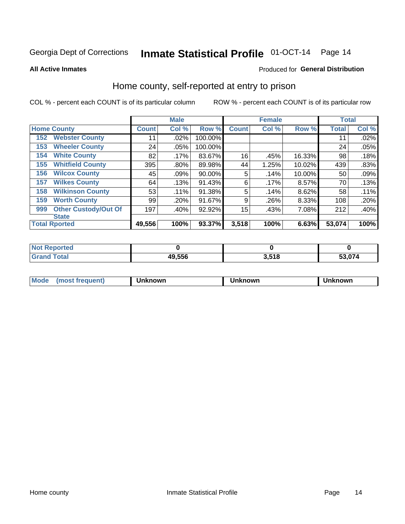# Inmate Statistical Profile 01-OCT-14 Page 14

**All Active Inmates** 

### Produced for General Distribution

### Home county, self-reported at entry to prison

COL % - percent each COUNT is of its particular column

|     |                             |              | <b>Male</b> |         |                 | <b>Female</b> |           | <b>Total</b> |       |
|-----|-----------------------------|--------------|-------------|---------|-----------------|---------------|-----------|--------------|-------|
|     | <b>Home County</b>          | <b>Count</b> | Col %       | Row %   | <b>Count</b>    | Col %         | Row %     | <b>Total</b> | Col % |
| 152 | <b>Webster County</b>       | 11           | .02%        | 100.00% |                 |               |           | 11           | .02%  |
| 153 | <b>Wheeler County</b>       | 24           | $.05\%$     | 100.00% |                 |               |           | 24           | .05%  |
| 154 | <b>White County</b>         | 82           | $.17\%$     | 83.67%  | 16              | .45%          | 16.33%    | 98           | .18%  |
| 155 | <b>Whitfield County</b>     | 395          | $.80\%$     | 89.98%  | 44              | 1.25%         | 10.02%    | 439          | .83%  |
| 156 | <b>Wilcox County</b>        | 45           | .09%        | 90.00%  | 5               | .14%          | $10.00\%$ | 50           | .09%  |
| 157 | <b>Wilkes County</b>        | 64           | .13%        | 91.43%  | 6               | .17%          | 8.57%     | 70           | .13%  |
| 158 | <b>Wilkinson County</b>     | 53           | $.11\%$     | 91.38%  | 5               | .14%          | 8.62%     | 58           | .11%  |
| 159 | <b>Worth County</b>         | 99           | .20%        | 91.67%  | 9               | .26%          | 8.33%     | 108          | .20%  |
| 999 | <b>Other Custody/Out Of</b> | 197          | .40%        | 92.92%  | 15 <sub>1</sub> | .43%          | 7.08%     | 212          | .40%  |
|     | <b>State</b>                |              |             |         |                 |               |           |              |       |
|     | <b>Total Rported</b>        | 49,556       | 100%        | 93.37%  | 3,518           | 100%          | 6.63%     | 53,074       | 100%  |

| Reported<br><b>NOT</b> |        |                 |        |
|------------------------|--------|-----------------|--------|
| <b>c</b> otal          | 49,556 | 2E40<br>ם ו כ.כ | 53,074 |

| Mode<br><b>Tequent)</b><br>ns | nown | mown | เทown |
|-------------------------------|------|------|-------|
|                               |      |      |       |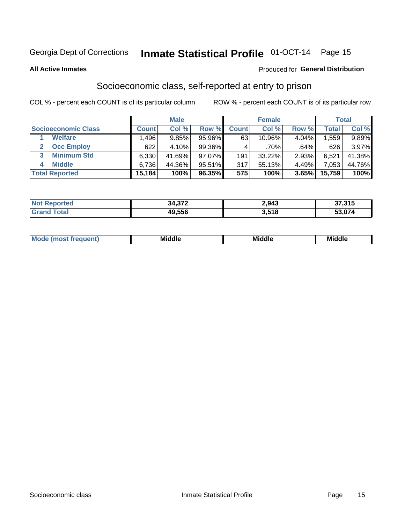# Inmate Statistical Profile 01-OCT-14 Page 15

#### **All Active Inmates**

### **Produced for General Distribution**

### Socioeconomic class, self-reported at entry to prison

COL % - percent each COUNT is of its particular column

|                         |              | <b>Male</b> |           |              | <b>Female</b> |       |        | <b>Total</b> |
|-------------------------|--------------|-------------|-----------|--------------|---------------|-------|--------|--------------|
| Socioeconomic Class     | <b>Count</b> | Col %       | Row %     | <b>Count</b> | Col %         | Row % | Total  | Col %        |
| <b>Welfare</b>          | .496         | 9.85%       | 95.96%    | 63           | 10.96%        | 4.04% | 559. ا | $9.89\%$     |
| <b>Occ Employ</b>       | 622          | 4.10%       | 99.36%    |              | .70%          | .64%  | 626    | 3.97%        |
| <b>Minimum Std</b><br>3 | 6,330        | 41.69%      | $97.07\%$ | 191          | $33.22\%$     | 2.93% | 6,521  | 41.38%       |
| <b>Middle</b><br>4      | 6,736        | 44.36%      | 95.51%    | 317          | 55.13%        | 4.49% | 7,053  | 44.76%       |
| <b>Total Reported</b>   | 15,184       | 100%        | 96.35%    | 575          | 100%          | 3.65% | 15,759 | 100%         |

| Reported<br>NOT | 34,372 | 2,943 | 37,315 |
|-----------------|--------|-------|--------|
| T <sub>1</sub>  | 49,556 | 3,518 | 53,074 |

|  | M. | <b>Middle</b><br>____ | <b>Middle</b><br>____ | ---<br>____ |
|--|----|-----------------------|-----------------------|-------------|
|--|----|-----------------------|-----------------------|-------------|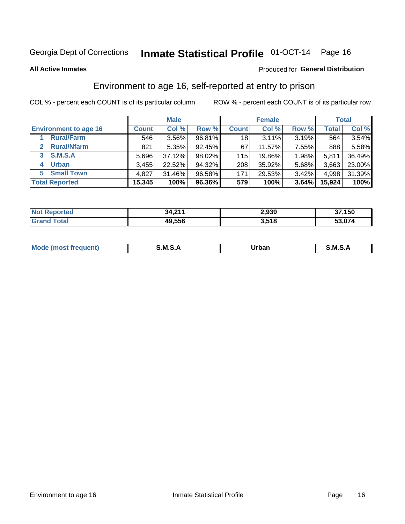# Inmate Statistical Profile 01-OCT-14 Page 16

**All Active Inmates** 

### **Produced for General Distribution**

### Environment to age 16, self-reported at entry to prison

COL % - percent each COUNT is of its particular column

|                                   |              | <b>Male</b> |        |              | <b>Female</b> |       |        | <b>Total</b> |
|-----------------------------------|--------------|-------------|--------|--------------|---------------|-------|--------|--------------|
| <b>Environment to age 16</b>      | <b>Count</b> | Col %       | Row %  | <b>Count</b> | Col %         | Row % | Total  | Col %        |
| <b>Rural/Farm</b>                 | 546          | 3.56%       | 96.81% | 18           | 3.11%         | 3.19% | 564    | 3.54%        |
| <b>Rural/Nfarm</b><br>$2^{\circ}$ | 821          | 5.35%       | 92.45% | 67           | 11.57%        | 7.55% | 888    | 5.58%        |
| <b>S.M.S.A</b><br>3               | 5,696        | 37.12%      | 98.02% | 115          | 19.86%        | 1.98% | 5,811  | 36.49%       |
| <b>Urban</b><br>4                 | 3,455        | 22.52%      | 94.32% | 208          | 35.92%        | 5.68% | 3,663  | 23.00%       |
| <b>Small Town</b><br>5.           | 4,827        | 31.46%      | 96.58% | 171          | 29.53%        | 3.42% | 4,998  | 31.39%       |
| <b>Total Reported</b>             | 15,345       | 100%        | 96.36% | 579          | 100%          | 3.64% | 15,924 | 100%         |

| <b>Not Reported</b> | 34,211 | 2,939 | 37,150 |
|---------------------|--------|-------|--------|
| <b>Grand Total</b>  | 49,556 | 3,518 | 53,074 |

| Mo | M<br>______ | Irhan<br>rva<br>_____ | M<br>______ |
|----|-------------|-----------------------|-------------|
|    |             |                       |             |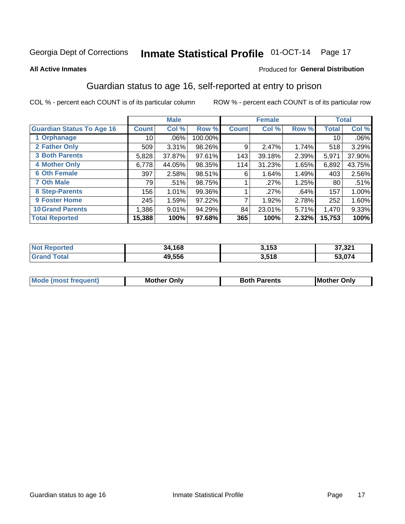# Inmate Statistical Profile 01-OCT-14 Page 17

#### **All Active Inmates**

#### Produced for General Distribution

### Guardian status to age 16, self-reported at entry to prison

COL % - percent each COUNT is of its particular column

|                                  |                 | <b>Male</b> |         |              | <b>Female</b> |       |        | <b>Total</b> |
|----------------------------------|-----------------|-------------|---------|--------------|---------------|-------|--------|--------------|
| <b>Guardian Status To Age 16</b> | <b>Count</b>    | Col %       | Row %   | <b>Count</b> | Col %         | Row % | Total  | Col %        |
| 1 Orphanage                      | 10 <sup>1</sup> | $.06\%$     | 100.00% |              |               |       | 10     | .06%         |
| 2 Father Only                    | 509             | 3.31%       | 98.26%  | 9            | 2.47%         | 1.74% | 518    | 3.29%        |
| <b>3 Both Parents</b>            | 5,828           | 37.87%      | 97.61%  | 143          | 39.18%        | 2.39% | 5,971  | 37.90%       |
| <b>4 Mother Only</b>             | 6,778           | 44.05%      | 98.35%  | 114          | 31.23%        | 1.65% | 6,892  | 43.75%       |
| <b>6 Oth Female</b>              | 397             | 2.58%       | 98.51%  | 6            | 1.64%         | 1.49% | 403    | 2.56%        |
| <b>7 Oth Male</b>                | 79              | .51%        | 98.75%  |              | .27%          | 1.25% | 80     | .51%         |
| 8 Step-Parents                   | 156             | 1.01%       | 99.36%  |              | .27%          | .64%  | 157    | 1.00%        |
| 9 Foster Home                    | 245             | 1.59%       | 97.22%  | ⇁            | 1.92%         | 2.78% | 252    | 1.60%        |
| <b>10 Grand Parents</b>          | 1,386           | 9.01%       | 94.29%  | 84           | 23.01%        | 5.71% | 1,470  | 9.33%        |
| <b>Total Reported</b>            | 15,388          | 100%        | 97.68%  | 365          | 100%          | 2.32% | 15,753 | 100%         |

| <b>Not</b><br><b>Reported</b> | 34,168 | 3,153 | 27.224<br>، ∠د, ≀د   |
|-------------------------------|--------|-------|----------------------|
| ™otai                         | 49,556 | 3,518 | $\sim$ $\sim$ $\sim$ |

| Mode | วทIv<br>Mot | <b>Both Parents</b><br>Parents | lM.<br>Only<br>. |
|------|-------------|--------------------------------|------------------|
|      |             |                                |                  |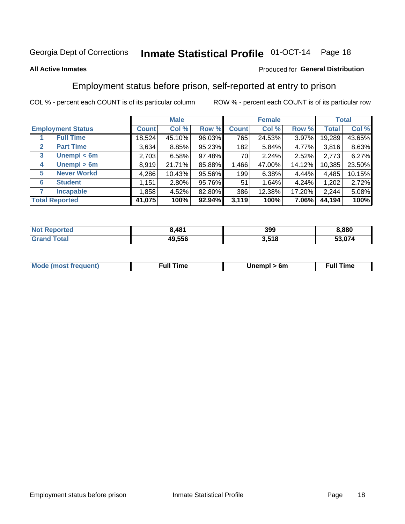# Inmate Statistical Profile 01-OCT-14 Page 18

### **All Active Inmates**

### Produced for General Distribution

### Employment status before prison, self-reported at entry to prison

COL % - percent each COUNT is of its particular column

|                                  |              | <b>Male</b> |        |              | <b>Female</b> |        |        | <b>Total</b> |
|----------------------------------|--------------|-------------|--------|--------------|---------------|--------|--------|--------------|
| <b>Employment Status</b>         | <b>Count</b> | Col %       | Row %  | <b>Count</b> | Col %         | Row %  | Total  | Col %        |
| <b>Full Time</b>                 | 18,524       | 45.10%      | 96.03% | 765          | 24.53%        | 3.97%  | 19,289 | 43.65%       |
| <b>Part Time</b><br>$\mathbf{2}$ | 3,634        | 8.85%       | 95.23% | 182          | 5.84%         | 4.77%  | 3,816  | 8.63%        |
| Unempl $<$ 6m<br>3               | 2,703        | 6.58%       | 97.48% | 70           | 2.24%         | 2.52%  | 2,773  | 6.27%        |
| Unempl > 6m<br>4                 | 8,919        | 21.71%      | 85.88% | 1,466        | 47.00%        | 14.12% | 10,385 | 23.50%       |
| <b>Never Workd</b><br>5          | 4,286        | 10.43%      | 95.56% | 199          | 6.38%         | 4.44%  | 4,485  | 10.15%       |
| <b>Student</b><br>6              | 1,151        | 2.80%       | 95.76% | 51           | 1.64%         | 4.24%  | 1,202  | 2.72%        |
| <b>Incapable</b>                 | 1,858        | 4.52%       | 82.80% | 386          | 12.38%        | 17.20% | 2,244  | 5.08%        |
| <b>Total Reported</b>            | 41,075       | 100%        | 92.94% | 3,119        | 100%          | 7.06%  | 44,194 | 100%         |

| prteo<br>NO     | ,481   | 399   | ,880   |
|-----------------|--------|-------|--------|
| $\sim$ 10<br>Gr | 49,556 | 3,518 | 53.074 |

| <b>Mou</b><br>זווניווו<br>$\cdots$ | 6m<br>____ | ∙ull<br>⊓mε<br>the contract of the contract of the contract of the contract of the contract of the contract of the contract of |
|------------------------------------|------------|--------------------------------------------------------------------------------------------------------------------------------|
|                                    |            |                                                                                                                                |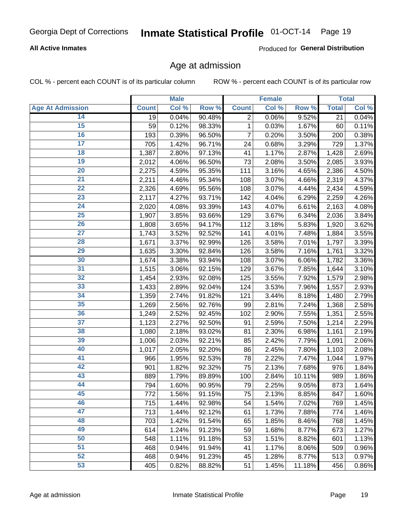### **All Active Inmates**

Produced for General Distribution

### Age at admission

COL % - percent each COUNT is of its particular column

|                         |              | <b>Male</b> |        |                | <b>Female</b> |        |              | <b>Total</b> |
|-------------------------|--------------|-------------|--------|----------------|---------------|--------|--------------|--------------|
| <b>Age At Admission</b> | <b>Count</b> | Col %       | Row %  | <b>Count</b>   | Col %         | Row %  | <b>Total</b> | Col %        |
| 14                      | 19           | 0.04%       | 90.48% | $\overline{2}$ | 0.06%         | 9.52%  | 21           | 0.04%        |
| $\overline{15}$         | 59           | 0.12%       | 98.33% | 1              | 0.03%         | 1.67%  | 60           | 0.11%        |
| 16                      | 193          | 0.39%       | 96.50% | 7              | 0.20%         | 3.50%  | 200          | 0.38%        |
| $\overline{17}$         | 705          | 1.42%       | 96.71% | 24             | 0.68%         | 3.29%  | 729          | 1.37%        |
| $\overline{18}$         | 1,387        | 2.80%       | 97.13% | 41             | 1.17%         | 2.87%  | 1,428        | 2.69%        |
| 19                      | 2,012        | 4.06%       | 96.50% | 73             | 2.08%         | 3.50%  | 2,085        | 3.93%        |
| 20                      | 2,275        | 4.59%       | 95.35% | 111            | 3.16%         | 4.65%  | 2,386        | 4.50%        |
| $\overline{21}$         | 2,211        | 4.46%       | 95.34% | 108            | 3.07%         | 4.66%  | 2,319        | 4.37%        |
| $\overline{22}$         | 2,326        | 4.69%       | 95.56% | 108            | 3.07%         | 4.44%  | 2,434        | 4.59%        |
| $\overline{23}$         | 2,117        | 4.27%       | 93.71% | 142            | 4.04%         | 6.29%  | 2,259        | 4.26%        |
| 24                      | 2,020        | 4.08%       | 93.39% | 143            | 4.07%         | 6.61%  | 2,163        | 4.08%        |
| $\overline{25}$         | 1,907        | 3.85%       | 93.66% | 129            | 3.67%         | 6.34%  | 2,036        | 3.84%        |
| $\overline{26}$         | 1,808        | 3.65%       | 94.17% | 112            | 3.18%         | 5.83%  | 1,920        | 3.62%        |
| $\overline{27}$         | 1,743        | 3.52%       | 92.52% | 141            | 4.01%         | 7.48%  | 1,884        | 3.55%        |
| 28                      | 1,671        | 3.37%       | 92.99% | 126            | 3.58%         | 7.01%  | 1,797        | 3.39%        |
| 29                      | 1,635        | 3.30%       | 92.84% | 126            | 3.58%         | 7.16%  | 1,761        | 3.32%        |
| 30                      | 1,674        | 3.38%       | 93.94% | 108            | 3.07%         | 6.06%  | 1,782        | 3.36%        |
| 31                      | 1,515        | 3.06%       | 92.15% | 129            | 3.67%         | 7.85%  | 1,644        | 3.10%        |
| 32                      | 1,454        | 2.93%       | 92.08% | 125            | 3.55%         | 7.92%  | 1,579        | 2.98%        |
| 33                      | 1,433        | 2.89%       | 92.04% | 124            | 3.53%         | 7.96%  | 1,557        | 2.93%        |
| 34                      | 1,359        | 2.74%       | 91.82% | 121            | 3.44%         | 8.18%  | 1,480        | 2.79%        |
| 35                      | 1,269        | 2.56%       | 92.76% | 99             | 2.81%         | 7.24%  | 1,368        | 2.58%        |
| 36                      | 1,249        | 2.52%       | 92.45% | 102            | 2.90%         | 7.55%  | 1,351        | 2.55%        |
| $\overline{37}$         | 1,123        | 2.27%       | 92.50% | 91             | 2.59%         | 7.50%  | 1,214        | 2.29%        |
| 38                      | 1,080        | 2.18%       | 93.02% | 81             | 2.30%         | 6.98%  | 1,161        | 2.19%        |
| 39                      | 1,006        | 2.03%       | 92.21% | 85             | 2.42%         | 7.79%  | 1,091        | 2.06%        |
| 40                      | 1,017        | 2.05%       | 92.20% | 86             | 2.45%         | 7.80%  | 1,103        | 2.08%        |
| 41                      | 966          | 1.95%       | 92.53% | 78             | 2.22%         | 7.47%  | 1,044        | 1.97%        |
| 42                      | 901          | 1.82%       | 92.32% | 75             | 2.13%         | 7.68%  | 976          | 1.84%        |
| 43                      | 889          | 1.79%       | 89.89% | 100            | 2.84%         | 10.11% | 989          | 1.86%        |
| 44                      | 794          | 1.60%       | 90.95% | 79             | 2.25%         | 9.05%  | 873          | 1.64%        |
| 45                      | 772          | 1.56%       | 91.15% | 75             | 2.13%         | 8.85%  | 847          | 1.60%        |
| 46                      | 715          | 1.44%       | 92.98% | 54             | 1.54%         | 7.02%  | 769          | 1.45%        |
| 47                      | 713          | 1.44%       | 92.12% | 61             | 1.73%         | 7.88%  | 774          | 1.46%        |
| 48                      | 703          | 1.42%       | 91.54% | 65             | 1.85%         | 8.46%  | 768          | 1.45%        |
| 49                      | 614          | 1.24%       | 91.23% | 59             | 1.68%         | 8.77%  | 673          | 1.27%        |
| 50                      | 548          | 1.11%       | 91.18% | 53             | 1.51%         | 8.82%  | 601          | 1.13%        |
| 51                      | 468          | 0.94%       | 91.94% | 41             | 1.17%         | 8.06%  | 509          | 0.96%        |
| 52                      | 468          | 0.94%       | 91.23% | 45             | 1.28%         | 8.77%  | 513          | 0.97%        |
| 53                      | 405          | 0.82%       | 88.82% | 51             | 1.45%         | 11.18% | 456          | 0.86%        |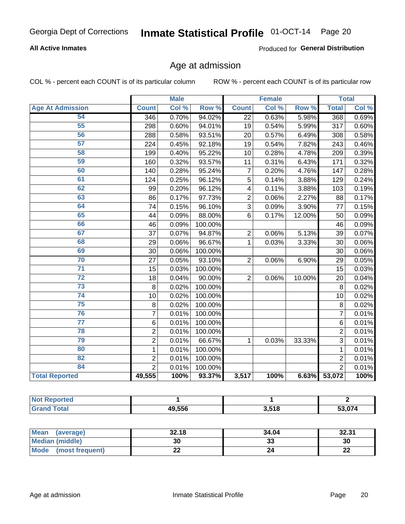### **All Active Inmates**

Produced for General Distribution

### Age at admission

COL % - percent each COUNT is of its particular column

|                         | <b>Male</b>    |       | <b>Female</b> |                |       | <b>Total</b> |                |       |
|-------------------------|----------------|-------|---------------|----------------|-------|--------------|----------------|-------|
| <b>Age At Admission</b> | <b>Count</b>   | Col % | Row %         | <b>Count</b>   | Col % | Row %        | <b>Total</b>   | Col % |
| 54                      | 346            | 0.70% | 94.02%        | 22             | 0.63% | 5.98%        | 368            | 0.69% |
| 55                      | 298            | 0.60% | 94.01%        | 19             | 0.54% | 5.99%        | 317            | 0.60% |
| 56                      | 288            | 0.58% | 93.51%        | 20             | 0.57% | 6.49%        | 308            | 0.58% |
| 57                      | 224            | 0.45% | 92.18%        | 19             | 0.54% | 7.82%        | 243            | 0.46% |
| 58                      | 199            | 0.40% | 95.22%        | 10             | 0.28% | 4.78%        | 209            | 0.39% |
| 59                      | 160            | 0.32% | 93.57%        | 11             | 0.31% | 6.43%        | 171            | 0.32% |
| 60                      | 140            | 0.28% | 95.24%        | $\overline{7}$ | 0.20% | 4.76%        | 147            | 0.28% |
| 61                      | 124            | 0.25% | 96.12%        | $\overline{5}$ | 0.14% | 3.88%        | 129            | 0.24% |
| 62                      | 99             | 0.20% | 96.12%        | 4              | 0.11% | 3.88%        | 103            | 0.19% |
| 63                      | 86             | 0.17% | 97.73%        | $\overline{2}$ | 0.06% | 2.27%        | 88             | 0.17% |
| 64                      | 74             | 0.15% | 96.10%        | $\overline{3}$ | 0.09% | 3.90%        | 77             | 0.15% |
| 65                      | 44             | 0.09% | 88.00%        | 6              | 0.17% | 12.00%       | 50             | 0.09% |
| 66                      | 46             | 0.09% | 100.00%       |                |       |              | 46             | 0.09% |
| 67                      | 37             | 0.07% | 94.87%        | $\mathbf 2$    | 0.06% | 5.13%        | 39             | 0.07% |
| 68                      | 29             | 0.06% | 96.67%        | $\mathbf{1}$   | 0.03% | 3.33%        | 30             | 0.06% |
| 69                      | 30             | 0.06% | 100.00%       |                |       |              | 30             | 0.06% |
| 70                      | 27             | 0.05% | 93.10%        | $\overline{2}$ | 0.06% | 6.90%        | 29             | 0.05% |
| $\overline{71}$         | 15             | 0.03% | 100.00%       |                |       |              | 15             | 0.03% |
| $\overline{72}$         | 18             | 0.04% | 90.00%        | $\overline{2}$ | 0.06% | 10.00%       | 20             | 0.04% |
| $\overline{73}$         | 8              | 0.02% | 100.00%       |                |       |              | 8              | 0.02% |
| $\overline{74}$         | 10             | 0.02% | 100.00%       |                |       |              | 10             | 0.02% |
| $\overline{75}$         | $\,8\,$        | 0.02% | 100.00%       |                |       |              | 8              | 0.02% |
| 76                      | $\overline{7}$ | 0.01% | 100.00%       |                |       |              | $\overline{7}$ | 0.01% |
| $\overline{77}$         | 6              | 0.01% | 100.00%       |                |       |              | 6              | 0.01% |
| 78                      | $\overline{2}$ | 0.01% | 100.00%       |                |       |              | $\overline{2}$ | 0.01% |
| 79                      | $\overline{2}$ | 0.01% | 66.67%        | 1              | 0.03% | 33.33%       | 3              | 0.01% |
| 80                      | $\mathbf{1}$   | 0.01% | 100.00%       |                |       |              | $\mathbf{1}$   | 0.01% |
| 82                      | $\overline{2}$ | 0.01% | 100.00%       |                |       |              | $\overline{2}$ | 0.01% |
| 84                      | $\overline{2}$ | 0.01% | 100.00%       |                |       |              | $\overline{2}$ | 0.01% |
| <b>Total Reported</b>   | 49,555         | 100%  | 93.37%        | 3,517          | 100%  |              | 6.63% 53,072   | 100%  |

| Reported<br><b>NOT</b>       |        |       |        |
|------------------------------|--------|-------|--------|
| <b>Tota</b><br><b>'Grand</b> | 49,556 | 3,518 | 53.074 |

| Mean (average)         | 32.18 | 34.04   | 32.31   |
|------------------------|-------|---------|---------|
| <b>Median (middle)</b> | 30    | ົ<br>აა | 30      |
| Mode (most frequent)   | LL    |         | ົ<br>LL |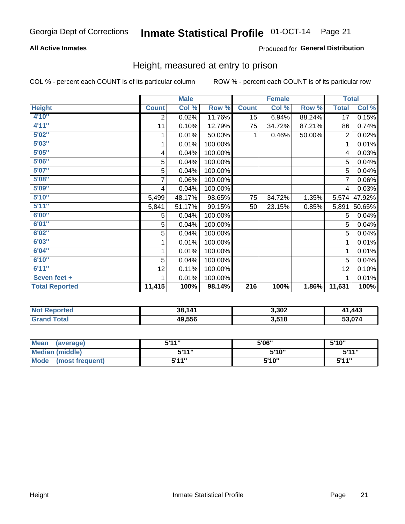### **All Active Inmates**

### Produced for General Distribution

### Height, measured at entry to prison

COL % - percent each COUNT is of its particular column

|                       | <b>Male</b>             |        |         | <b>Female</b> |        |        | <b>Total</b> |        |
|-----------------------|-------------------------|--------|---------|---------------|--------|--------|--------------|--------|
| <b>Height</b>         | <b>Count</b>            | Col %  | Row %   | <b>Count</b>  | Col %  | Row %  | <b>Total</b> | Col %  |
| 4'10''                | $\overline{2}$          | 0.02%  | 11.76%  | 15            | 6.94%  | 88.24% | 17           | 0.15%  |
| 4'11''                | 11                      | 0.10%  | 12.79%  | 75            | 34.72% | 87.21% | 86           | 0.74%  |
| 5'02''                | 1                       | 0.01%  | 50.00%  | 1             | 0.46%  | 50.00% | 2            | 0.02%  |
| 5'03''                | 1                       | 0.01%  | 100.00% |               |        |        | 1            | 0.01%  |
| 5'05''                | $\overline{\mathbf{4}}$ | 0.04%  | 100.00% |               |        |        | 4            | 0.03%  |
| 5'06''                | 5                       | 0.04%  | 100.00% |               |        |        | 5            | 0.04%  |
| 5'07''                | 5                       | 0.04%  | 100.00% |               |        |        | 5            | 0.04%  |
| 5'08''                | 7                       | 0.06%  | 100.00% |               |        |        | 7            | 0.06%  |
| 5'09''                | $\overline{4}$          | 0.04%  | 100.00% |               |        |        | 4            | 0.03%  |
| 5'10''                | 5,499                   | 48.17% | 98.65%  | 75            | 34.72% | 1.35%  | 5,574        | 47.92% |
| 5'11''                | 5,841                   | 51.17% | 99.15%  | 50            | 23.15% | 0.85%  | 5,891        | 50.65% |
| 6'00''                | 5                       | 0.04%  | 100.00% |               |        |        | 5            | 0.04%  |
| 6'01''                | 5                       | 0.04%  | 100.00% |               |        |        | 5            | 0.04%  |
| 6'02"                 | 5                       | 0.04%  | 100.00% |               |        |        | 5            | 0.04%  |
| 6'03''                | 1                       | 0.01%  | 100.00% |               |        |        | 1            | 0.01%  |
| 6'04''                | 1                       | 0.01%  | 100.00% |               |        |        | 1            | 0.01%  |
| 6'10''                | 5                       | 0.04%  | 100.00% |               |        |        | 5            | 0.04%  |
| 6'11''                | 12                      | 0.11%  | 100.00% |               |        |        | 12           | 0.10%  |
| Seven feet +          | 1                       | 0.01%  | 100.00% |               |        |        | 1            | 0.01%  |
| <b>Total Reported</b> | 11,415                  | 100%   | 98.14%  | 216           | 100%   | 1.86%  | 11,631       | 100%   |

| <b>Not</b><br><b>Reported</b> | 38,141 | 3,302 | ,443<br>$\overline{11}$ |
|-------------------------------|--------|-------|-------------------------|
| ™otaı                         | 49,556 | 3,518 | - - -                   |

| <b>Mean</b><br>(average)       | 544"<br>JII | 5'06" | 5'10"        |
|--------------------------------|-------------|-------|--------------|
| <b>Median (middle)</b>         | 544"        | 5'10" | 5'11"        |
| <b>Mode</b><br>(most frequent) | 544"        | 5'10" | <b>5'44"</b> |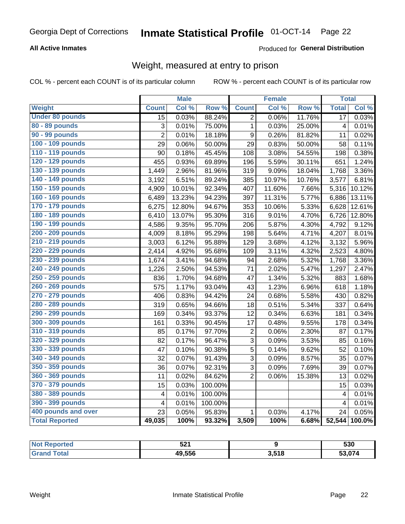### **All Active Inmates**

### Produced for General Distribution

### Weight, measured at entry to prison

COL % - percent each COUNT is of its particular column

|                        |                         | <b>Male</b> |                  |                  | <b>Female</b> |        | <b>Total</b>    |        |
|------------------------|-------------------------|-------------|------------------|------------------|---------------|--------|-----------------|--------|
| <b>Weight</b>          | <b>Count</b>            | Col %       | Row <sup>%</sup> | <b>Count</b>     | Col%          | Row %  | <b>Total</b>    | Col %  |
| <b>Under 80 pounds</b> | $\overline{15}$         | 0.03%       | 88.24%           | $\overline{2}$   | 0.06%         | 11.76% | $\overline{17}$ | 0.03%  |
| 80 - 89 pounds         | 3                       | 0.01%       | 75.00%           | $\mathbf 1$      | 0.03%         | 25.00% | $\overline{4}$  | 0.01%  |
| 90 - 99 pounds         | $\overline{2}$          | 0.01%       | 18.18%           | $\boldsymbol{9}$ | 0.26%         | 81.82% | 11              | 0.02%  |
| 100 - 109 pounds       | 29                      | 0.06%       | 50.00%           | 29               | 0.83%         | 50.00% | 58              | 0.11%  |
| 110 - 119 pounds       | 90                      | 0.18%       | 45.45%           | 108              | 3.08%         | 54.55% | 198             | 0.38%  |
| 120 - 129 pounds       | 455                     | 0.93%       | 69.89%           | 196              | 5.59%         | 30.11% | 651             | 1.24%  |
| 130 - 139 pounds       | 1,449                   | 2.96%       | 81.96%           | 319              | 9.09%         | 18.04% | 1,768           | 3.36%  |
| 140 - 149 pounds       | 3,192                   | 6.51%       | 89.24%           | 385              | 10.97%        | 10.76% | 3,577           | 6.81%  |
| 150 - 159 pounds       | 4,909                   | 10.01%      | 92.34%           | 407              | 11.60%        | 7.66%  | 5,316           | 10.12% |
| 160 - 169 pounds       | 6,489                   | 13.23%      | 94.23%           | 397              | 11.31%        | 5.77%  | 6,886           | 13.11% |
| 170 - 179 pounds       | 6,275                   | 12.80%      | 94.67%           | 353              | 10.06%        | 5.33%  | 6,628           | 12.61% |
| 180 - 189 pounds       | 6,410                   | 13.07%      | 95.30%           | 316              | 9.01%         | 4.70%  | 6,726           | 12.80% |
| 190 - 199 pounds       | 4,586                   | 9.35%       | 95.70%           | 206              | 5.87%         | 4.30%  | 4,792           | 9.12%  |
| 200 - 209 pounds       | 4,009                   | 8.18%       | 95.29%           | 198              | 5.64%         | 4.71%  | 4,207           | 8.01%  |
| 210 - 219 pounds       | 3,003                   | 6.12%       | 95.88%           | 129              | 3.68%         | 4.12%  | 3,132           | 5.96%  |
| 220 - 229 pounds       | 2,414                   | 4.92%       | 95.68%           | 109              | 3.11%         | 4.32%  | 2,523           | 4.80%  |
| 230 - 239 pounds       | 1,674                   | 3.41%       | 94.68%           | 94               | 2.68%         | 5.32%  | 1,768           | 3.36%  |
| 240 - 249 pounds       | 1,226                   | 2.50%       | 94.53%           | 71               | 2.02%         | 5.47%  | 1,297           | 2.47%  |
| 250 - 259 pounds       | 836                     | 1.70%       | 94.68%           | 47               | 1.34%         | 5.32%  | 883             | 1.68%  |
| 260 - 269 pounds       | 575                     | 1.17%       | 93.04%           | 43               | 1.23%         | 6.96%  | 618             | 1.18%  |
| 270 - 279 pounds       | 406                     | 0.83%       | 94.42%           | 24               | 0.68%         | 5.58%  | 430             | 0.82%  |
| 280 - 289 pounds       | 319                     | 0.65%       | 94.66%           | 18               | 0.51%         | 5.34%  | 337             | 0.64%  |
| 290 - 299 pounds       | 169                     | 0.34%       | 93.37%           | 12               | 0.34%         | 6.63%  | 181             | 0.34%  |
| 300 - 309 pounds       | 161                     | 0.33%       | 90.45%           | 17               | 0.48%         | 9.55%  | 178             | 0.34%  |
| 310 - 319 pounds       | 85                      | 0.17%       | 97.70%           | $\overline{c}$   | 0.06%         | 2.30%  | 87              | 0.17%  |
| 320 - 329 pounds       | 82                      | 0.17%       | 96.47%           | $\overline{3}$   | 0.09%         | 3.53%  | 85              | 0.16%  |
| 330 - 339 pounds       | 47                      | 0.10%       | 90.38%           | 5                | 0.14%         | 9.62%  | 52              | 0.10%  |
| 340 - 349 pounds       | 32                      | 0.07%       | 91.43%           | $\overline{3}$   | 0.09%         | 8.57%  | 35              | 0.07%  |
| 350 - 359 pounds       | 36                      | 0.07%       | 92.31%           | 3                | 0.09%         | 7.69%  | 39              | 0.07%  |
| 360 - 369 pounds       | 11                      | 0.02%       | 84.62%           | $\overline{2}$   | 0.06%         | 15.38% | 13              | 0.02%  |
| 370 - 379 pounds       | 15                      | 0.03%       | 100.00%          |                  |               |        | 15              | 0.03%  |
| 380 - 389 pounds       | $\overline{\mathbf{4}}$ | 0.01%       | 100.00%          |                  |               |        | $\overline{4}$  | 0.01%  |
| 390 - 399 pounds       | $\overline{\mathbf{4}}$ | 0.01%       | 100.00%          |                  |               |        | $\overline{4}$  | 0.01%  |
| 400 pounds and over    | 23                      | 0.05%       | 95.83%           | $\mathbf{1}$     | 0.03%         | 4.17%  | 24              | 0.05%  |
| <b>Total Reported</b>  | 49,035                  | 100%        | 93.32%           | 3,509            | 100%          | 6.68%  | 52,544          | 100.0% |

| N <sub>of</sub><br>Reported       | E 94<br>JŁ I |       | 530    |
|-----------------------------------|--------------|-------|--------|
| <b>Total</b><br>"Gra <sub>r</sub> | 49,556       | 3,518 | 53,074 |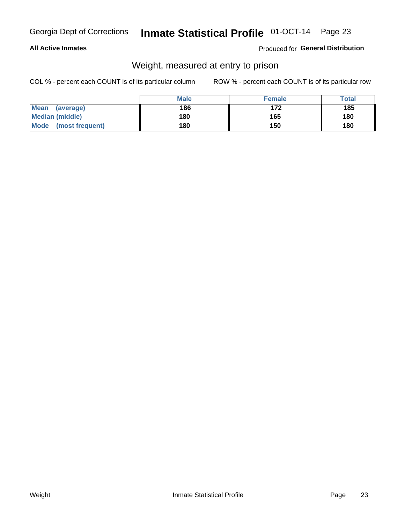### **All Active Inmates**

### Produced for General Distribution

### Weight, measured at entry to prison

COL % - percent each COUNT is of its particular column

|                                | <b>Male</b> | <b>Female</b> | Total |
|--------------------------------|-------------|---------------|-------|
| Mean<br>(average)              | 186         | 172           | 185   |
| <b>Median (middle)</b>         | 180         | 165           | 180   |
| <b>Mode</b><br>(most frequent) | 180         | 150           | 180   |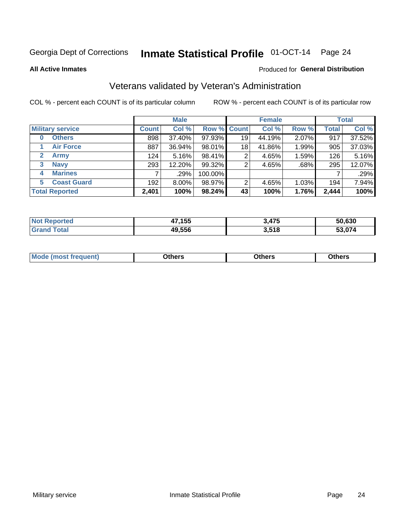# Inmate Statistical Profile 01-OCT-14 Page 24

**All Active Inmates** 

#### Produced for General Distribution

### Veterans validated by Veteran's Administration

COL % - percent each COUNT is of its particular column

|                          | <b>Male</b>  |        |             | <b>Female</b> |        |       | <b>Total</b> |        |
|--------------------------|--------------|--------|-------------|---------------|--------|-------|--------------|--------|
| <b>Military service</b>  | <b>Count</b> | Col %  | Row % Count |               | Col %  | Row % | <b>Total</b> | Col %  |
| <b>Others</b><br>0       | 898          | 37.40% | 97.93%      | 19            | 44.19% | 2.07% | 917          | 37.52% |
| <b>Air Force</b>         | 887          | 36.94% | 98.01%      | 18            | 41.86% | 1.99% | 905          | 37.03% |
| 2<br><b>Army</b>         | 124          | 5.16%  | 98.41%      | 2             | 4.65%  | 1.59% | 126          | 5.16%  |
| <b>Navy</b><br>3         | 293          | 12.20% | 99.32%      | 2             | 4.65%  | .68%  | 295          | 12.07% |
| <b>Marines</b><br>4      |              | .29%   | 100.00%     |               |        |       |              | .29%   |
| <b>Coast Guard</b><br>5. | 192          | 8.00%  | 98.97%      | 2             | 4.65%  | 1.03% | 194          | 7.94%  |
| <b>Total Reported</b>    | 2,401        | 100%   | 98.24%      | 43            | 100%   | 1.76% | 2,444        | 100%   |

| rted<br>NOT | ,155<br>47 | 3,475 | 50.630        |
|-------------|------------|-------|---------------|
|             | 49,556     | 3,518 | . מי<br>. 074 |

|  |  | <b>Mode</b><br>quent)<br>most trea | <b>Dthers</b> | Others | Others |
|--|--|------------------------------------|---------------|--------|--------|
|--|--|------------------------------------|---------------|--------|--------|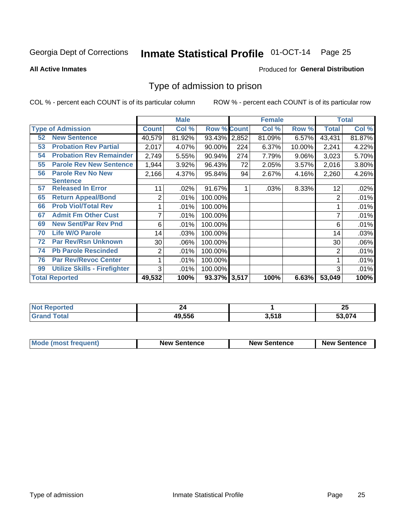# Inmate Statistical Profile 01-OCT-14 Page 25

#### **All Active Inmates**

#### Produced for General Distribution

### Type of admission to prison

COL % - percent each COUNT is of its particular column

|    |                                     |              | <b>Male</b> |                    |     | <b>Female</b> |          |              | <b>Total</b> |
|----|-------------------------------------|--------------|-------------|--------------------|-----|---------------|----------|--------------|--------------|
|    | <b>Type of Admission</b>            | <b>Count</b> | Col %       | <b>Row % Count</b> |     | Col %         | Row %    | <b>Total</b> | Col %        |
| 52 | <b>New Sentence</b>                 | 40,579       | 81.92%      | 93.43% 2,852       |     | 81.09%        | 6.57%    | 43,431       | 81.87%       |
| 53 | <b>Probation Rev Partial</b>        | 2,017        | 4.07%       | 90.00%             | 224 | 6.37%         | 10.00%   | 2,241        | 4.22%        |
| 54 | <b>Probation Rev Remainder</b>      | 2,749        | 5.55%       | 90.94%             | 274 | 7.79%         | $9.06\%$ | 3,023        | 5.70%        |
| 55 | <b>Parole Rev New Sentence</b>      | 1,944        | 3.92%       | 96.43%             | 72  | 2.05%         | 3.57%    | 2,016        | 3.80%        |
| 56 | <b>Parole Rev No New</b>            | 2,166        | 4.37%       | 95.84%             | 94  | 2.67%         | 4.16%    | 2,260        | 4.26%        |
|    | <b>Sentence</b>                     |              |             |                    |     |               |          |              |              |
| 57 | <b>Released In Error</b>            | 11           | .02%        | 91.67%             |     | .03%          | 8.33%    | 12           | .02%         |
| 65 | <b>Return Appeal/Bond</b>           | 2            | .01%        | 100.00%            |     |               |          | 2            | .01%         |
| 66 | <b>Prob Viol/Total Rev</b>          |              | .01%        | 100.00%            |     |               |          |              | .01%         |
| 67 | <b>Admit Fm Other Cust</b>          | 7            | .01%        | 100.00%            |     |               |          |              | .01%         |
| 69 | <b>New Sent/Par Rev Pnd</b>         | 6            | .01%        | 100.00%            |     |               |          | 6            | .01%         |
| 70 | <b>Life W/O Parole</b>              | 14           | .03%        | 100.00%            |     |               |          | 14           | .03%         |
| 72 | <b>Par Rev/Rsn Unknown</b>          | 30           | .06%        | 100.00%            |     |               |          | 30           | .06%         |
| 74 | <b>Pb Parole Rescinded</b>          | 2            | .01%        | 100.00%            |     |               |          | 2            | .01%         |
| 76 | <b>Par Rev/Revoc Center</b>         |              | .01%        | 100.00%            |     |               |          |              | .01%         |
| 99 | <b>Utilize Skills - Firefighter</b> | 3            | .01%        | 100.00%            |     |               |          | 3            | .01%         |
|    | <b>Total Reported</b>               | 49,532       | 100%        | 93.37% 3,517       |     | 100%          | 6.63%    | 53,049       | 100%         |

| <b>orteo</b><br>NO |        |             | - -<br>ZJ |
|--------------------|--------|-------------|-----------|
| . Gr               | 49.556 | 518<br>---- | 53 N74    |

| <b>Mode (most frequent)</b> | <b>New Sentence</b> | <b>New Sentence</b> | <b>New Sentence</b> |
|-----------------------------|---------------------|---------------------|---------------------|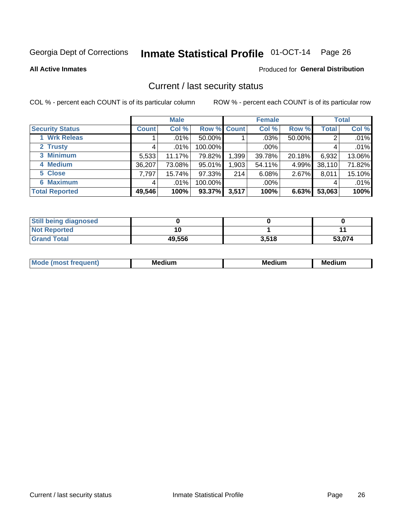# Inmate Statistical Profile 01-OCT-14 Page 26

**All Active Inmates** 

#### **Produced for General Distribution**

### Current / last security status

COL % - percent each COUNT is of its particular column

|                        |              | <b>Male</b> |             |       | <b>Female</b> |        |              | <b>Total</b> |
|------------------------|--------------|-------------|-------------|-------|---------------|--------|--------------|--------------|
| <b>Security Status</b> | <b>Count</b> | Col %       | Row % Count |       | Col %         | Row %  | <b>Total</b> | Col %        |
| <b>Wrk Releas</b>      |              | .01%        | 50.00%      |       | $.03\%$       | 50.00% | 2            | .01%         |
| 2 Trusty               |              | $.01\%$     | 100.00%     |       | .00%          |        |              | .01%         |
| 3 Minimum              | 5,533        | 11.17%      | 79.82%      | 1,399 | 39.78%        | 20.18% | 6,932        | 13.06%       |
| 4 Medium               | 36,207       | 73.08%      | 95.01%      | ,903  | 54.11%        | 4.99%  | 38,110       | 71.82%       |
| 5 Close                | 7.797        | 15.74%      | 97.33%      | 214   | 6.08%         | 2.67%  | 8,011        | 15.10%       |
| <b>6 Maximum</b>       |              | $.01\%$     | 100.00%     |       | .00%          |        | 4            | .01%         |
| <b>Total Reported</b>  | 49,546       | 100%        | 93.37%      | 3,517 | 100%          | 6.63%  | 53,063       | 100%         |

| <b>Still being diagnosed</b> |        |       |        |
|------------------------------|--------|-------|--------|
| <b>Not Reported</b>          |        |       |        |
| <b>Grand Total</b>           | 49,556 | 3,518 | 53,074 |

| M | NЛ<br><br>dium | M | . .<br>dium<br>Me |
|---|----------------|---|-------------------|
|   |                |   |                   |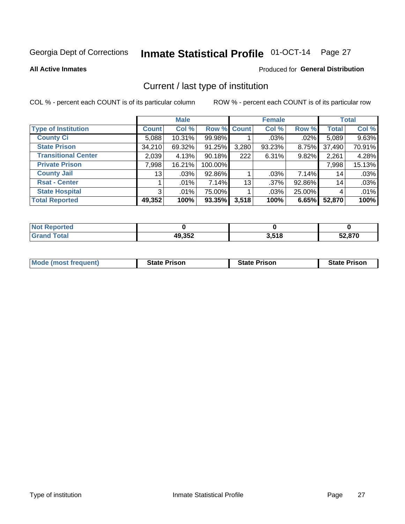# Inmate Statistical Profile 01-OCT-14 Page 27

**All Active Inmates** 

### Produced for General Distribution

### Current / last type of institution

COL % - percent each COUNT is of its particular column

|                            |                 | <b>Male</b> |             |       | <b>Female</b> |         |              | <b>Total</b> |
|----------------------------|-----------------|-------------|-------------|-------|---------------|---------|--------------|--------------|
| <b>Type of Institution</b> | <b>Count</b>    | Col %       | Row % Count |       | Col %         | Row %   | <b>Total</b> | Col %        |
| <b>County Ci</b>           | 5,088           | 10.31%      | 99.98%      |       | $.03\%$       | $.02\%$ | 5,089        | 9.63%        |
| <b>State Prison</b>        | 34,210          | 69.32%      | 91.25%      | 3,280 | 93.23%        | 8.75%   | 37,490       | 70.91%       |
| <b>Transitional Center</b> | 2,039           | 4.13%       | 90.18%      | 222   | 6.31%         | 9.82%   | 2,261        | 4.28%        |
| <b>Private Prison</b>      | 7,998           | 16.21%      | 100.00%     |       |               |         | 7,998        | 15.13%       |
| <b>County Jail</b>         | 13 <sup>1</sup> | .03%        | 92.86%      |       | .03%          | 7.14%   | 14           | .03%         |
| <b>Rsat - Center</b>       |                 | .01%        | 7.14%       | 13    | .37%          | 92.86%  | 14           | .03%         |
| <b>State Hospital</b>      | 3 <sup>1</sup>  | $.01\%$     | 75.00%      |       | .03%          | 25.00%  | 4            | .01%         |
| <b>Total Reported</b>      | 49,352          | 100%        | 93.35%      | 3,518 | 100%          | 6.65%   | 52,870       | 100%         |

| ported<br>' NOT |        |       |                   |
|-----------------|--------|-------|-------------------|
| otal            | 49,352 | 3,518 | 59 R7N<br>34.O7 U |

| <b>Mode (most frequent)</b> | <b>State Prison</b> | <b>State Prison</b> | <b>State Prison</b> |
|-----------------------------|---------------------|---------------------|---------------------|
|                             |                     |                     |                     |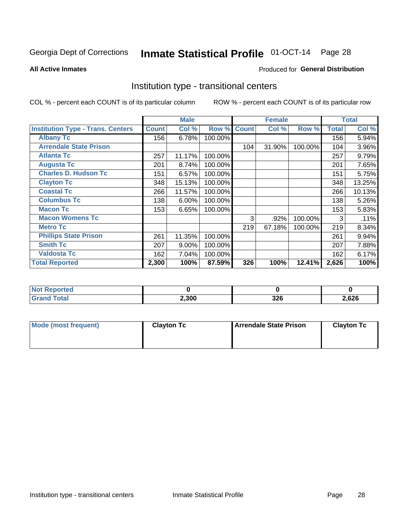# Inmate Statistical Profile 01-OCT-14 Page 28

#### **All Active Inmates**

### Produced for General Distribution

### Institution type - transitional centers

COL % - percent each COUNT is of its particular column

|                                          |              | <b>Male</b> |         |              | <b>Female</b> |         |              | <b>Total</b> |
|------------------------------------------|--------------|-------------|---------|--------------|---------------|---------|--------------|--------------|
| <b>Institution Type - Trans. Centers</b> | <b>Count</b> | Col %       | Row %   | <b>Count</b> | Col %         | Row %   | <b>Total</b> | Col %        |
| <b>Albany Tc</b>                         | 156          | 6.78%       | 100.00% |              |               |         | 156          | 5.94%        |
| <b>Arrendale State Prison</b>            |              |             |         | 104          | 31.90%        | 100.00% | 104          | 3.96%        |
| <b>Atlanta Tc</b>                        | 257          | 11.17%      | 100.00% |              |               |         | 257          | 9.79%        |
| <b>Augusta Tc</b>                        | 201          | 8.74%       | 100.00% |              |               |         | 201          | 7.65%        |
| <b>Charles D. Hudson Tc</b>              | 151          | 6.57%       | 100.00% |              |               |         | 151          | 5.75%        |
| <b>Clayton Tc</b>                        | 348          | 15.13%      | 100.00% |              |               |         | 348          | 13.25%       |
| <b>Coastal Tc</b>                        | 266          | 11.57%      | 100.00% |              |               |         | 266          | 10.13%       |
| <b>Columbus Tc</b>                       | 138          | 6.00%       | 100.00% |              |               |         | 138          | 5.26%        |
| <b>Macon Tc</b>                          | 153          | 6.65%       | 100.00% |              |               |         | 153          | 5.83%        |
| <b>Macon Womens Tc</b>                   |              |             |         | 3            | .92%          | 100.00% | 3            | .11%         |
| <b>Metro Tc</b>                          |              |             |         | 219          | 67.18%        | 100.00% | 219          | 8.34%        |
| <b>Phillips State Prison</b>             | 261          | 11.35%      | 100.00% |              |               |         | 261          | 9.94%        |
| <b>Smith Tc</b>                          | 207          | 9.00%       | 100.00% |              |               |         | 207          | 7.88%        |
| <b>Valdosta Tc</b>                       | 162          | 7.04%       | 100.00% |              |               |         | 162          | 6.17%        |
| <b>Total Reported</b>                    | 2,300        | 100%        | 87.59%  | 326          | 100%          | 12.41%  | 2,626        | 100%         |

| <b>NOT</b><br>rtea |       |            |       |
|--------------------|-------|------------|-------|
|                    | 2,300 | 200<br>JZU | 2,626 |

| Mode (most frequent) | <b>Clayton Tc</b> | Arrendale State Prison | <b>Clayton Tc</b> |
|----------------------|-------------------|------------------------|-------------------|
|                      |                   |                        |                   |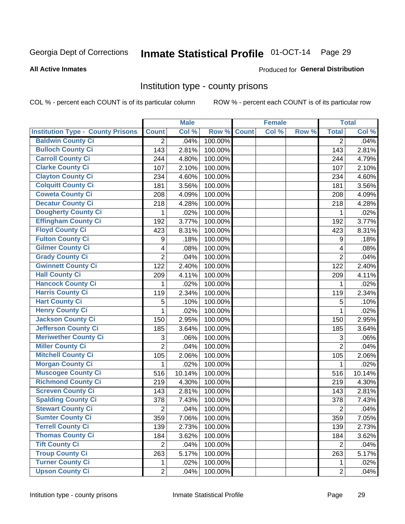# Inmate Statistical Profile 01-OCT-14 Page 29

#### **All Active Inmates**

### **Produced for General Distribution**

### Institution type - county prisons

COL % - percent each COUNT is of its particular column

|                                          |                           | <b>Male</b> |         |              | <b>Female</b> |       |                           | <b>Total</b> |
|------------------------------------------|---------------------------|-------------|---------|--------------|---------------|-------|---------------------------|--------------|
| <b>Institution Type - County Prisons</b> | <b>Count</b>              | Col %       | Row %   | <b>Count</b> | Col %         | Row % | <b>Total</b>              | Col %        |
| <b>Baldwin County Ci</b>                 | $\overline{2}$            | .04%        | 100.00% |              |               |       | $\overline{2}$            | .04%         |
| <b>Bulloch County Ci</b>                 | 143                       | 2.81%       | 100.00% |              |               |       | 143                       | 2.81%        |
| <b>Carroll County Ci</b>                 | 244                       | 4.80%       | 100.00% |              |               |       | 244                       | 4.79%        |
| <b>Clarke County Ci</b>                  | 107                       | 2.10%       | 100.00% |              |               |       | 107                       | 2.10%        |
| <b>Clayton County Ci</b>                 | 234                       | 4.60%       | 100.00% |              |               |       | 234                       | 4.60%        |
| <b>Colquitt County Ci</b>                | 181                       | 3.56%       | 100.00% |              |               |       | 181                       | 3.56%        |
| <b>Coweta County Ci</b>                  | 208                       | 4.09%       | 100.00% |              |               |       | 208                       | 4.09%        |
| <b>Decatur County Ci</b>                 | 218                       | 4.28%       | 100.00% |              |               |       | 218                       | 4.28%        |
| <b>Dougherty County Ci</b>               | 1                         | .02%        | 100.00% |              |               |       | 1                         | .02%         |
| <b>Effingham County Ci</b>               | 192                       | 3.77%       | 100.00% |              |               |       | 192                       | 3.77%        |
| <b>Floyd County Ci</b>                   | 423                       | 8.31%       | 100.00% |              |               |       | 423                       | 8.31%        |
| <b>Fulton County Ci</b>                  | 9                         | .18%        | 100.00% |              |               |       | 9                         | .18%         |
| <b>Gilmer County Ci</b>                  | 4                         | .08%        | 100.00% |              |               |       | 4                         | .08%         |
| <b>Grady County Ci</b>                   | $\overline{2}$            | .04%        | 100.00% |              |               |       | $\overline{2}$            | .04%         |
| <b>Gwinnett County Ci</b>                | 122                       | 2.40%       | 100.00% |              |               |       | 122                       | 2.40%        |
| <b>Hall County Ci</b>                    | 209                       | 4.11%       | 100.00% |              |               |       | 209                       | 4.11%        |
| <b>Hancock County Ci</b>                 | 1                         | .02%        | 100.00% |              |               |       | 1                         | .02%         |
| <b>Harris County Ci</b>                  | 119                       | 2.34%       | 100.00% |              |               |       | 119                       | 2.34%        |
| <b>Hart County Ci</b>                    | 5                         | .10%        | 100.00% |              |               |       | 5                         | .10%         |
| <b>Henry County Ci</b>                   | 1                         | .02%        | 100.00% |              |               |       | 1                         | .02%         |
| <b>Jackson County Ci</b>                 | 150                       | 2.95%       | 100.00% |              |               |       | 150                       | 2.95%        |
| Jefferson County Ci                      | 185                       | 3.64%       | 100.00% |              |               |       | 185                       | 3.64%        |
| <b>Meriwether County Ci</b>              | $\ensuremath{\mathsf{3}}$ | .06%        | 100.00% |              |               |       | $\ensuremath{\mathsf{3}}$ | .06%         |
| <b>Miller County Ci</b>                  | $\overline{2}$            | .04%        | 100.00% |              |               |       | $\overline{2}$            | .04%         |
| <b>Mitchell County Ci</b>                | 105                       | 2.06%       | 100.00% |              |               |       | 105                       | 2.06%        |
| <b>Morgan County Ci</b>                  | 1                         | .02%        | 100.00% |              |               |       | 1                         | .02%         |
| <b>Muscogee County Ci</b>                | 516                       | 10.14%      | 100.00% |              |               |       | 516                       | 10.14%       |
| <b>Richmond County Ci</b>                | 219                       | 4.30%       | 100.00% |              |               |       | 219                       | 4.30%        |
| <b>Screven County Ci</b>                 | 143                       | 2.81%       | 100.00% |              |               |       | 143                       | 2.81%        |
| <b>Spalding County Ci</b>                | 378                       | 7.43%       | 100.00% |              |               |       | 378                       | 7.43%        |
| <b>Stewart County Ci</b>                 | 2                         | .04%        | 100.00% |              |               |       | $\overline{2}$            | .04%         |
| <b>Sumter County Ci</b>                  | 359                       | 7.06%       | 100.00% |              |               |       | 359                       | 7.05%        |
| <b>Terrell County Ci</b>                 | 139                       | 2.73%       | 100.00% |              |               |       | 139                       | 2.73%        |
| <b>Thomas County Ci</b>                  | 184                       | 3.62%       | 100.00% |              |               |       | 184                       | 3.62%        |
| <b>Tift County Ci</b>                    | $\overline{2}$            | .04%        | 100.00% |              |               |       | $\overline{2}$            | .04%         |
| <b>Troup County Ci</b>                   | 263                       | 5.17%       | 100.00% |              |               |       | 263                       | 5.17%        |
| <b>Turner County Ci</b>                  | 1                         | .02%        | 100.00% |              |               |       | 1                         | .02%         |
| <b>Upson County Ci</b>                   | $\overline{2}$            | .04%        | 100.00% |              |               |       | $\overline{2}$            | .04%         |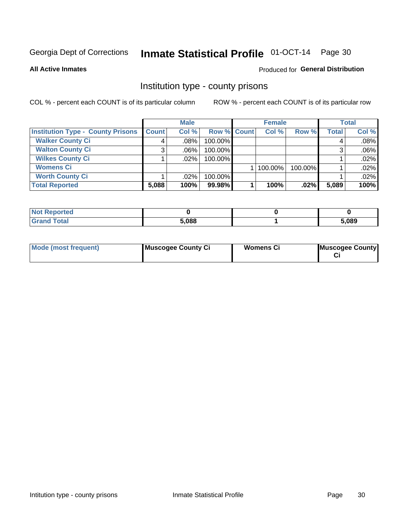# Inmate Statistical Profile 01-OCT-14 Page 30

**All Active Inmates** 

#### Produced for General Distribution

### Institution type - county prisons

COL % - percent each COUNT is of its particular column

|                                          |              | <b>Male</b> |             |  | <b>Female</b> |         | <b>Total</b> |       |
|------------------------------------------|--------------|-------------|-------------|--|---------------|---------|--------------|-------|
| <b>Institution Type - County Prisons</b> | <b>Count</b> | Col %       | Row % Count |  | Col %         | Row %   | <b>Total</b> | Col % |
| <b>Walker County Ci</b>                  | 4            | $.08\%$     | 100.00%     |  |               |         | 4            | .08%  |
| <b>Walton County Ci</b>                  | 3            | $.06\%$     | 100.00%     |  |               |         |              | .06%  |
| <b>Wilkes County Ci</b>                  |              | $.02\%$     | 100.00%     |  |               |         |              | .02%  |
| <b>Womens Ci</b>                         |              |             |             |  | 100.00%       | 100.00% |              | .02%  |
| <b>Worth County Ci</b>                   |              | $.02\%$     | 100.00%     |  |               |         |              | .02%  |
| <b>Total Reported</b>                    | 5,088        | 100%        | 99.98%      |  | 100%          | .02%    | 5,089        | 100%  |

| Reported     |       |       |
|--------------|-------|-------|
| <b>Total</b> | 5,088 | 5,089 |

| <b>Mode (most frequent)</b> | Muscogee County Ci | <b>Womens Ci</b> | <b>Muscogee County</b> |
|-----------------------------|--------------------|------------------|------------------------|
|-----------------------------|--------------------|------------------|------------------------|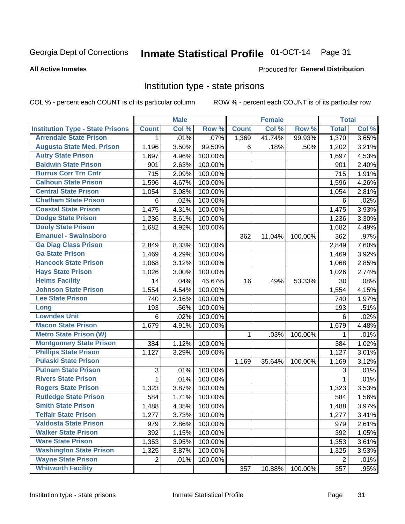#### Inmate Statistical Profile 01-OCT-14 Page 31

#### **All Active Inmates**

### Produced for General Distribution

### Institution type - state prisons

COL % - percent each COUNT is of its particular column

|                                         |                 | <b>Male</b> |         |              | <b>Female</b> |         | <b>Total</b>   |       |
|-----------------------------------------|-----------------|-------------|---------|--------------|---------------|---------|----------------|-------|
| <b>Institution Type - State Prisons</b> | <b>Count</b>    | Col %       | Row %   | <b>Count</b> | Col %         | Row %   | <b>Total</b>   | Col % |
| <b>Arrendale State Prison</b>           | 1               | .01%        | .07%    | 1,369        | 41.74%        | 99.93%  | 1,370          | 3.65% |
| <b>Augusta State Med. Prison</b>        | 1,196           | 3.50%       | 99.50%  | 6            | .18%          | .50%    | 1,202          | 3.21% |
| <b>Autry State Prison</b>               | 1,697           | 4.96%       | 100.00% |              |               |         | 1,697          | 4.53% |
| <b>Baldwin State Prison</b>             | 901             | 2.63%       | 100.00% |              |               |         | 901            | 2.40% |
| <b>Burrus Corr Trn Cntr</b>             | 715             | 2.09%       | 100.00% |              |               |         | 715            | 1.91% |
| <b>Calhoun State Prison</b>             | 1,596           | 4.67%       | 100.00% |              |               |         | 1,596          | 4.26% |
| <b>Central State Prison</b>             | 1,054           | 3.08%       | 100.00% |              |               |         | 1,054          | 2.81% |
| <b>Chatham State Prison</b>             | $\,6$           | .02%        | 100.00% |              |               |         | 6              | .02%  |
| <b>Coastal State Prison</b>             | 1,475           | 4.31%       | 100.00% |              |               |         | 1,475          | 3.93% |
| <b>Dodge State Prison</b>               | 1,236           | 3.61%       | 100.00% |              |               |         | 1,236          | 3.30% |
| <b>Dooly State Prison</b>               | 1,682           | 4.92%       | 100.00% |              |               |         | 1,682          | 4.49% |
| <b>Emanuel - Swainsboro</b>             |                 |             |         | 362          | 11.04%        | 100.00% | 362            | .97%  |
| <b>Ga Diag Class Prison</b>             | 2,849           | 8.33%       | 100.00% |              |               |         | 2,849          | 7.60% |
| <b>Ga State Prison</b>                  | 1,469           | 4.29%       | 100.00% |              |               |         | 1,469          | 3.92% |
| <b>Hancock State Prison</b>             | 1,068           | 3.12%       | 100.00% |              |               |         | 1,068          | 2.85% |
| <b>Hays State Prison</b>                | 1,026           | 3.00%       | 100.00% |              |               |         | 1,026          | 2.74% |
| <b>Helms Facility</b>                   | 14              | .04%        | 46.67%  | 16           | .49%          | 53.33%  | 30             | .08%  |
| <b>Johnson State Prison</b>             | 1,554           | 4.54%       | 100.00% |              |               |         | 1,554          | 4.15% |
| <b>Lee State Prison</b>                 | 740             | 2.16%       | 100.00% |              |               |         | 740            | 1.97% |
| Long                                    | 193             | .56%        | 100.00% |              |               |         | 193            | .51%  |
| <b>Lowndes Unit</b>                     | $6\phantom{1}6$ | .02%        | 100.00% |              |               |         | 6              | .02%  |
| <b>Macon State Prison</b>               | 1,679           | 4.91%       | 100.00% |              |               |         | 1,679          | 4.48% |
| <b>Metro State Prison (W)</b>           |                 |             |         | 1            | .03%          | 100.00% | 1              | .01%  |
| <b>Montgomery State Prison</b>          | 384             | 1.12%       | 100.00% |              |               |         | 384            | 1.02% |
| <b>Phillips State Prison</b>            | 1,127           | 3.29%       | 100.00% |              |               |         | 1,127          | 3.01% |
| <b>Pulaski State Prison</b>             |                 |             |         | 1,169        | 35.64%        | 100.00% | 1,169          | 3.12% |
| <b>Putnam State Prison</b>              | $\sqrt{3}$      | .01%        | 100.00% |              |               |         | 3              | .01%  |
| <b>Rivers State Prison</b>              | 1               | .01%        | 100.00% |              |               |         | 1              | .01%  |
| <b>Rogers State Prison</b>              | 1,323           | 3.87%       | 100.00% |              |               |         | 1,323          | 3.53% |
| <b>Rutledge State Prison</b>            | 584             | 1.71%       | 100.00% |              |               |         | 584            | 1.56% |
| <b>Smith State Prison</b>               | 1,488           | 4.35%       | 100.00% |              |               |         | 1,488          | 3.97% |
| <b>Telfair State Prison</b>             | 1,277           | 3.73%       | 100.00% |              |               |         | 1,277          | 3.41% |
| <b>Valdosta State Prison</b>            | 979             | 2.86%       | 100.00% |              |               |         | 979            | 2.61% |
| <b>Walker State Prison</b>              | 392             | 1.15%       | 100.00% |              |               |         | 392            | 1.05% |
| <b>Ware State Prison</b>                | 1,353           | 3.95%       | 100.00% |              |               |         | 1,353          | 3.61% |
| <b>Washington State Prison</b>          | 1,325           | 3.87%       | 100.00% |              |               |         | 1,325          | 3.53% |
| <b>Wayne State Prison</b>               | 2               | .01%        | 100.00% |              |               |         | $\overline{2}$ | .01%  |
| <b>Whitworth Facility</b>               |                 |             |         | 357          | 10.88%        | 100.00% | 357            | .95%  |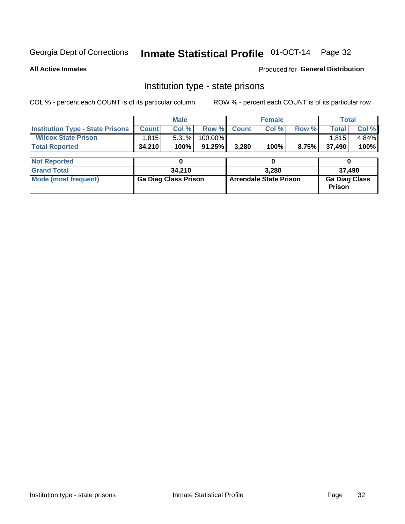# Inmate Statistical Profile 01-OCT-14 Page 32

**All Active Inmates** 

**Produced for General Distribution** 

### Institution type - state prisons

COL % - percent each COUNT is of its particular column

|                                         |              | <b>Male</b>                 |         |                               | <b>Female</b> |       | <b>Total</b>                          |       |  |
|-----------------------------------------|--------------|-----------------------------|---------|-------------------------------|---------------|-------|---------------------------------------|-------|--|
| <b>Institution Type - State Prisons</b> | <b>Count</b> | Col %                       | Row %   | <b>Count</b>                  | Col %         | Row % | <b>Total</b>                          | Col % |  |
| <b>Wilcox State Prison</b>              | 1,815        | 5.31%                       | 100.00% |                               |               |       | 1,815                                 | 4.84% |  |
| <b>Total Reported</b>                   | 34,210       | 100%                        | 91.25%  | 3,280                         | 100%          | 8.75% | 37,490                                | 100%  |  |
|                                         |              |                             |         |                               |               |       |                                       |       |  |
| <b>Not Reported</b>                     |              |                             |         |                               | 0             |       |                                       |       |  |
| <b>Grand Total</b>                      |              | 34,210                      |         |                               | 3.280         |       | 37,490                                |       |  |
| <b>Mode (most frequent)</b>             |              | <b>Ga Diag Class Prison</b> |         | <b>Arrendale State Prison</b> |               |       | <b>Ga Diag Class</b><br><b>Prison</b> |       |  |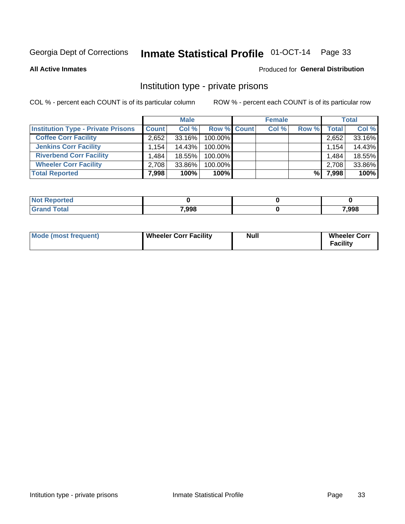# Inmate Statistical Profile 01-OCT-14 Page 33

**All Active Inmates** 

#### Produced for General Distribution

### Institution type - private prisons

COL % - percent each COUNT is of its particular column

|                                           | <b>Male</b>  |        | <b>Female</b>      |       |       | <b>Total</b> |        |
|-------------------------------------------|--------------|--------|--------------------|-------|-------|--------------|--------|
| <b>Institution Type - Private Prisons</b> | <b>Count</b> | Col %  | <b>Row % Count</b> | Col % | Row % | Total        | Col %  |
| <b>Coffee Corr Facility</b>               | 2,652        | 33.16% | 100.00%            |       |       | 2,652        | 33.16% |
| <b>Jenkins Corr Facility</b>              | 1.154        | 14.43% | 100.00%            |       |       | 1,154        | 14.43% |
| <b>Riverbend Corr Facility</b>            | .484         | 18.55% | 100.00%            |       |       | 1,484        | 18.55% |
| <b>Wheeler Corr Facility</b>              | 2,708        | 33.86% | 100.00%            |       |       | 2,708        | 33.86% |
| <b>Total Reported</b>                     | 7,998        | 100%   | $100\%$            |       | %     | 7,998        | 100%   |

| Reported |       |       |
|----------|-------|-------|
|          | 7,998 | 7,998 |

| <b>Mode (most frequent)</b> | <b>Wheeler Corr Facility</b> | Null | <b>Wheeler Corr</b><br>Facility |
|-----------------------------|------------------------------|------|---------------------------------|
|-----------------------------|------------------------------|------|---------------------------------|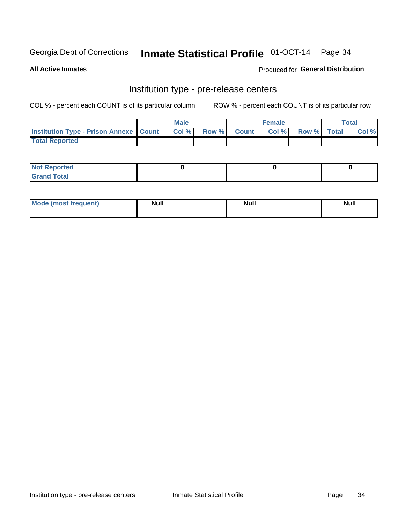# Inmate Statistical Profile 01-OCT-14 Page 34

**All Active Inmates** 

#### Produced for General Distribution

# Institution type - pre-release centers

COL % - percent each COUNT is of its particular column

|                                                   | <b>Male</b> |                    | <b>Female</b> |             | <b>Total</b> |
|---------------------------------------------------|-------------|--------------------|---------------|-------------|--------------|
| <b>Institution Type - Prison Annexe   Count  </b> | Col %       | <b>Row % Count</b> | Col %         | Row % Total | Col %        |
| <b>Total Reported</b>                             |             |                    |               |             |              |

| <b>Reported</b><br>I NOT |  |  |
|--------------------------|--|--|
| <b>Total</b><br>$C$ ren  |  |  |

| $^{\circ}$ Mo<br>frequent)<br>⊥(most | <b>Null</b> | Noll<br><b>vull</b> | <b>Null</b> |
|--------------------------------------|-------------|---------------------|-------------|
|                                      |             |                     |             |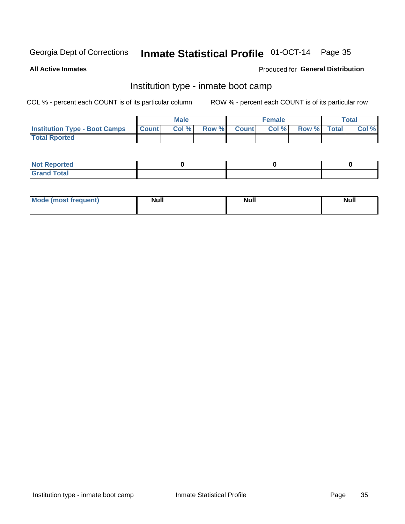# Inmate Statistical Profile 01-OCT-14 Page 35

**All Active Inmates** 

### Produced for General Distribution

### Institution type - inmate boot camp

COL % - percent each COUNT is of its particular column

|                                      |                  | <b>Male</b> |              |              | <b>Female</b> |             | <b>Total</b> |
|--------------------------------------|------------------|-------------|--------------|--------------|---------------|-------------|--------------|
| <b>Institution Type - Boot Camps</b> | <b>I</b> Count I | Col %       | <b>Row %</b> | <b>Count</b> | Col %         | Row % Total | Col %        |
| <b>Total Rported</b>                 |                  |             |              |              |               |             |              |

| <b>Not Reported</b>            |  |  |
|--------------------------------|--|--|
| <b>Total</b><br>C <sub>r</sub> |  |  |

| <b>I Mode (most frequent)</b> | <b>Null</b> | <b>Null</b> | <b>Null</b> |
|-------------------------------|-------------|-------------|-------------|
|                               |             |             |             |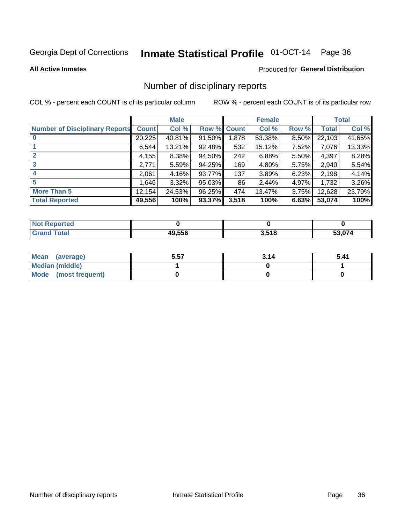# Inmate Statistical Profile 01-OCT-14 Page 36

#### **All Active Inmates**

#### Produced for General Distribution

### Number of disciplinary reports

COL % - percent each COUNT is of its particular column

|                                       |              | <b>Male</b> |             |       | <b>Female</b> |          |        | <b>Total</b> |
|---------------------------------------|--------------|-------------|-------------|-------|---------------|----------|--------|--------------|
| <b>Number of Disciplinary Reports</b> | <b>Count</b> | Col %       | Row % Count |       | Col %         | Row %    | Total  | Col %        |
| $\bf{0}$                              | 20,225       | 40.81%      | $91.50\%$   | 1,878 | 53.38%        | 8.50%    | 22,103 | 41.65%       |
|                                       | 6,544        | 13.21%      | 92.48%      | 532   | 15.12%        | 7.52%    | 7,076  | 13.33%       |
| $\mathbf{2}$                          | 4,155        | 8.38%       | 94.50%      | 242   | 6.88%         | $5.50\%$ | 4,397  | 8.28%        |
| 3                                     | 2,771        | 5.59%       | 94.25%      | 169   | 4.80%         | 5.75%    | 2,940  | 5.54%        |
|                                       | 2,061        | 4.16%       | 93.77%      | 137   | 3.89%         | 6.23%    | 2,198  | 4.14%        |
| 5                                     | ا 1.646      | 3.32%       | 95.03%      | 86    | 2.44%         | 4.97%    | 1,732  | 3.26%        |
| <b>More Than 5</b>                    | 12,154       | 24.53%      | 96.25%      | 474   | 13.47%        | 3.75%    | 12,628 | 23.79%       |
| <b>Total Reported</b>                 | 49,556       | 100%        | 93.37%      | 3,518 | 100%          | 6.63%    | 53,074 | 100%         |

| <b>oorted</b><br>NO: |      |             |                                                   |
|----------------------|------|-------------|---------------------------------------------------|
| Total                | .556 | 9 E40<br>10 | $F^{\wedge}$ $\wedge$ $\rightarrow$ $\rightarrow$ |

| Mean (average)         | 5.57 | 3.14 | 5.41 |
|------------------------|------|------|------|
| <b>Median (middle)</b> |      |      |      |
| Mode (most frequent)   |      |      |      |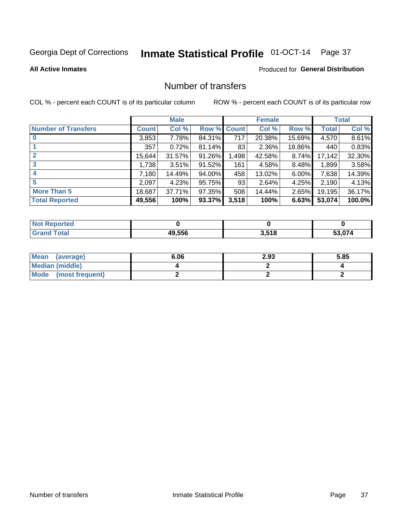# Inmate Statistical Profile 01-OCT-14 Page 37

#### **All Active Inmates**

### **Produced for General Distribution**

## Number of transfers

COL % - percent each COUNT is of its particular column

|                            |              | <b>Male</b> |        |              | <b>Female</b> |          |              | <b>Total</b> |
|----------------------------|--------------|-------------|--------|--------------|---------------|----------|--------------|--------------|
| <b>Number of Transfers</b> | <b>Count</b> | Col %       | Row %  | <b>Count</b> | Col %         | Row %    | <b>Total</b> | Col %        |
|                            | 3,853        | 7.78%       | 84.31% | 717          | 20.38%        | 15.69%   | 4,570        | 8.61%        |
|                            | 357          | 0.72%       | 81.14% | 83           | 2.36%         | 18.86%   | 440          | 0.83%        |
| $\mathbf{2}$               | 15,644       | 31.57%      | 91.26% | 1,498        | 42.58%        | 8.74%    | 17,142       | 32.30%       |
| 3                          | 1,738        | 3.51%       | 91.52% | 161          | 4.58%         | 8.48%    | 1,899        | 3.58%        |
| 4                          | 7,180        | 14.49%      | 94.00% | 458          | 13.02%        | $6.00\%$ | 7,638        | 14.39%       |
| 5                          | 2,097        | 4.23%       | 95.75% | 93           | 2.64%         | 4.25%    | 2,190        | 4.13%        |
| <b>More Than 5</b>         | 18,687       | 37.71%      | 97.35% | 508          | 14.44%        | $2.65\%$ | 19,195       | 36.17%       |
| <b>Total Reported</b>      | 49,556       | 100%        | 93.37% | 3,518        | 100%          | 6.63%    | 53,074       | 100.0%       |

| orted<br><b>NOT</b> |        |                |        |
|---------------------|--------|----------------|--------|
| Total               | 49.556 | 2518<br>J.J 10 | 53.074 |

| Mean (average)         | 6.06 | 2.93 | 5.85 |
|------------------------|------|------|------|
| <b>Median (middle)</b> |      |      |      |
| Mode (most frequent)   |      |      |      |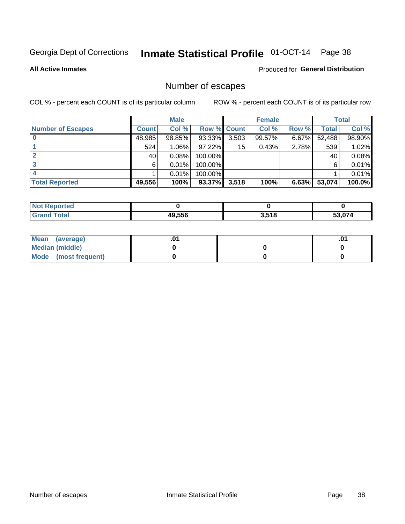# Inmate Statistical Profile 01-OCT-14 Page 38

**All Active Inmates** 

### **Produced for General Distribution**

## Number of escapes

COL % - percent each COUNT is of its particular column

|                          |              | <b>Male</b> |             |       | <b>Female</b> |          |        | <b>Total</b> |
|--------------------------|--------------|-------------|-------------|-------|---------------|----------|--------|--------------|
| <b>Number of Escapes</b> | <b>Count</b> | Col %       | Row % Count |       | Col %         | Row %    | Total  | Col %        |
|                          | 48,985       | 98.85%      | 93.33%      | 3,503 | 99.57%        | $6.67\%$ | 52,488 | 98.90%       |
|                          | 524          | 1.06%       | 97.22%      | 15    | 0.43%         | 2.78%    | 539    | 1.02%        |
|                          | 40           | 0.08%       | 100.00%     |       |               |          | 40     | 0.08%        |
|                          | 6.           | 0.01%       | $100.00\%$  |       |               |          | 6      | 0.01%        |
|                          |              | 0.01%       | 100.00%     |       |               |          |        | 0.01%        |
| <b>Total Reported</b>    | 49,556       | 100%        | $93.37\%$   | 3,518 | 100%          | 6.63%    | 53,074 | 100.0%       |

| <b>Not Reported</b> |        |       |        |
|---------------------|--------|-------|--------|
| Total               | 49.556 | 3,518 | $\sim$ |

| Mean (average)         |  | .0 |
|------------------------|--|----|
| <b>Median (middle)</b> |  |    |
| Mode (most frequent)   |  |    |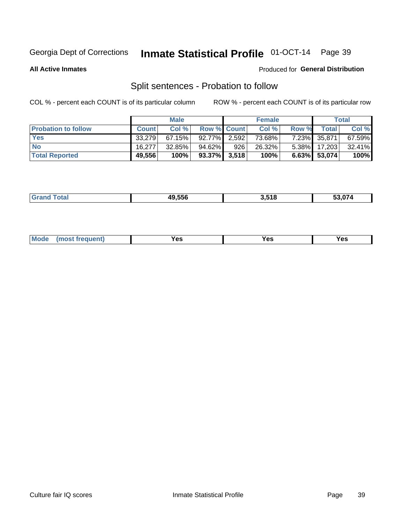## Inmate Statistical Profile 01-OCT-14 Page 39

**All Active Inmates** 

#### Produced for General Distribution

## Split sentences - Probation to follow

COL % - percent each COUNT is of its particular column

|                            |              | <b>Male</b> |                    |     | <b>Female</b> |          |              | <b>Total</b> |
|----------------------------|--------------|-------------|--------------------|-----|---------------|----------|--------------|--------------|
| <b>Probation to follow</b> | <b>Count</b> | Col%        | <b>Row % Count</b> |     | Col %         | Row %    | Total        | Col %        |
| <b>Yes</b>                 | 33.279       | 67.15%      | 92.77% 2.592       |     | 73.68%        |          | 7.23% 35,871 | 67.59%       |
| <b>No</b>                  | 16.277       | $32.85\%$   | 94.62%             | 926 | 26.32%        | $5.38\%$ | 17,203       | 32.41%       |
| <b>Total Reported</b>      | 49,556       | 100%        | $93.37\%$ 3,518    |     | 100%          |          | 6.63% 53,074 | 100%         |

| 49.556 | 3.518 | . |
|--------|-------|---|
|        |       |   |

| M<br>reauent)<br>/٥<br>$\sim$<br>v.,<br>.<br>w<br>$\cdot$ - $\cdot$ |
|---------------------------------------------------------------------|
|---------------------------------------------------------------------|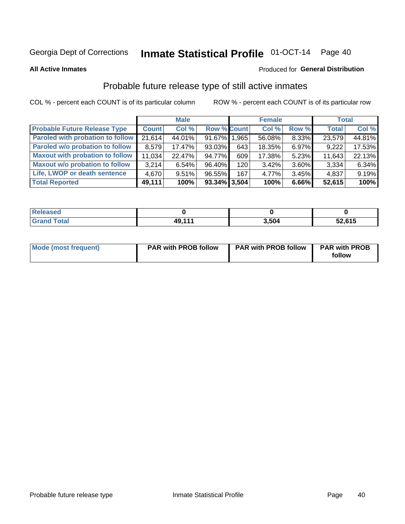## Inmate Statistical Profile 01-OCT-14 Page 40

**All Active Inmates** 

#### Produced for General Distribution

### Probable future release type of still active inmates

COL % - percent each COUNT is of its particular column

|                                         |              | <b>Male</b> |                    |                  | <b>Female</b> |          | <b>Total</b> |        |
|-----------------------------------------|--------------|-------------|--------------------|------------------|---------------|----------|--------------|--------|
| <b>Probable Future Release Type</b>     | <b>Count</b> | Col %       | <b>Row % Count</b> |                  | Col %         | Row %    | <b>Total</b> | Col %  |
| <b>Paroled with probation to follow</b> | 21,614       | 44.01%      | 91.67% 1.965       |                  | 56.08%        | 8.33%    | 23,579       | 44.81% |
| Paroled w/o probation to follow         | 8,579        | 17.47%      | $93.03\%$          | 643              | 18.35%        | 6.97%    | 9,222        | 17.53% |
| <b>Maxout with probation to follow</b>  | 11,034       | 22.47%      | 94.77%             | 609              | 17.38%        | 5.23%    | 11,643       | 22.13% |
| <b>Maxout w/o probation to follow</b>   | 3,214        | 6.54%       | 96.40%             | 120 <sub>l</sub> | 3.42%         | 3.60%    | 3,334        | 6.34%  |
| Life, LWOP or death sentence            | 4,670        | 9.51%       | 96.55%             | 167              | 4.77%         | $3.45\%$ | 4,837        | 9.19%  |
| <b>Total Reported</b>                   | 49,111       | 100%        | $93.34\%$ 3,504    |                  | 100%          | 6.66%    | 52,615       | 100%   |

| $f$ $f$ $f$ $f$ $f$ | 49 111 | 3.504 | 52,615 |
|---------------------|--------|-------|--------|

| <b>Mode (most frequent)</b> | <b>PAR with PROB follow</b> | <b>PAR with PROB follow</b> | <b>PAR with PROB</b> |
|-----------------------------|-----------------------------|-----------------------------|----------------------|
|                             |                             |                             | follow               |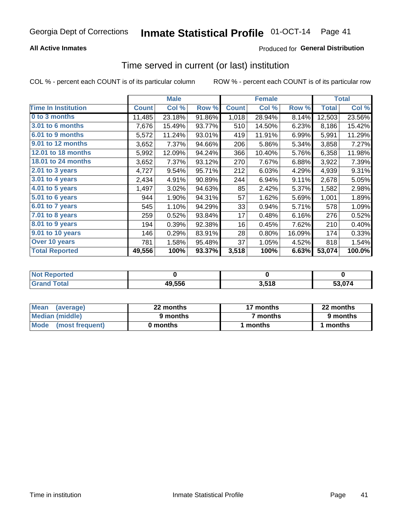### **All Active Inmates**

### **Produced for General Distribution**

## Time served in current (or last) institution

COL % - percent each COUNT is of its particular column

|                            |              | <b>Male</b> |        |              | <b>Female</b> |        |              | <b>Total</b> |
|----------------------------|--------------|-------------|--------|--------------|---------------|--------|--------------|--------------|
| <b>Time In Institution</b> | <b>Count</b> | Col %       | Row %  | <b>Count</b> | Col %         | Row %  | <b>Total</b> | Col %        |
| 0 to 3 months              | 11,485       | 23.18%      | 91.86% | 1,018        | 28.94%        | 8.14%  | 12,503       | 23.56%       |
| <b>3.01 to 6 months</b>    | 7,676        | 15.49%      | 93.77% | 510          | 14.50%        | 6.23%  | 8,186        | 15.42%       |
| 6.01 to 9 months           | 5,572        | 11.24%      | 93.01% | 419          | 11.91%        | 6.99%  | 5,991        | 11.29%       |
| 9.01 to 12 months          | 3,652        | 7.37%       | 94.66% | 206          | 5.86%         | 5.34%  | 3,858        | 7.27%        |
| 12.01 to 18 months         | 5,992        | 12.09%      | 94.24% | 366          | 10.40%        | 5.76%  | 6,358        | 11.98%       |
| <b>18.01 to 24 months</b>  | 3,652        | 7.37%       | 93.12% | 270          | 7.67%         | 6.88%  | 3,922        | 7.39%        |
| 2.01 to 3 years            | 4,727        | 9.54%       | 95.71% | 212          | 6.03%         | 4.29%  | 4,939        | 9.31%        |
| 3.01 to 4 years            | 2,434        | 4.91%       | 90.89% | 244          | 6.94%         | 9.11%  | 2,678        | 5.05%        |
| $4.01$ to 5 years          | 1,497        | 3.02%       | 94.63% | 85           | 2.42%         | 5.37%  | 1,582        | 2.98%        |
| 5.01 to 6 years            | 944          | 1.90%       | 94.31% | 57           | 1.62%         | 5.69%  | 1,001        | 1.89%        |
| 6.01 to 7 years            | 545          | 1.10%       | 94.29% | 33           | 0.94%         | 5.71%  | 578          | 1.09%        |
| 7.01 to 8 years            | 259          | 0.52%       | 93.84% | 17           | 0.48%         | 6.16%  | 276          | 0.52%        |
| $8.01$ to 9 years          | 194          | 0.39%       | 92.38% | 16           | 0.45%         | 7.62%  | 210          | 0.40%        |
| 9.01 to 10 years           | 146          | 0.29%       | 83.91% | 28           | 0.80%         | 16.09% | 174          | 0.33%        |
| Over 10 years              | 781          | 1.58%       | 95.48% | 37           | 1.05%         | 4.52%  | 818          | 1.54%        |
| <b>Total Reported</b>      | 49,556       | 100%        | 93.37% | 3,518        | 100%          | 6.63%  | 53,074       | 100.0%       |

| <b>Penorted</b><br><b>Not</b> |        |       |         |
|-------------------------------|--------|-------|---------|
| íotal.                        | 49,556 | 3,518 | - - - - |

| <b>Mean</b><br>(average) | 22 months | 17 months           | 22 months |  |
|--------------------------|-----------|---------------------|-----------|--|
| Median (middle)          | 9 months  | <sup>7</sup> months | 9 months  |  |
| Mode<br>(most frequent)  | 0 months  | months              | ∖ months  |  |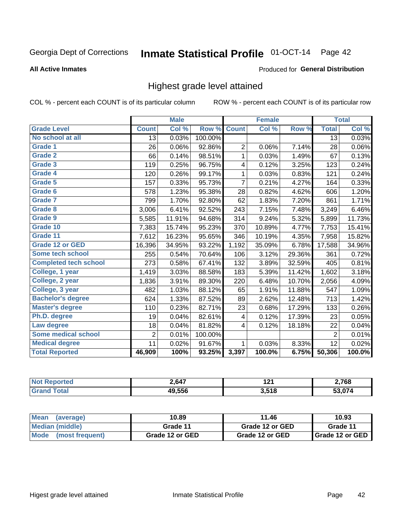# Inmate Statistical Profile 01-OCT-14 Page 42

#### **All Active Inmates**

#### Produced for General Distribution

### Highest grade level attained

COL % - percent each COUNT is of its particular column

|                              |                 | <b>Male</b> |         |                | <b>Female</b>             |        |                | <b>Total</b> |
|------------------------------|-----------------|-------------|---------|----------------|---------------------------|--------|----------------|--------------|
| <b>Grade Level</b>           | <b>Count</b>    | Col %       | Row %   | <b>Count</b>   | $\overline{\text{Col}}$ % | Row %  | <b>Total</b>   | Col %        |
| No school at all             | $\overline{13}$ | 0.03%       | 100.00% |                |                           |        | 13             | 0.03%        |
| Grade 1                      | 26              | 0.06%       | 92.86%  | 2              | 0.06%                     | 7.14%  | 28             | 0.06%        |
| <b>Grade 2</b>               | 66              | 0.14%       | 98.51%  | 1              | 0.03%                     | 1.49%  | 67             | 0.13%        |
| <b>Grade 3</b>               | 119             | 0.25%       | 96.75%  | 4              | 0.12%                     | 3.25%  | 123            | 0.24%        |
| Grade 4                      | 120             | 0.26%       | 99.17%  | 1              | 0.03%                     | 0.83%  | 121            | 0.24%        |
| Grade 5                      | 157             | 0.33%       | 95.73%  | $\overline{7}$ | 0.21%                     | 4.27%  | 164            | 0.33%        |
| Grade 6                      | 578             | 1.23%       | 95.38%  | 28             | 0.82%                     | 4.62%  | 606            | 1.20%        |
| <b>Grade 7</b>               | 799             | 1.70%       | 92.80%  | 62             | 1.83%                     | 7.20%  | 861            | 1.71%        |
| Grade 8                      | 3,006           | 6.41%       | 92.52%  | 243            | 7.15%                     | 7.48%  | 3,249          | 6.46%        |
| Grade 9                      | 5,585           | 11.91%      | 94.68%  | 314            | 9.24%                     | 5.32%  | 5,899          | 11.73%       |
| Grade 10                     | 7,383           | 15.74%      | 95.23%  | 370            | 10.89%                    | 4.77%  | 7,753          | 15.41%       |
| Grade 11                     | 7,612           | 16.23%      | 95.65%  | 346            | 10.19%                    | 4.35%  | 7,958          | 15.82%       |
| Grade 12 or GED              | 16,396          | 34.95%      | 93.22%  | 1,192          | 35.09%                    | 6.78%  | 17,588         | 34.96%       |
| Some tech school             | 255             | 0.54%       | 70.64%  | 106            | 3.12%                     | 29.36% | 361            | 0.72%        |
| <b>Completed tech school</b> | 273             | 0.58%       | 67.41%  | 132            | 3.89%                     | 32.59% | 405            | 0.81%        |
| College, 1 year              | 1,419           | 3.03%       | 88.58%  | 183            | 5.39%                     | 11.42% | 1,602          | 3.18%        |
| College, 2 year              | 1,836           | 3.91%       | 89.30%  | 220            | 6.48%                     | 10.70% | 2,056          | 4.09%        |
| College, 3 year              | 482             | 1.03%       | 88.12%  | 65             | 1.91%                     | 11.88% | 547            | 1.09%        |
| <b>Bachelor's degree</b>     | 624             | 1.33%       | 87.52%  | 89             | 2.62%                     | 12.48% | 713            | 1.42%        |
| <b>Master's degree</b>       | 110             | 0.23%       | 82.71%  | 23             | 0.68%                     | 17.29% | 133            | 0.26%        |
| Ph.D. degree                 | 19              | 0.04%       | 82.61%  | 4              | 0.12%                     | 17.39% | 23             | 0.05%        |
| Law degree                   | 18              | 0.04%       | 81.82%  | 4              | 0.12%                     | 18.18% | 22             | 0.04%        |
| <b>Some medical school</b>   | $\overline{2}$  | 0.01%       | 100.00% |                |                           |        | $\overline{2}$ | 0.01%        |
| <b>Medical degree</b>        | 11              | 0.02%       | 91.67%  | 1              | 0.03%                     | 8.33%  | 12             | 0.02%        |
| <b>Total Reported</b>        | 46,909          | 100%        | 93.25%  | 3,397          | 100.0%                    | 6.75%  | 50,306         | 100.0%       |

| 2,647  | 191<br>14 L | 2,768       |
|--------|-------------|-------------|
| 49.556 | 3,518       | $\sim$ 0.74 |

| <b>Mean</b><br>(average)       | 10.89           | 11.46           | 10.93           |
|--------------------------------|-----------------|-----------------|-----------------|
| Median (middle)                | Grade 11        | Grade 12 or GED | Grade 11        |
| <b>Mode</b><br>(most frequent) | Grade 12 or GED | Grade 12 or GED | Grade 12 or GED |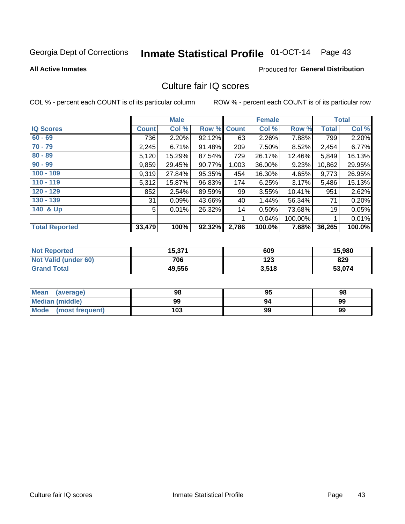# Inmate Statistical Profile 01-OCT-14 Page 43

#### **All Active Inmates**

### **Produced for General Distribution**

## Culture fair IQ scores

COL % - percent each COUNT is of its particular column

|                       |              | <b>Male</b> |        |              | <b>Female</b> |         |              | <b>Total</b> |
|-----------------------|--------------|-------------|--------|--------------|---------------|---------|--------------|--------------|
| <b>IQ Scores</b>      | <b>Count</b> | Col %       | Row %  | <b>Count</b> | Col %         | Row %   | <b>Total</b> | Col %        |
| $60 - 69$             | 736          | 2.20%       | 92.12% | 63           | 2.26%         | 7.88%   | 799          | 2.20%        |
| $70 - 79$             | 2,245        | 6.71%       | 91.48% | 209          | 7.50%         | 8.52%   | 2,454        | 6.77%        |
| $80 - 89$             | 5,120        | 15.29%      | 87.54% | 729          | 26.17%        | 12.46%  | 5,849        | 16.13%       |
| $90 - 99$             | 9,859        | 29.45%      | 90.77% | 1,003        | 36.00%        | 9.23%   | 10,862       | 29.95%       |
| $100 - 109$           | 9,319        | 27.84%      | 95.35% | 454          | 16.30%        | 4.65%   | 9,773        | 26.95%       |
| $110 - 119$           | 5,312        | 15.87%      | 96.83% | 174          | 6.25%         | 3.17%   | 5,486        | 15.13%       |
| 120 - 129             | 852          | 2.54%       | 89.59% | 99           | 3.55%         | 10.41%  | 951          | 2.62%        |
| 130 - 139             | 31           | 0.09%       | 43.66% | 40           | 1.44%         | 56.34%  | 71           | 0.20%        |
| 140 & Up              | 5            | 0.01%       | 26.32% | 14           | 0.50%         | 73.68%  | 19           | 0.05%        |
|                       |              |             |        | 1            | 0.04%         | 100.00% |              | 0.01%        |
| <b>Total Reported</b> | 33,479       | 100%        | 92.32% | 2,786        | 100.0%        | 7.68%   | 36,265       | 100.0%       |

| <b>Not Reported</b>  | 15,371 | 609   | 15,980 |
|----------------------|--------|-------|--------|
| Not Valid (under 60) | 706    | 123   | 829    |
| <b>Grand Total</b>   | 49,556 | 3,518 | 53,074 |

| Mean<br>(average)       | 98  | 95 | 98 |
|-------------------------|-----|----|----|
| <b>Median (middle)</b>  | 99  |    | 99 |
| Mode<br>(most frequent) | 103 | 99 | 99 |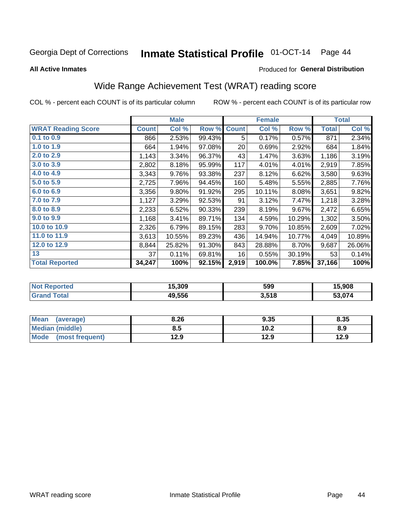## Inmate Statistical Profile 01-OCT-14 Page 44

**All Active Inmates** 

#### Produced for General Distribution

## Wide Range Achievement Test (WRAT) reading score

COL % - percent each COUNT is of its particular column

|                           |              | <b>Male</b> |        |              | <b>Female</b> |        |              | <b>Total</b> |
|---------------------------|--------------|-------------|--------|--------------|---------------|--------|--------------|--------------|
| <b>WRAT Reading Score</b> | <b>Count</b> | Col %       | Row %  | <b>Count</b> | Col %         | Row %  | <b>Total</b> | Col %        |
| 0.1 to 0.9                | 866          | 2.53%       | 99.43% | 5            | 0.17%         | 0.57%  | 871          | 2.34%        |
| 1.0 to 1.9                | 664          | 1.94%       | 97.08% | 20           | 0.69%         | 2.92%  | 684          | 1.84%        |
| 2.0 to 2.9                | 1,143        | 3.34%       | 96.37% | 43           | 1.47%         | 3.63%  | 1,186        | 3.19%        |
| 3.0 to 3.9                | 2,802        | 8.18%       | 95.99% | 117          | 4.01%         | 4.01%  | 2,919        | 7.85%        |
| 4.0 to 4.9                | 3,343        | 9.76%       | 93.38% | 237          | 8.12%         | 6.62%  | 3,580        | 9.63%        |
| 5.0 to 5.9                | 2,725        | 7.96%       | 94.45% | 160          | 5.48%         | 5.55%  | 2,885        | 7.76%        |
| 6.0 to 6.9                | 3,356        | 9.80%       | 91.92% | 295          | 10.11%        | 8.08%  | 3,651        | 9.82%        |
| 7.0 to 7.9                | 1,127        | 3.29%       | 92.53% | 91           | 3.12%         | 7.47%  | 1,218        | 3.28%        |
| 8.0 to 8.9                | 2,233        | 6.52%       | 90.33% | 239          | 8.19%         | 9.67%  | 2,472        | 6.65%        |
| 9.0 to 9.9                | 1,168        | 3.41%       | 89.71% | 134          | 4.59%         | 10.29% | 1,302        | 3.50%        |
| 10.0 to 10.9              | 2,326        | 6.79%       | 89.15% | 283          | 9.70%         | 10.85% | 2,609        | 7.02%        |
| 11.0 to 11.9              | 3,613        | 10.55%      | 89.23% | 436          | 14.94%        | 10.77% | 4,049        | 10.89%       |
| 12.0 to 12.9              | 8,844        | 25.82%      | 91.30% | 843          | 28.88%        | 8.70%  | 9,687        | 26.06%       |
| 13                        | 37           | 0.11%       | 69.81% | 16           | 0.55%         | 30.19% | 53           | 0.14%        |
| <b>Total Reported</b>     | 34,247       | 100%        | 92.15% | 2,919        | 100.0%        | 7.85%  | 37,166       | 100%         |

| <b>rten</b><br>NO | 15.309 | 599   | 15.908 |
|-------------------|--------|-------|--------|
|                   | 49.556 | 3,518 | 53 074 |

| <b>Mean</b><br>(average) | 8.26 | 9.35 | 8.35 |
|--------------------------|------|------|------|
| Median (middle)          | ช.ว  | 10.2 | 8.9  |
| Mode<br>(most frequent)  | l2.9 | 12.9 | 12.9 |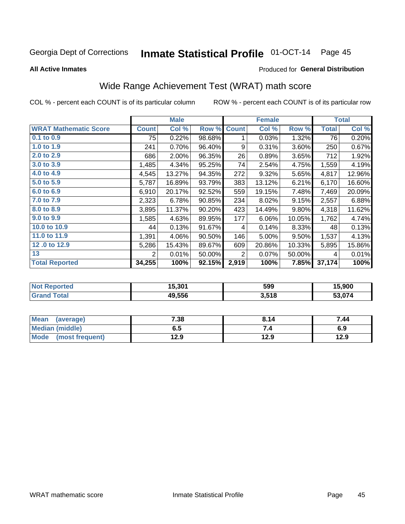## Inmate Statistical Profile 01-OCT-14 Page 45

**All Active Inmates** 

#### Produced for General Distribution

## Wide Range Achievement Test (WRAT) math score

COL % - percent each COUNT is of its particular column

| <b>WRAT Mathematic Score</b><br>$0.1$ to $0.9$ | <b>Count</b> | Col %  | Row %  |              |        |        |              |        |
|------------------------------------------------|--------------|--------|--------|--------------|--------|--------|--------------|--------|
|                                                |              |        |        | <b>Count</b> | Col %  | Row %  | <b>Total</b> | Col %  |
|                                                | 75           | 0.22%  | 98.68% | 1            | 0.03%  | 1.32%  | 76           | 0.20%  |
| 1.0 to 1.9                                     | 241          | 0.70%  | 96.40% | 9            | 0.31%  | 3.60%  | 250          | 0.67%  |
| 2.0 to 2.9                                     | 686          | 2.00%  | 96.35% | 26           | 0.89%  | 3.65%  | 712          | 1.92%  |
| 3.0 to 3.9                                     | 1,485        | 4.34%  | 95.25% | 74           | 2.54%  | 4.75%  | 1,559        | 4.19%  |
| 4.0 to 4.9                                     | 4,545        | 13.27% | 94.35% | 272          | 9.32%  | 5.65%  | 4,817        | 12.96% |
| 5.0 to 5.9                                     | 5,787        | 16.89% | 93.79% | 383          | 13.12% | 6.21%  | 6,170        | 16.60% |
| 6.0 to 6.9                                     | 6,910        | 20.17% | 92.52% | 559          | 19.15% | 7.48%  | 7,469        | 20.09% |
| 7.0 to 7.9                                     | 2,323        | 6.78%  | 90.85% | 234          | 8.02%  | 9.15%  | 2,557        | 6.88%  |
| 8.0 to 8.9                                     | 3,895        | 11.37% | 90.20% | 423          | 14.49% | 9.80%  | 4,318        | 11.62% |
| 9.0 to 9.9                                     | 1,585        | 4.63%  | 89.95% | 177          | 6.06%  | 10.05% | 1,762        | 4.74%  |
| 10.0 to 10.9                                   | 44           | 0.13%  | 91.67% | 4            | 0.14%  | 8.33%  | 48           | 0.13%  |
| 11.0 to 11.9                                   | 1,391        | 4.06%  | 90.50% | 146          | 5.00%  | 9.50%  | 1,537        | 4.13%  |
| 12.0 to 12.9                                   | 5,286        | 15.43% | 89.67% | 609          | 20.86% | 10.33% | 5,895        | 15.86% |
| 13                                             | 2            | 0.01%  | 50.00% | 2            | 0.07%  | 50.00% | 4            | 0.01%  |
| <b>Total Reported</b>                          | 34,255       | 100%   | 92.15% | 2,919        | 100%   | 7.85%  | 37,174       | 100%   |

| <b>Not Reported</b> | 15,301 | 599   | 15,900 |
|---------------------|--------|-------|--------|
| <b>Grand Total</b>  | 49,556 | 3,518 | 53,074 |

| Mean (average)       | 7.38 | 8.14 | 7.44 |
|----------------------|------|------|------|
| Median (middle)      | ხ. J | 7.4  | 6.9  |
| Mode (most frequent) | 12.9 | 12.9 | 12.9 |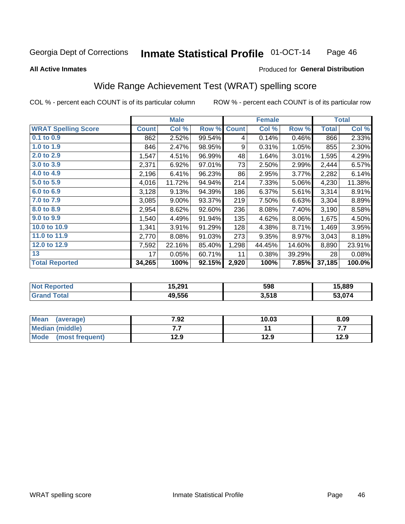#### **Inmate Statistical Profile 01-OCT-14** Page 46

#### **All Active Inmates**

#### Produced for General Distribution

## Wide Range Achievement Test (WRAT) spelling score

COL % - percent each COUNT is of its particular column

|                            |              | <b>Male</b> |        |              | <b>Female</b> |        |              | <b>Total</b> |
|----------------------------|--------------|-------------|--------|--------------|---------------|--------|--------------|--------------|
| <b>WRAT Spelling Score</b> | <b>Count</b> | Col %       | Row %  | <b>Count</b> | Col %         | Row %  | <b>Total</b> | Col %        |
| $0.1$ to $0.9$             | 862          | 2.52%       | 99.54% | 4            | 0.14%         | 0.46%  | 866          | 2.33%        |
| 1.0 to 1.9                 | 846          | 2.47%       | 98.95% | 9            | 0.31%         | 1.05%  | 855          | 2.30%        |
| 2.0 to 2.9                 | 1,547        | 4.51%       | 96.99% | 48           | 1.64%         | 3.01%  | 1,595        | 4.29%        |
| 3.0 to 3.9                 | 2,371        | 6.92%       | 97.01% | 73           | 2.50%         | 2.99%  | 2,444        | 6.57%        |
| 4.0 to 4.9                 | 2,196        | 6.41%       | 96.23% | 86           | 2.95%         | 3.77%  | 2,282        | 6.14%        |
| 5.0 to 5.9                 | 4,016        | 11.72%      | 94.94% | 214          | 7.33%         | 5.06%  | 4,230        | 11.38%       |
| 6.0 to 6.9                 | 3,128        | 9.13%       | 94.39% | 186          | 6.37%         | 5.61%  | 3,314        | 8.91%        |
| 7.0 to 7.9                 | 3,085        | 9.00%       | 93.37% | 219          | 7.50%         | 6.63%  | 3,304        | 8.89%        |
| 8.0 to 8.9                 | 2,954        | 8.62%       | 92.60% | 236          | 8.08%         | 7.40%  | 3,190        | 8.58%        |
| 9.0 to 9.9                 | 1,540        | 4.49%       | 91.94% | 135          | 4.62%         | 8.06%  | 1,675        | 4.50%        |
| 10.0 to 10.9               | 1,341        | 3.91%       | 91.29% | 128          | 4.38%         | 8.71%  | 1,469        | 3.95%        |
| 11.0 to 11.9               | 2,770        | 8.08%       | 91.03% | 273          | 9.35%         | 8.97%  | 3,043        | 8.18%        |
| 12.0 to 12.9               | 7,592        | 22.16%      | 85.40% | 1,298        | 44.45%        | 14.60% | 8,890        | 23.91%       |
| 13                         | 17           | 0.05%       | 60.71% | 11           | 0.38%         | 39.29% | 28           | 0.08%        |
| <b>Total Reported</b>      | 34,265       | 100%        | 92.15% | 2,920        | 100%          | 7.85%  | 37,185       | 100.0%       |

| <b>orteo</b><br>NO | 15,291 | 598   | 15,889 |
|--------------------|--------|-------|--------|
|                    | 49.556 | 3,518 | 53.074 |

| Mean<br>(average)    | 7.92 | 10.03 | 8.09 |
|----------------------|------|-------|------|
| Median (middle)      | .    |       | .    |
| Mode (most frequent) | 12.9 | 12.9  | 12.9 |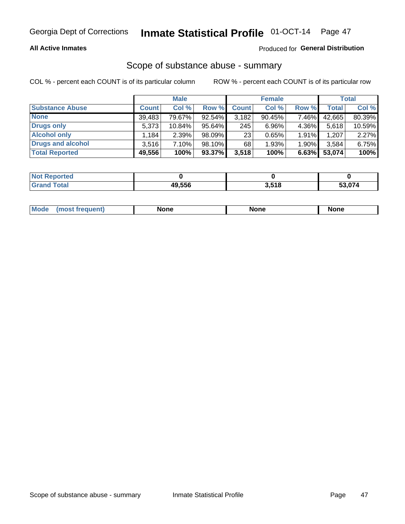#### **All Active Inmates**

#### Produced for General Distribution

## Scope of substance abuse - summary

COL % - percent each COUNT is of its particular column

|                        |              | <b>Male</b> |           |              | <b>Female</b> |       |        | <b>Total</b> |
|------------------------|--------------|-------------|-----------|--------------|---------------|-------|--------|--------------|
| <b>Substance Abuse</b> | <b>Count</b> | Col %       | Row %     | <b>Count</b> | Col %         | Row % | Total  | Col %        |
| <b>None</b>            | 39,483       | 79.67%      | 92.54%    | 3,182        | 90.45%        | 7.46% | 42,665 | 80.39%       |
| <b>Drugs only</b>      | 5.373        | 10.84%      | $95.64\%$ | 245          | $6.96\%$      | 4.36% | 5,618  | 10.59%       |
| <b>Alcohol only</b>    | .184         | $2.39\%$    | $98.09\%$ | 23           | 0.65%         | 1.91% | 1,207  | 2.27%        |
| Drugs and alcohol      | 3.516        | $7.10\%$    | 98.10%    | 68           | 1.93%         | 1.90% | 3,584  | 6.75%        |
| <b>Total Reported</b>  | 49,556       | 100%        | 93.37%    | 3,518        | 100%          | 6.63% | 53,074 | 100%         |

| <b>Not</b><br>Reported |        |       |        |
|------------------------|--------|-------|--------|
| Total                  | 49.556 | 3,518 | 53.074 |

| Mode<br>None<br>None<br>None<br>quenu |
|---------------------------------------|
|---------------------------------------|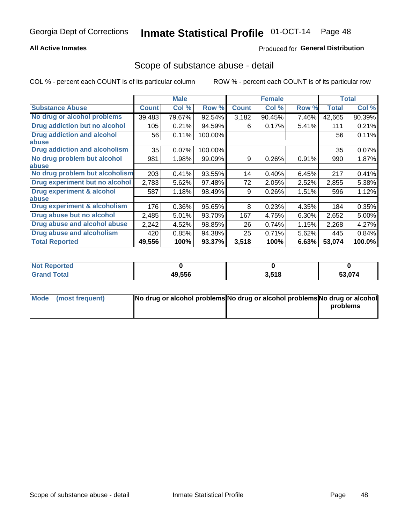#### **All Active Inmates**

### **Produced for General Distribution**

### Scope of substance abuse - detail

COL % - percent each COUNT is of its particular column

|                                      |              | <b>Male</b> |         |              | <b>Female</b> |       |              | <b>Total</b> |
|--------------------------------------|--------------|-------------|---------|--------------|---------------|-------|--------------|--------------|
| <b>Substance Abuse</b>               | <b>Count</b> | Col %       | Row %   | <b>Count</b> | Col %         | Row % | <b>Total</b> | Col %        |
| No drug or alcohol problems          | 39,483       | 79.67%      | 92.54%  | 3,182        | 90.45%        | 7.46% | 42,665       | 80.39%       |
| Drug addiction but no alcohol        | 105          | 0.21%       | 94.59%  | 6            | 0.17%         | 5.41% | 111          | 0.21%        |
| <b>Drug addiction and alcohol</b>    | 56           | 0.11%       | 100.00% |              |               |       | 56           | 0.11%        |
| <b>labuse</b>                        |              |             |         |              |               |       |              |              |
| <b>Drug addiction and alcoholism</b> | 35           | 0.07%       | 100.00% |              |               |       | 35           | 0.07%        |
| No drug problem but alcohol          | 981          | 1.98%       | 99.09%  | 9            | 0.26%         | 0.91% | 990          | 1.87%        |
| <b>labuse</b>                        |              |             |         |              |               |       |              |              |
| No drug problem but alcoholism       | 203          | 0.41%       | 93.55%  | 14           | 0.40%         | 6.45% | 217          | 0.41%        |
| Drug experiment but no alcohol       | 2,783        | 5.62%       | 97.48%  | 72           | 2.05%         | 2.52% | 2,855        | 5.38%        |
| <b>Drug experiment &amp; alcohol</b> | 587          | 1.18%       | 98.49%  | 9            | 0.26%         | 1.51% | 596          | 1.12%        |
| <b>labuse</b>                        |              |             |         |              |               |       |              |              |
| Drug experiment & alcoholism         | 176          | 0.36%       | 95.65%  | 8            | 0.23%         | 4.35% | 184          | 0.35%        |
| Drug abuse but no alcohol            | 2,485        | 5.01%       | 93.70%  | 167          | 4.75%         | 6.30% | 2,652        | 5.00%        |
| Drug abuse and alcohol abuse         | 2,242        | 4.52%       | 98.85%  | 26           | 0.74%         | 1.15% | 2,268        | 4.27%        |
| <b>Drug abuse and alcoholism</b>     | 420          | 0.85%       | 94.38%  | 25           | 0.71%         | 5.62% | 445          | 0.84%        |
| <b>Total Reported</b>                | 49,556       | 100%        | 93.37%  | 3,518        | 100%          | 6.63% | 53,074       | 100.0%       |

| orted<br>NOT |        |       |        |
|--------------|--------|-------|--------|
| <b>otal</b>  | 49.556 | 3,518 | 53,074 |

| Mode (most frequent) | No drug or alcohol problems No drug or alcohol problems No drug or alcohol |          |
|----------------------|----------------------------------------------------------------------------|----------|
|                      |                                                                            | problems |
|                      |                                                                            |          |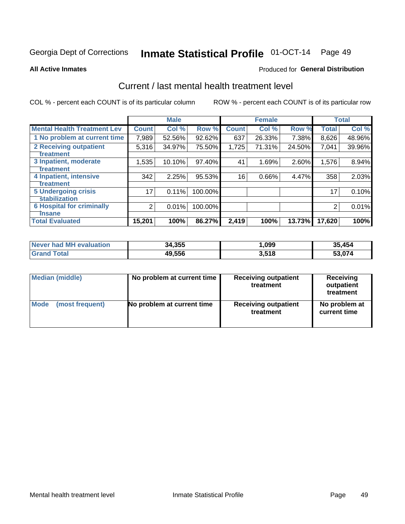# Inmate Statistical Profile 01-OCT-14 Page 49

#### **All Active Inmates**

#### **Produced for General Distribution**

## Current / last mental health treatment level

COL % - percent each COUNT is of its particular column

|                                    |                | <b>Male</b> |         |              | <b>Female</b> |        |              | <b>Total</b> |
|------------------------------------|----------------|-------------|---------|--------------|---------------|--------|--------------|--------------|
| <b>Mental Health Treatment Lev</b> | <b>Count</b>   | Col %       | Row %   | <b>Count</b> | Col %         | Row %  | <b>Total</b> | Col %        |
| 1 No problem at current time       | 7,989          | 52.56%      | 92.62%  | 637          | 26.33%        | 7.38%  | 8,626        | 48.96%       |
| 2 Receiving outpatient             | 5,316          | 34.97%      | 75.50%  | 1,725        | 71.31%        | 24.50% | 7,041        | 39.96%       |
| <b>Treatment</b>                   |                |             |         |              |               |        |              |              |
| 3 Inpatient, moderate              | 1,535          | 10.10%      | 97.40%  | 41           | 1.69%         | 2.60%  | 1,576        | 8.94%        |
| Treatment                          |                |             |         |              |               |        |              |              |
| 4 Inpatient, intensive             | 342            | 2.25%       | 95.53%  | 16           | 0.66%         | 4.47%  | 358          | 2.03%        |
| <b>Treatment</b>                   |                |             |         |              |               |        |              |              |
| <b>5 Undergoing crisis</b>         | 17             | 0.11%       | 100.00% |              |               |        | 17           | 0.10%        |
| <b>Stabilization</b>               |                |             |         |              |               |        |              |              |
| <b>6 Hospital for criminally</b>   | $\overline{2}$ | 0.01%       | 100.00% |              |               |        | 2            | 0.01%        |
| <b>Tinsane</b>                     |                |             |         |              |               |        |              |              |
| <b>Total Evaluated</b>             | 15,201         | 100%        | 86.27%  | 2,419        | 100%          | 13.73% | 17,620       | 100%         |

| Never had MH evaluation | 34,355 | ,099  | 35,454 |
|-------------------------|--------|-------|--------|
| <b>Grand Total</b>      | 49,556 | 3,518 | 53,074 |

| Median (middle) | No problem at current time | <b>Receiving outpatient</b><br>treatment | <b>Receiving</b><br>outpatient<br>treatment |
|-----------------|----------------------------|------------------------------------------|---------------------------------------------|
| <b>Mode</b>     | No problem at current time | <b>Receiving outpatient</b>              | No problem at                               |
| (most frequent) |                            | treatment                                | current time                                |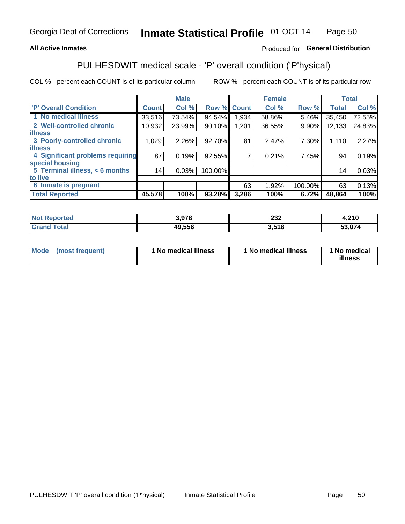#### **All Active Inmates**

### Produced for General Distribution

## PULHESDWIT medical scale - 'P' overall condition ('P'hysical)

COL % - percent each COUNT is of its particular column

|                                  |              | <b>Male</b> |         |              | <b>Female</b> |         |              | <b>Total</b> |
|----------------------------------|--------------|-------------|---------|--------------|---------------|---------|--------------|--------------|
| 'P' Overall Condition            | <b>Count</b> | Col %       | Row %   | <b>Count</b> | Col %         | Row %   | <b>Total</b> | Col %        |
| 1 No medical illness             | 33,516       | 73.54%      | 94.54%  | 1,934        | 58.86%        | 5.46%   | 35,450       | 72.55%       |
| 2 Well-controlled chronic        | 10,932       | 23.99%      | 90.10%  | 1,201        | 36.55%        | 9.90%   | 12,133       | 24.83%       |
| <b>illness</b>                   |              |             |         |              |               |         |              |              |
| 3 Poorly-controlled chronic      | 1,029        | $2.26\%$    | 92.70%  | 81           | 2.47%         | 7.30%   | 1,110        | 2.27%        |
| <b>illness</b>                   |              |             |         |              |               |         |              |              |
| 4 Significant problems requiring | 87           | 0.19%       | 92.55%  |              | 0.21%         | 7.45%   | 94           | 0.19%        |
| special housing                  |              |             |         |              |               |         |              |              |
| 5 Terminal illness, < 6 months   | 14           | 0.03%       | 100.00% |              |               |         | 14           | 0.03%        |
| to live                          |              |             |         |              |               |         |              |              |
| 6 Inmate is pregnant             |              |             |         | 63           | 1.92%         | 100.00% | 63           | 0.13%        |
| <b>Total Reported</b>            | 45,578       | 100%        | 93.28%  | 3,286        | 100%          | 6.72%   | 48,864       | 100%         |

| тео | 2.070  | າາາ        | <b>210</b>    |
|-----|--------|------------|---------------|
|     | J.JI U | ZJZ        | 4,Z I U       |
|     | 19 556 | 518<br>. . | <u>גדה ה־</u> |

| Mode | (most frequent) | 1 No medical illness | 1 No medical illness | 1 No medical<br>illness |
|------|-----------------|----------------------|----------------------|-------------------------|
|------|-----------------|----------------------|----------------------|-------------------------|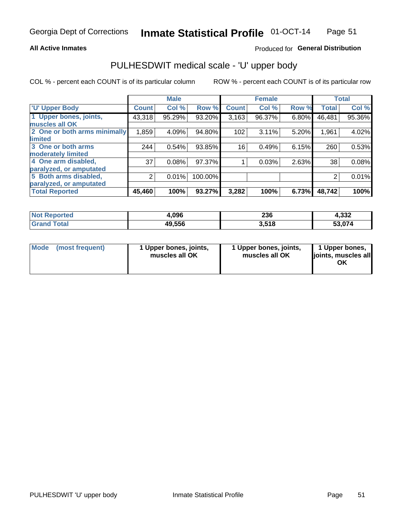#### **All Active Inmates**

### Produced for General Distribution

## PULHESDWIT medical scale - 'U' upper body

COL % - percent each COUNT is of its particular column

|                              |              | <b>Male</b> |         |              | <b>Female</b> |       |              | <b>Total</b> |
|------------------------------|--------------|-------------|---------|--------------|---------------|-------|--------------|--------------|
| <b>U' Upper Body</b>         | <b>Count</b> | Col %       | Row %   | <b>Count</b> | Col %         | Row % | <b>Total</b> | Col %        |
| 1 Upper bones, joints,       | 43,318       | 95.29%      | 93.20%  | 3,163        | 96.37%        | 6.80% | 46,481       | 95.36%       |
| muscles all OK               |              |             |         |              |               |       |              |              |
| 2 One or both arms minimally | 1,859        | 4.09%       | 94.80%  | 102          | 3.11%         | 5.20% | 1,961        | 4.02%        |
| limited                      |              |             |         |              |               |       |              |              |
| 3 One or both arms           | 244          | 0.54%       | 93.85%  | 16           | 0.49%         | 6.15% | 260          | 0.53%        |
| <b>moderately limited</b>    |              |             |         |              |               |       |              |              |
| 4 One arm disabled,          | 37           | 0.08%       | 97.37%  |              | 0.03%         | 2.63% | 38           | 0.08%        |
| paralyzed, or amputated      |              |             |         |              |               |       |              |              |
| 5 Both arms disabled,        | 2            | 0.01%       | 100.00% |              |               |       | 2            | 0.01%        |
| paralyzed, or amputated      |              |             |         |              |               |       |              |              |
| <b>Total Reported</b>        | 45,460       | 100%        | 93.27%  | 3,282        | 100%          | 6.73% | 48,742       | 100%         |

| <b>Not Reported</b>   | 4,096  | 236   | 4,332  |
|-----------------------|--------|-------|--------|
| <b>Total</b><br>Grand | 49,556 | 3,518 | 53,074 |

| Mode (most frequent) | 1 Upper bones, joints,<br>muscles all OK | 1 Upper bones, joints,<br>muscles all OK | 1 Upper bones,<br>joints, muscles all<br>ΟK |
|----------------------|------------------------------------------|------------------------------------------|---------------------------------------------|
|----------------------|------------------------------------------|------------------------------------------|---------------------------------------------|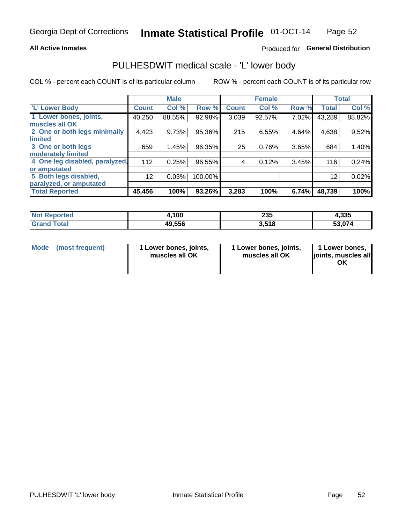#### **All Active Inmates**

### Produced for General Distribution

### PULHESDWIT medical scale - 'L' lower body

COL % - percent each COUNT is of its particular column

|                                |              | <b>Male</b> |         |              | <b>Female</b> |       |              | <b>Total</b> |
|--------------------------------|--------------|-------------|---------|--------------|---------------|-------|--------------|--------------|
| 'L' Lower Body                 | <b>Count</b> | Col %       | Row %   | <b>Count</b> | Col %         | Row % | <b>Total</b> | Col %        |
| 1 Lower bones, joints,         | 40,250       | 88.55%      | 92.98%  | 3,039        | 92.57%        | 7.02% | 43,289       | 88.82%       |
| muscles all OK                 |              |             |         |              |               |       |              |              |
| 2 One or both legs minimally   | 4,423        | 9.73%       | 95.36%  | 215          | 6.55%         | 4.64% | 4,638        | 9.52%        |
| limited                        |              |             |         |              |               |       |              |              |
| 3 One or both legs             | 659          | 1.45%       | 96.35%  | 25           | 0.76%         | 3.65% | 684          | 1.40%        |
| moderately limited             |              |             |         |              |               |       |              |              |
| 4 One leg disabled, paralyzed, | 112          | 0.25%       | 96.55%  | 4            | 0.12%         | 3.45% | 116          | 0.24%        |
| or amputated                   |              |             |         |              |               |       |              |              |
| 5 Both legs disabled,          | 12           | 0.03%       | 100.00% |              |               |       | 12           | 0.02%        |
| paralyzed, or amputated        |              |             |         |              |               |       |              |              |
| <b>Total Reported</b>          | 45,456       | 100%        | 93.26%  | 3,283        | 100%          | 6.74% | 48,739       | 100%         |

| <b>Not Reported</b>   | 4,100  | 235   | 4,335  |
|-----------------------|--------|-------|--------|
| <b>Total</b><br>Grand | 49,556 | 3,518 | 53,074 |

| Mode | (most frequent) | 1 Lower bones, joints,<br>muscles all OK | 1 Lower bones, joints,<br>muscles all OK | 1 Lower bones,<br>joints, muscles all<br>ΟK |
|------|-----------------|------------------------------------------|------------------------------------------|---------------------------------------------|
|------|-----------------|------------------------------------------|------------------------------------------|---------------------------------------------|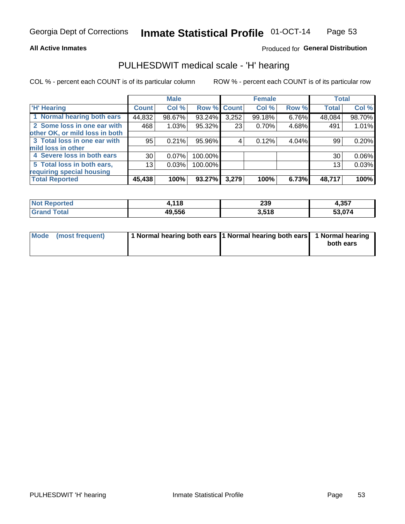#### **All Active Inmates**

### Produced for General Distribution

### PULHESDWIT medical scale - 'H' hearing

COL % - percent each COUNT is of its particular column

|                                |               | <b>Male</b> |         |             | <b>Female</b> |       | <b>Total</b> |        |
|--------------------------------|---------------|-------------|---------|-------------|---------------|-------|--------------|--------|
| <b>H' Hearing</b>              | <b>Count!</b> | Col %       |         | Row % Count | Col %         | Row % | <b>Total</b> | Col %  |
| 1 Normal hearing both ears     | 44,832        | 98.67%      | 93.24%  | 3,252       | 99.18%        | 6.76% | 48,084       | 98.70% |
| 2 Some loss in one ear with    | 468           | 1.03%       | 95.32%  | 23          | 0.70%         | 4.68% | 491          | 1.01%  |
| other OK, or mild loss in both |               |             |         |             |               |       |              |        |
| 3 Total loss in one ear with   | 95            | 0.21%       | 95.96%  | 4           | 0.12%         | 4.04% | 99           | 0.20%  |
| mild loss in other             |               |             |         |             |               |       |              |        |
| 4 Severe loss in both ears     | 30            | 0.07%       | 100.00% |             |               |       | 30           | 0.06%  |
| 5 Total loss in both ears,     | 13            | 0.03%       | 100.00% |             |               |       | 13           | 0.03%  |
| requiring special housing      |               |             |         |             |               |       |              |        |
| <b>Total Reported</b>          | 45,438        | 100%        | 93.27%  | 3,279       | 100%          | 6.73% | 48,717       | 100%   |

| <b>Not Renc</b> | 118    | non.  | 257    |
|-----------------|--------|-------|--------|
| ≅norted i       |        | 23Y   | 1.JJ 1 |
| Γotal           | 49,556 | 3,518 | 53,074 |

| Mode (most frequent) | 1 Normal hearing both ears 1 Normal hearing both ears 1 Normal hearing | both ears |
|----------------------|------------------------------------------------------------------------|-----------|
|                      |                                                                        |           |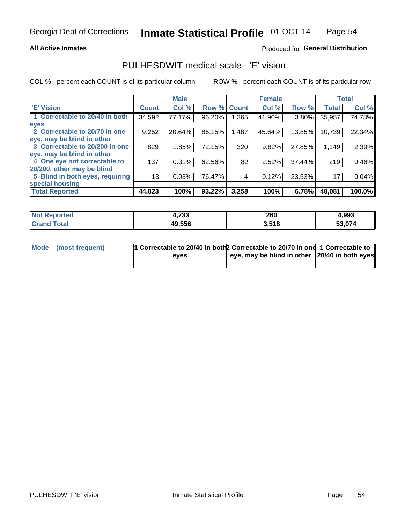#### **All Active Inmates**

#### Produced for General Distribution

### PULHESDWIT medical scale - 'E' vision

COL % - percent each COUNT is of its particular column

|                                 |              | <b>Male</b> |        |              | <b>Female</b> |        |              | <b>Total</b> |
|---------------------------------|--------------|-------------|--------|--------------|---------------|--------|--------------|--------------|
| 'E' Vision                      | <b>Count</b> | Col %       | Row %  | <b>Count</b> | Col %         | Row %  | <b>Total</b> | Col %        |
| 1 Correctable to 20/40 in both  | 34,592       | 77.17%      | 96.20% | .365         | 41.90%        | 3.80%  | 35,957       | 74.78%       |
| eyes                            |              |             |        |              |               |        |              |              |
| 2 Correctable to 20/70 in one   | 9,252        | 20.64%      | 86.15% | .487         | 45.64%        | 13.85% | 10,739       | 22.34%       |
| eye, may be blind in other      |              |             |        |              |               |        |              |              |
| 3 Correctable to 20/200 in one  | 829          | 1.85%       | 72.15% | 320          | 9.82%         | 27.85% | 1,149        | 2.39%        |
| leye, may be blind in other     |              |             |        |              |               |        |              |              |
| 4 One eye not correctable to    | 137          | 0.31%       | 62.56% | 82           | 2.52%         | 37.44% | 219          | 0.46%        |
| 20/200, other may be blind      |              |             |        |              |               |        |              |              |
| 5 Blind in both eyes, requiring | 13           | 0.03%       | 76.47% | 4            | 0.12%         | 23.53% | 17           | 0.04%        |
| special housing                 |              |             |        |              |               |        |              |              |
| <b>Total Reported</b>           | 44,823       | 100%        | 93.22% | 3,258        | 100%          | 6.78%  | 48,081       | 100.0%       |

| <b>Not Reported</b> | フクク<br>4,733 | 260   | 4,993  |
|---------------------|--------------|-------|--------|
| Total<br>Grand      | 49,556       | 3,518 | 53,074 |

| Mode (most frequent) | <sup>1</sup> Correctable to 20/40 in both 2 Correctable to 20/70 in one 1 Correctable to |                                               |  |
|----------------------|------------------------------------------------------------------------------------------|-----------------------------------------------|--|
|                      | eves                                                                                     | eye, may be blind in other 20/40 in both eyes |  |
|                      |                                                                                          |                                               |  |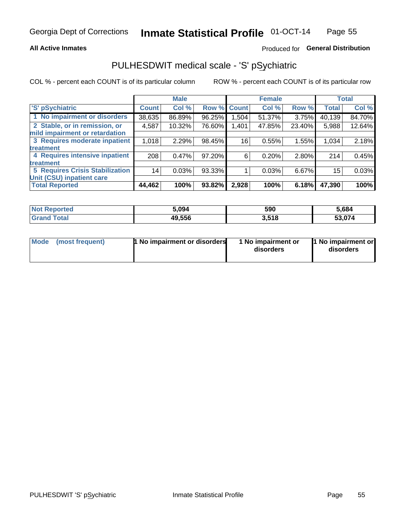#### **All Active Inmates**

### Produced for General Distribution

## PULHESDWIT medical scale - 'S' pSychiatric

COL % - percent each COUNT is of its particular column

|                                        |              | <b>Male</b> |        |              | <b>Female</b> |        |              | <b>Total</b> |
|----------------------------------------|--------------|-------------|--------|--------------|---------------|--------|--------------|--------------|
| 'S' pSychiatric                        | <b>Count</b> | Col %       | Row %  | <b>Count</b> | Col %         | Row %  | <b>Total</b> | Col %        |
| 1 No impairment or disorders           | 38,635       | 86.89%      | 96.25% | 1,504        | 51.37%        | 3.75%  | 40,139       | 84.70%       |
| 2 Stable, or in remission, or          | 4,587        | 10.32%      | 76.60% | 1,401        | 47.85%        | 23.40% | 5,988        | 12.64%       |
| mild impairment or retardation         |              |             |        |              |               |        |              |              |
| 3 Requires moderate inpatient          | 1,018        | 2.29%       | 98.45% | 16           | 0.55%         | 1.55%  | 1,034        | 2.18%        |
| treatment                              |              |             |        |              |               |        |              |              |
| 4 Requires intensive inpatient         | 208          | 0.47%       | 97.20% | 6            | 0.20%         | 2.80%  | 214          | 0.45%        |
| treatment                              |              |             |        |              |               |        |              |              |
| <b>5 Requires Crisis Stabilization</b> | 14           | 0.03%       | 93.33% |              | 0.03%         | 6.67%  | 15           | 0.03%        |
| Unit (CSU) inpatient care              |              |             |        |              |               |        |              |              |
| <b>Total Reported</b>                  | 44,462       | 100%        | 93.82% | 2,928        | 100%          | 6.18%  | 47,390       | 100%         |

| <b>Not Reported</b> | 5.094  | 590   | 5,684  |
|---------------------|--------|-------|--------|
| <b>Grand Total</b>  | 49,556 | 3,518 | 53.074 |

| Mode<br>1 No impairment or disorders<br>(most frequent) | 1 No impairment or<br>disorders | 1 No impairment or<br>disorders |
|---------------------------------------------------------|---------------------------------|---------------------------------|
|---------------------------------------------------------|---------------------------------|---------------------------------|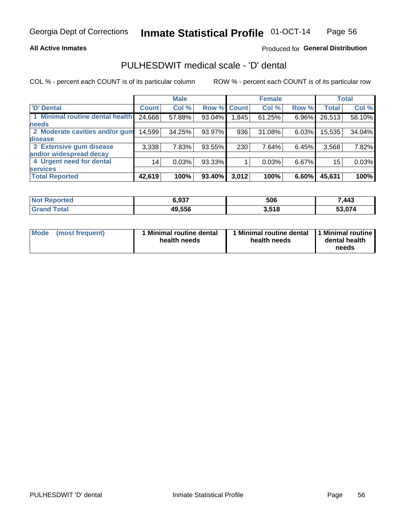#### **All Active Inmates**

### Produced for General Distribution

## PULHESDWIT medical scale - 'D' dental

COL % - percent each COUNT is of its particular column

|                                 |              | <b>Male</b> |        |              | <b>Female</b> |          |              | <b>Total</b> |
|---------------------------------|--------------|-------------|--------|--------------|---------------|----------|--------------|--------------|
| <b>D'</b> Dental                | <b>Count</b> | Col %       | Row %  | <b>Count</b> | Col %         | Row %    | <b>Total</b> | Col %        |
| 1 Minimal routine dental health | 24,668       | 57.88%      | 93.04% | 1,845        | 61.25%        | $6.96\%$ | 26,513       | 58.10%       |
| <b>needs</b>                    |              |             |        |              |               |          |              |              |
| 2 Moderate cavities and/or gum  | 14,599       | 34.25%      | 93.97% | 936          | 31.08%        | $6.03\%$ | 15,535       | 34.04%       |
| disease                         |              |             |        |              |               |          |              |              |
| 3 Extensive gum disease         | 3,338        | 7.83%       | 93.55% | 230          | 7.64%         | 6.45%    | 3,568        | 7.82%        |
| and/or widespread decay         |              |             |        |              |               |          |              |              |
| 4 Urgent need for dental        | 14           | 0.03%       | 93.33% |              | 0.03%         | 6.67%    | 15           | 0.03%        |
| <b>services</b>                 |              |             |        |              |               |          |              |              |
| <b>Total Reported</b>           | 42,619       | 100%        | 93.40% | 3,012        | 100%          | 6.60%    | 45,631       | 100%         |

| $N$<br>orted | 6.937  | 506   | .443   |
|--------------|--------|-------|--------|
| <b>Total</b> | 49,556 | 3,518 | 53.074 |

| <b>Mode</b> | (most frequent) | Minimal routine dental<br>health needs | 1 Minimal routine dental 11 Minimal routine<br>health needs | dental health<br>needs |
|-------------|-----------------|----------------------------------------|-------------------------------------------------------------|------------------------|
|-------------|-----------------|----------------------------------------|-------------------------------------------------------------|------------------------|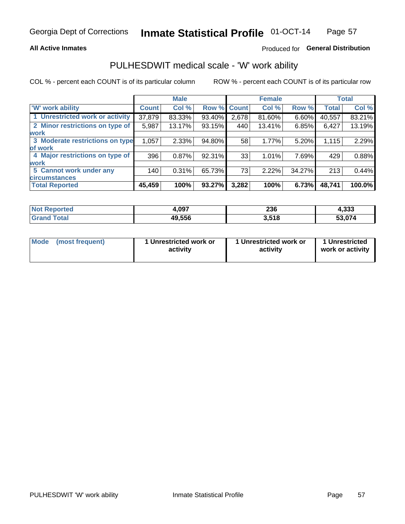#### **All Active Inmates**

### Produced for General Distribution

### PULHESDWIT medical scale - 'W' work ability

COL % - percent each COUNT is of its particular column

|                                 |              | <b>Male</b> |             |       | <b>Female</b> |        |              | <b>Total</b> |
|---------------------------------|--------------|-------------|-------------|-------|---------------|--------|--------------|--------------|
| 'W' work ability                | <b>Count</b> | Col %       | Row % Count |       | Col %         | Row %  | <b>Total</b> | Col %        |
| 1 Unrestricted work or activity | 37,879       | 83.33%      | 93.40%      | 2,678 | 81.60%        | 6.60%  | 40,557       | 83.21%       |
| 2 Minor restrictions on type of | 5,987        | 13.17%      | 93.15%      | 440   | 13.41%        | 6.85%  | 6,427        | 13.19%       |
| <b>work</b>                     |              |             |             |       |               |        |              |              |
| 3 Moderate restrictions on type | 1,057        | 2.33%       | 94.80%      | 58    | 1.77%         | 5.20%  | 1,115        | 2.29%        |
| lof work                        |              |             |             |       |               |        |              |              |
| 4 Major restrictions on type of | 396          | 0.87%       | 92.31%      | 33    | 1.01%         | 7.69%  | 429          | 0.88%        |
| <b>work</b>                     |              |             |             |       |               |        |              |              |
| 5 Cannot work under any         | 140          | 0.31%       | 65.73%      | 73    | 2.22%         | 34.27% | 213          | 0.44%        |
| <b>circumstances</b>            |              |             |             |       |               |        |              |              |
| <b>Total Reported</b>           | 45,459       | 100%        | 93.27%      | 3,282 | 100%          | 6.73%  | 48,741       | 100.0%       |

| <b>Not Reported</b>   | 1,097  | 236   | 4,333  |
|-----------------------|--------|-------|--------|
| Total<br><b>Grand</b> | 49,556 | 3,518 | 53,074 |

| Mode            | 1 Unrestricted work or | 1 Unrestricted work or | 1 Unrestricted   |
|-----------------|------------------------|------------------------|------------------|
| (most frequent) | activity               | activity               | work or activity |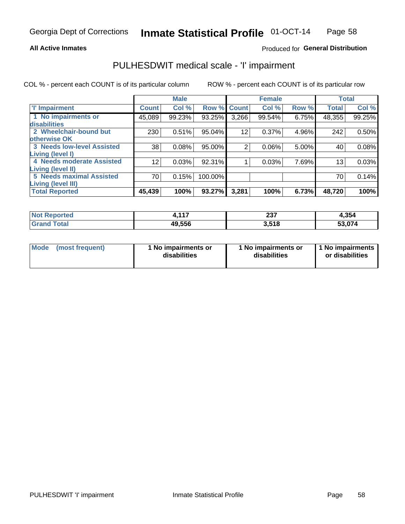#### **All Active Inmates**

### Produced for General Distribution

## PULHESDWIT medical scale - 'I' impairment

COL % - percent each COUNT is of its particular column

|                                   |              | <b>Male</b> |         |                 | <b>Female</b> |       |              | <b>Total</b> |
|-----------------------------------|--------------|-------------|---------|-----------------|---------------|-------|--------------|--------------|
| <b>T' Impairment</b>              | <b>Count</b> | Col %       |         | Row % Count     | Col %         | Row % | <b>Total</b> | Col %        |
| 1 No impairments or               | 45,089       | 99.23%      | 93.25%  | 3,266           | 99.54%        | 6.75% | 48,355       | 99.25%       |
| <b>disabilities</b>               |              |             |         |                 |               |       |              |              |
| 2 Wheelchair-bound but            | 230          | 0.51%       | 95.04%  | 12 <sup>°</sup> | 0.37%         | 4.96% | 242          | 0.50%        |
| otherwise OK                      |              |             |         |                 |               |       |              |              |
| <b>3 Needs low-level Assisted</b> | 38           | 0.08%       | 95.00%  | $\overline{2}$  | 0.06%         | 5.00% | 40           | 0.08%        |
| Living (level I)                  |              |             |         |                 |               |       |              |              |
| 4 Needs moderate Assisted         | 12           | 0.03%       | 92.31%  |                 | 0.03%         | 7.69% | 13           | 0.03%        |
| Living (level II)                 |              |             |         |                 |               |       |              |              |
| <b>5 Needs maximal Assisted</b>   | 70           | 0.15%       | 100.00% |                 |               |       | 70           | 0.14%        |
| <b>Living (level III)</b>         |              |             |         |                 |               |       |              |              |
| <b>Total Reported</b>             | 45,439       | 100%        | 93.27%  | 3,281           | 100%          | 6.73% | 48,720       | 100%         |

| <b>Not</b><br>Reported | .447   | <b>007</b><br>، د ے<br>$-$ | 4,354  |
|------------------------|--------|----------------------------|--------|
| Total                  | 49,556 | 3.518                      | 53.074 |

| Mode | (most frequent) | 1 No impairments or<br>disabilities | 1 No impairments or<br>disabilities | 1 No impairments<br>or disabilities |
|------|-----------------|-------------------------------------|-------------------------------------|-------------------------------------|
|------|-----------------|-------------------------------------|-------------------------------------|-------------------------------------|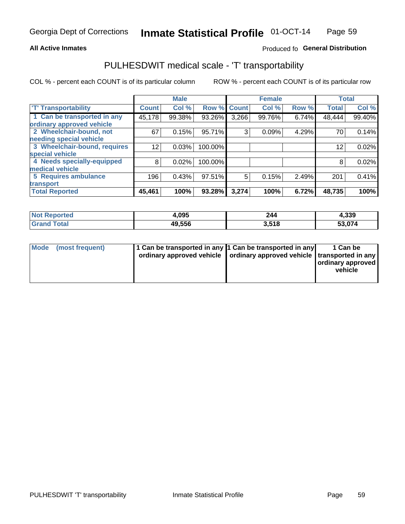#### **All Active Inmates**

### Produced fo General Distribution

## PULHESDWIT medical scale - 'T' transportability

COL % - percent each COUNT is of its particular column

|                              |              | <b>Male</b> |         |              | <b>Female</b> |       |              | <b>Total</b> |
|------------------------------|--------------|-------------|---------|--------------|---------------|-------|--------------|--------------|
| <b>T' Transportability</b>   | <b>Count</b> | Col %       | Row %   | <b>Count</b> | Col %         | Row % | <b>Total</b> | Col %        |
| 1 Can be transported in any  | 45,178       | 99.38%      | 93.26%  | 3,266        | 99.76%        | 6.74% | 48,444       | 99.40%       |
| ordinary approved vehicle    |              |             |         |              |               |       |              |              |
| 2 Wheelchair-bound, not      | 67           | 0.15%       | 95.71%  | 3            | 0.09%         | 4.29% | 70           | 0.14%        |
| needing special vehicle      |              |             |         |              |               |       |              |              |
| 3 Wheelchair-bound, requires | 12           | 0.03%       | 100.00% |              |               |       | 12           | 0.02%        |
| special vehicle              |              |             |         |              |               |       |              |              |
| 4 Needs specially-equipped   | 8            | 0.02%       | 100.00% |              |               |       | 8            | 0.02%        |
| medical vehicle              |              |             |         |              |               |       |              |              |
| <b>5 Requires ambulance</b>  | 196          | 0.43%       | 97.51%  | 5            | 0.15%         | 2.49% | 201          | 0.41%        |
| transport                    |              |             |         |              |               |       |              |              |
| <b>Total Reported</b>        | 45,461       | 100%        | 93.28%  | 3,274        | 100%          | 6.72% | 48,735       | 100%         |

| Reported<br>NOI | 1,095  | 244   | 4,339  |
|-----------------|--------|-------|--------|
| Total           | 49.556 | 3.518 | 53,074 |

|  | Mode (most frequent) | 1 Can be transported in any 1 Can be transported in any<br>ordinary approved vehicle   ordinary approved vehicle   transported in any |  | 1 Can be<br>  ordinary approved  <br>vehicle |
|--|----------------------|---------------------------------------------------------------------------------------------------------------------------------------|--|----------------------------------------------|
|--|----------------------|---------------------------------------------------------------------------------------------------------------------------------------|--|----------------------------------------------|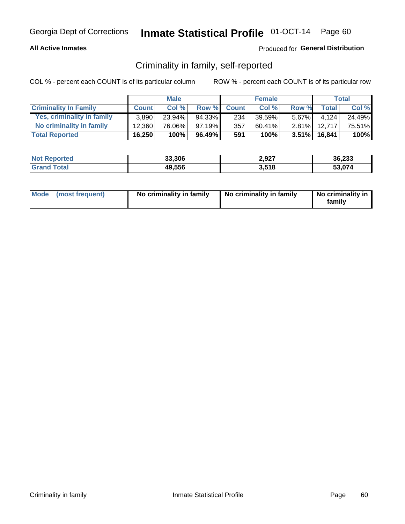#### **All Active Inmates**

### Produced for General Distribution

### Criminality in family, self-reported

COL % - percent each COUNT is of its particular column

|                              |              | <b>Male</b> |           |              | <b>Female</b> |          |                 | Total  |
|------------------------------|--------------|-------------|-----------|--------------|---------------|----------|-----------------|--------|
| <b>Criminality In Family</b> | <b>Count</b> | Col%        | Row %     | <b>Count</b> | Col %         | Row %    | <b>Total</b>    | Col %  |
| Yes, criminality in family   | 3.890        | $23.94\%$   | 94.33%    | 234          | 39.59%        | $5.67\%$ | 4.124           | 24.49% |
| No criminality in family     | 12.360       | 76.06%      | $97.19\%$ | 357          | $60.41\%$     | $2.81\%$ | 12.717          | 75.51% |
| <b>Total Reported</b>        | 16,250       | 100%        | 96.49%    | 591          | 100%          |          | $3.51\%$ 16,841 | 100%   |

| <b>Not</b><br>Reported | 33,306 | 2,927 | 36,233 |
|------------------------|--------|-------|--------|
| <b>otal</b>            | 49,556 | 3,518 | 53 074 |

|  | Mode (most frequent) | No criminality in family | No criminality in family | No criminality in<br>family |
|--|----------------------|--------------------------|--------------------------|-----------------------------|
|--|----------------------|--------------------------|--------------------------|-----------------------------|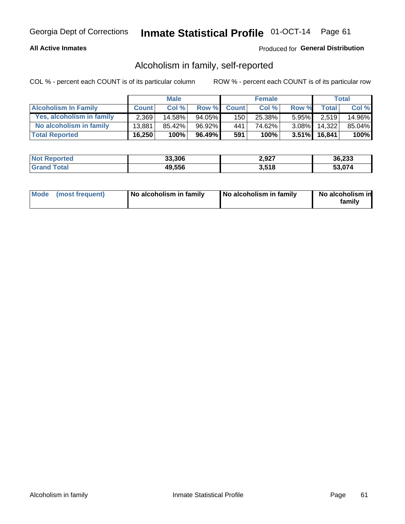#### **All Active Inmates**

### Produced for General Distribution

### Alcoholism in family, self-reported

COL % - percent each COUNT is of its particular column

|                             |              | <b>Male</b> |        |              | <b>Female</b> |          |                 | Total  |
|-----------------------------|--------------|-------------|--------|--------------|---------------|----------|-----------------|--------|
| <b>Alcoholism In Family</b> | <b>Count</b> | Col%        | Row %  | <b>Count</b> | Col%          | Row %    | <b>Total</b>    | Col %  |
| Yes, alcoholism in family   | 2,369        | 14.58%      | 94.05% | 150          | 25.38%        | $5.95\%$ | 2.519           | 14.96% |
| No alcoholism in family     | 13,881       | 85.42%      | 96.92% | 441          | 74.62%        | $3.08\%$ | 14.322          | 85.04% |
| <b>Total Reported</b>       | 16,250       | 100%        | 96.49% | 591          | 100%          |          | $3.51\%$ 16,841 | 100%   |

| <b>Not Reported</b> | 33,306 | 2,927 | 36,233 |
|---------------------|--------|-------|--------|
| Total<br>l Grand    | 49,556 | 3,518 | 53.074 |

|  | Mode (most frequent) | No alcoholism in family | No alcoholism in family | No alcoholism in<br>family |
|--|----------------------|-------------------------|-------------------------|----------------------------|
|--|----------------------|-------------------------|-------------------------|----------------------------|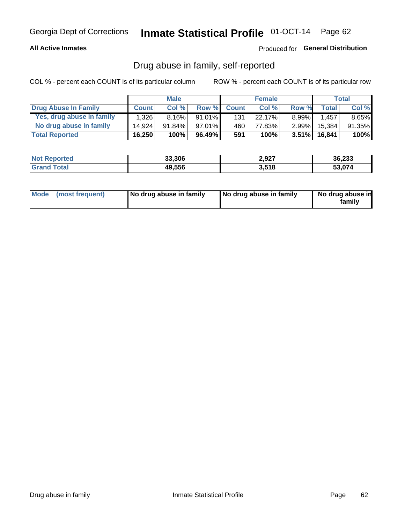#### **All Active Inmates**

### Produced for General Distribution

### Drug abuse in family, self-reported

COL % - percent each COUNT is of its particular column

|                           |              | <b>Male</b> |           |              | <b>Female</b> |          |                 | Total    |
|---------------------------|--------------|-------------|-----------|--------------|---------------|----------|-----------------|----------|
| Drug Abuse In Family      | <b>Count</b> | Col%        | Row %     | <b>Count</b> | Col%          | Row %    | Total           | Col %    |
| Yes, drug abuse in family | 1,326        | $8.16\%$    | $91.01\%$ | 131          | 22.17%        | $8.99\%$ | .457            | $8.65\%$ |
| No drug abuse in family   | 14.924       | $91.84\%$   | $97.01\%$ | 460          | 77.83%        | $2.99\%$ | 15,384          | 91.35%   |
| <b>Total Reported</b>     | 16,250       | 100%        | 96.49%    | 591          | 100%          |          | $3.51\%$ 16,841 | $100\%$  |

| <b>Not</b><br>Reported | 33,306 | 2,927 | 36,233 |
|------------------------|--------|-------|--------|
| 'ota                   | 49,556 | 3,518 | 53.074 |

|  | Mode (most frequent) | No drug abuse in family | No drug abuse in family | No drug abuse in<br>familv |
|--|----------------------|-------------------------|-------------------------|----------------------------|
|--|----------------------|-------------------------|-------------------------|----------------------------|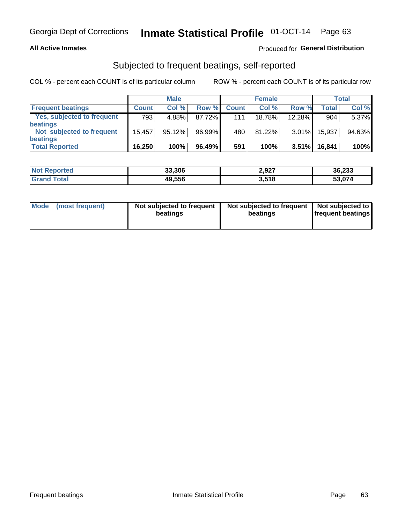#### **All Active Inmates**

### Produced for General Distribution

### Subjected to frequent beatings, self-reported

COL % - percent each COUNT is of its particular column

|                                   |              | <b>Male</b> |        |              | <b>Female</b> |          |              | Total  |
|-----------------------------------|--------------|-------------|--------|--------------|---------------|----------|--------------|--------|
| <b>Frequent beatings</b>          | <b>Count</b> | Col %       | Row %  | <b>Count</b> | Col %         | Row %    | <b>Total</b> | Col %  |
| <b>Yes, subjected to frequent</b> | 793          | 4.88%       | 87.72% | 1111         | 18.78%        | 12.28%   | 904          | 5.37%  |
| beatings                          |              |             |        |              |               |          |              |        |
| Not subjected to frequent         | 15.457       | 95.12%      | 96.99% | 480          | 81.22%        | $3.01\%$ | 15,937       | 94.63% |
| beatings                          |              |             |        |              |               |          |              |        |
| <b>Total Reported</b>             | 16,250       | 100%        | 96.49% | 591          | 100%          | $3.51\%$ | 16,841       | 100%   |

| <b>Not</b><br>Reported | 33,306 | 2,927 | 36,233 |
|------------------------|--------|-------|--------|
| ⊺otal                  | 49,556 | 3,518 | 53,074 |

| Mode (most frequent) | Not subjected to frequent<br>beatings | Not subjected to frequent<br>beatings | Not subjected to<br><b>frequent beatings</b> |
|----------------------|---------------------------------------|---------------------------------------|----------------------------------------------|
|                      |                                       |                                       |                                              |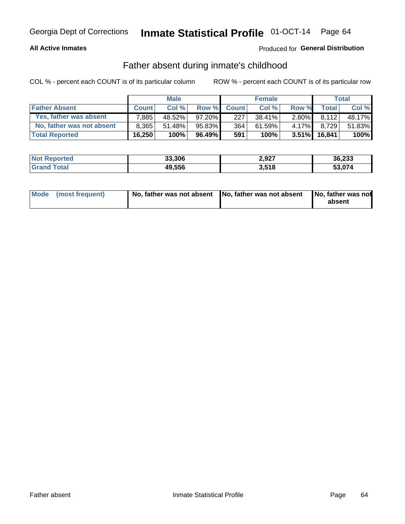#### **All Active Inmates**

### **Produced for General Distribution**

### Father absent during inmate's childhood

COL % - percent each COUNT is of its particular column

|                           |              | <b>Male</b> |           |              | <b>Female</b> |          |              | Total  |
|---------------------------|--------------|-------------|-----------|--------------|---------------|----------|--------------|--------|
| <b>Father Absent</b>      | <b>Count</b> | Col%        | Row %     | <b>Count</b> | Col %         | Row %    | <b>Total</b> | Col %  |
| Yes, father was absent    | 7.885        | 48.52%      | $97.20\%$ | 227          | 38.41%        | 2.80%    | 8.112        | 48.17% |
| No, father was not absent | 8.365        | 51.48%      | 95.83%    | 364          | 61.59%        | $4.17\%$ | 8.729        | 51.83% |
| <b>Total Reported</b>     | 16,250       | 100%        | 96.49%    | 591          | 100%          | $3.51\%$ | 16.841       | 100%   |

| <b>Not Reported</b> | 33,306 | 2,927 | 36,233 |
|---------------------|--------|-------|--------|
| <b>Srand Total</b>  | 49,556 | 3.518 | 53,074 |

|  | Mode (most frequent) | No, father was not absent No, father was not absent |  | No, father was not<br>absent |
|--|----------------------|-----------------------------------------------------|--|------------------------------|
|--|----------------------|-----------------------------------------------------|--|------------------------------|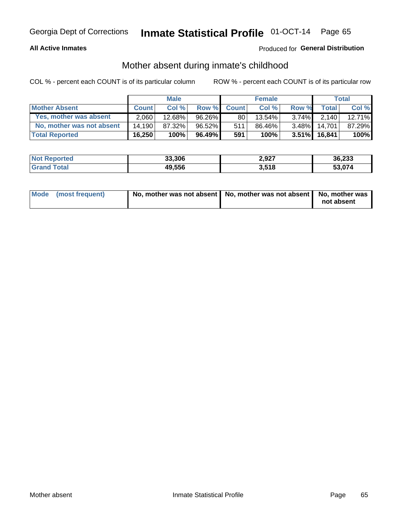#### **All Active Inmates**

### **Produced for General Distribution**

### Mother absent during inmate's childhood

COL % - percent each COUNT is of its particular column

|                           | <b>Male</b>  |        |           | <b>Female</b> |        |          | Total           |           |
|---------------------------|--------------|--------|-----------|---------------|--------|----------|-----------------|-----------|
| <b>Mother Absent</b>      | <b>Count</b> | Col %  | Row %     | <b>Count</b>  | Col %  | Row %    | Total           | Col %     |
| Yes, mother was absent    | 2,060        | 12.68% | 96.26%I   | 80            | 13.54% | $3.74\%$ | 2.140           | $12.71\%$ |
| No, mother was not absent | 14.190       | 87.32% | 96.52%    | 511           | 86.46% | $3.48\%$ | 14.701          | 87.29%    |
| <b>Total Reported</b>     | 16,250       | 100%   | $96.49\%$ | 591           | 100%   |          | $3.51\%$ 16,841 | $100\%$   |

| <b>Not</b><br>Reported | 33,306 | 2,927 | 36,233 |
|------------------------|--------|-------|--------|
| <b>otal</b>            | 49,556 | 3,518 | 53 074 |

| Mode (most frequent) | No, mother was not absent   No, mother was not absent   No, mother was | not absent |
|----------------------|------------------------------------------------------------------------|------------|
|                      |                                                                        |            |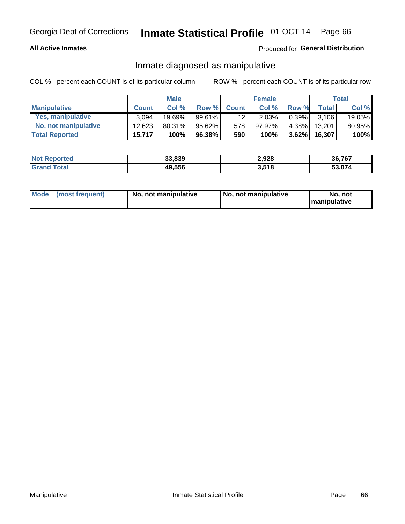#### **All Active Inmates**

### Produced for General Distribution

### Inmate diagnosed as manipulative

COL % - percent each COUNT is of its particular column

|                       | <b>Male</b>  |        |           | <b>Female</b> |        |          | Total        |        |
|-----------------------|--------------|--------|-----------|---------------|--------|----------|--------------|--------|
| <b>Manipulative</b>   | <b>Count</b> | Col %  | Row %     | <b>Count</b>  | Col%   | Row %    | <b>Total</b> | Col %  |
| Yes, manipulative     | 3.094        | 19.69% | 99.61%    | 12            | 2.03%  | $0.39\%$ | 3.106        | 19.05% |
| No, not manipulative  | 12.623       | 80.31% | $95.62\%$ | 578           | 97.97% | 4.38%I   | 13.201       | 80.95% |
| <b>Total Reported</b> | 15,717       | 100%   | 96.38%    | 590           | 100%   | $3.62\%$ | 16.307       | 100%   |

| Reported<br><b>NOT</b> | 33,839 | 2,928        | 36,767        |
|------------------------|--------|--------------|---------------|
| ota                    | 49,556 | 3,518<br>v.v | <b>CO 074</b> |

|  | Mode (most frequent) | No. not manipulative | No, not manipulative | No. not<br><b>I</b> manipulative |
|--|----------------------|----------------------|----------------------|----------------------------------|
|--|----------------------|----------------------|----------------------|----------------------------------|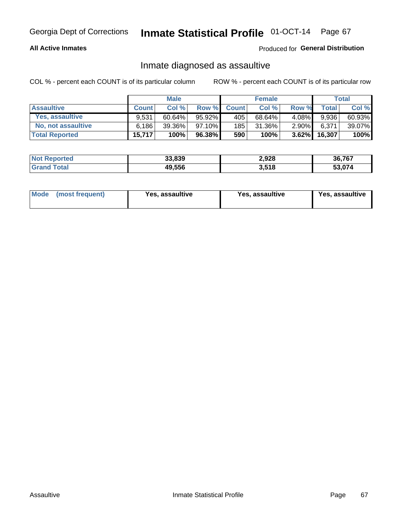#### **All Active Inmates**

#### Produced for General Distribution

### Inmate diagnosed as assaultive

COL % - percent each COUNT is of its particular column

|                           | <b>Male</b>  |           |           | <b>Female</b> |         |          | Total        |        |
|---------------------------|--------------|-----------|-----------|---------------|---------|----------|--------------|--------|
| <b>Assaultive</b>         | <b>Count</b> | Col%      | Row %     | <b>Count</b>  | Col %   | Row %    | <b>Total</b> | Col %  |
| Yes, assaultive           | 9.531        | $60.64\%$ | 95.92%    | 405           | 68.64%  | $4.08\%$ | 9,936        | 60.93% |
| <b>No, not assaultive</b> | 6.186        | 39.36%    | $97.10\%$ | 185           | 31.36%  | $2.90\%$ | 6,371        | 39.07% |
| <b>Total Reported</b>     | 15,717       | 100%      | 96.38%    | 590           | $100\%$ | $3.62\%$ | 16,307       | 100%   |

| <b>Not Reported</b> | 33,839 | 2,928 | 36,767 |
|---------------------|--------|-------|--------|
| ⊺otai               | 49,556 | 3,518 | 53.074 |

| Mode (most frequent)<br>Yes, assaultive | Yes, assaultive | <b>Yes, assaultive</b> |
|-----------------------------------------|-----------------|------------------------|
|-----------------------------------------|-----------------|------------------------|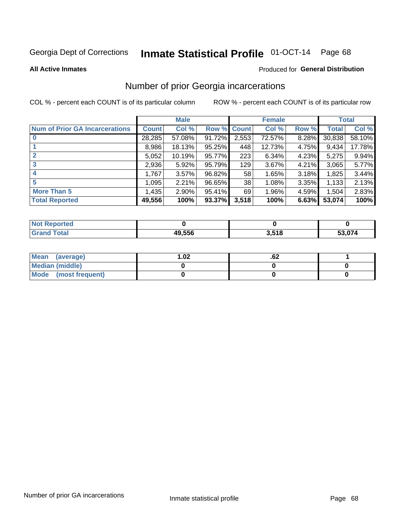# Inmate Statistical Profile 01-OCT-14 Page 68

#### **All Active Inmates**

#### Produced for General Distribution

### Number of prior Georgia incarcerations

COL % - percent each COUNT is of its particular column

|                                       |              | <b>Male</b> |             |       | <b>Female</b> |       |        | <b>Total</b> |
|---------------------------------------|--------------|-------------|-------------|-------|---------------|-------|--------|--------------|
| <b>Num of Prior GA Incarcerations</b> | <b>Count</b> | Col %       | Row % Count |       | Col %         | Row % | Total  | Col %        |
| $\bf{0}$                              | 28,285       | 57.08%      | 91.72%      | 2,553 | 72.57%        | 8.28% | 30,838 | 58.10%       |
|                                       | 8,986        | 18.13%      | $95.25\%$   | 448   | 12.73%        | 4.75% | 9,434  | 17.78%       |
| $\mathbf{2}$                          | 5,052        | 10.19%      | 95.77%      | 223   | 6.34%         | 4.23% | 5,275  | 9.94%        |
| 3                                     | 2,936        | 5.92%       | 95.79%      | 129   | 3.67%         | 4.21% | 3,065  | 5.77%        |
| $\boldsymbol{4}$                      | 1,767        | 3.57%       | 96.82%      | 58    | 1.65%         | 3.18% | 1,825  | 3.44%        |
| 5                                     | 1,095        | 2.21%       | 96.65%      | 38    | 1.08%         | 3.35% | 1,133  | 2.13%        |
| <b>More Than 5</b>                    | 1,435        | 2.90%       | 95.41%      | 69    | 1.96%         | 4.59% | 1,504  | 2.83%        |
| <b>Total Reported</b>                 | 49,556       | 100%        | 93.37%      | 3,518 | 100%          | 6.63% | 53,074 | 100%         |

| orted<br>NO. |        |       |                      |
|--------------|--------|-------|----------------------|
| <b>ota</b>   | 49.556 | 8,518 | $\sim$ $\sim$ $\sim$ |
| Gr           |        | ა.ა   | .074                 |

| Mean (average)         | $\overline{.02}$ | .oz |  |
|------------------------|------------------|-----|--|
| <b>Median (middle)</b> |                  |     |  |
| Mode (most frequent)   |                  |     |  |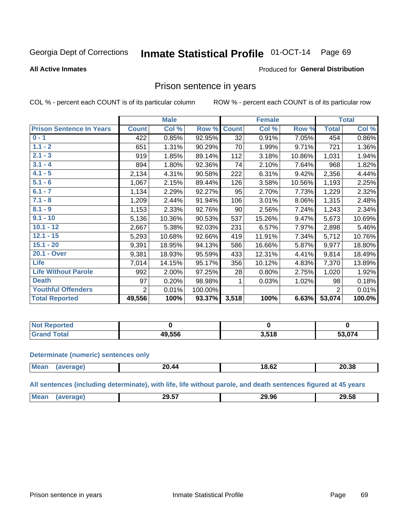#### Inmate Statistical Profile 01-OCT-14 Page 69

#### **All Active Inmates**

#### Produced for General Distribution

### Prison sentence in years

COL % - percent each COUNT is of its particular column

ROW % - percent each COUNT is of its particular row

|                                 | <b>Male</b>    |        |         |                 | <b>Female</b> | <b>Total</b> |                |        |
|---------------------------------|----------------|--------|---------|-----------------|---------------|--------------|----------------|--------|
| <b>Prison Sentence In Years</b> | <b>Count</b>   | Col %  | Row %   | <b>Count</b>    | Col %         | Row %        | <b>Total</b>   | Col %  |
| $0 - 1$                         | 422            | 0.85%  | 92.95%  | $\overline{32}$ | 0.91%         | 7.05%        | 454            | 0.86%  |
| $1.1 - 2$                       | 651            | 1.31%  | 90.29%  | 70              | 1.99%         | 9.71%        | 721            | 1.36%  |
| $2.1 - 3$                       | 919            | 1.85%  | 89.14%  | 112             | 3.18%         | 10.86%       | 1,031          | 1.94%  |
| $3.1 - 4$                       | 894            | 1.80%  | 92.36%  | 74              | 2.10%         | 7.64%        | 968            | 1.82%  |
| $4.1 - 5$                       | 2,134          | 4.31%  | 90.58%  | 222             | 6.31%         | 9.42%        | 2,356          | 4.44%  |
| $5.1 - 6$                       | 1,067          | 2.15%  | 89.44%  | 126             | 3.58%         | 10.56%       | 1,193          | 2.25%  |
| $6.1 - 7$                       | 1,134          | 2.29%  | 92.27%  | 95              | 2.70%         | 7.73%        | 1,229          | 2.32%  |
| $7.1 - 8$                       | 1,209          | 2.44%  | 91.94%  | 106             | 3.01%         | 8.06%        | 1,315          | 2.48%  |
| $8.1 - 9$                       | 1,153          | 2.33%  | 92.76%  | 90              | 2.56%         | 7.24%        | 1,243          | 2.34%  |
| $9.1 - 10$                      | 5,136          | 10.36% | 90.53%  | 537             | 15.26%        | 9.47%        | 5,673          | 10.69% |
| $10.1 - 12$                     | 2,667          | 5.38%  | 92.03%  | 231             | 6.57%         | 7.97%        | 2,898          | 5.46%  |
| $12.1 - 15$                     | 5,293          | 10.68% | 92.66%  | 419             | 11.91%        | 7.34%        | 5,712          | 10.76% |
| $15.1 - 20$                     | 9,391          | 18.95% | 94.13%  | 586             | 16.66%        | 5.87%        | 9,977          | 18.80% |
| 20.1 - Over                     | 9,381          | 18.93% | 95.59%  | 433             | 12.31%        | 4.41%        | 9,814          | 18.49% |
| <b>Life</b>                     | 7,014          | 14.15% | 95.17%  | 356             | 10.12%        | 4.83%        | 7,370          | 13.89% |
| <b>Life Without Parole</b>      | 992            | 2.00%  | 97.25%  | 28              | 0.80%         | 2.75%        | 1,020          | 1.92%  |
| <b>Death</b>                    | 97             | 0.20%  | 98.98%  |                 | 0.03%         | 1.02%        | 98             | 0.18%  |
| <b>Youthful Offenders</b>       | $\overline{2}$ | 0.01%  | 100.00% |                 |               |              | $\overline{2}$ | 0.01%  |
| <b>Total Reported</b>           | 49,556         | 100%   | 93.37%  | 3,518           | 100%          | 6.63%        | 53,074         | 100.0% |

| <b>Reported</b><br>I NOT F |        |      |     |  |  |
|----------------------------|--------|------|-----|--|--|
| A <sub>1</sub><br>. Caro   | 19.556 | ,518 | 074 |  |  |

#### **Determinate (numeric) sentences only**

| <b>Mean</b> | ∠0.44 | 18.62 | 20.38 |
|-------------|-------|-------|-------|
|             |       |       |       |

All sentences (including determinate), with life, life without parole, and death sentences figured at 45 years

| $M\Omega$ . | 29.57<br>29.DI<br>____ | 96.<br>29<br>____ | -0<br>. JC<br>. . |
|-------------|------------------------|-------------------|-------------------|
|             |                        |                   |                   |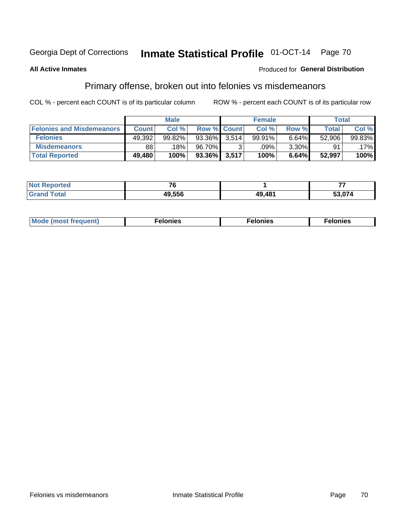#### Inmate Statistical Profile 01-OCT-14 Page 70

#### **All Active Inmates**

#### **Produced for General Distribution**

## Primary offense, broken out into felonies vs misdemeanors

COL % - percent each COUNT is of its particular column

|                                  | <b>Male</b>  |        |        | <b>Female</b>      |           |          | Total  |         |
|----------------------------------|--------------|--------|--------|--------------------|-----------|----------|--------|---------|
| <b>Felonies and Misdemeanors</b> | <b>Count</b> | Col%   |        | <b>Row % Count</b> | Col%      | Row %    | Total, | Col %   |
| <b>Felonies</b>                  | 49,392       | 99.82% | 93.36% | 3.514              | $99.91\%$ | 6.64%    | 52,906 | 99.83%  |
| <b>Misdemeanors</b>              | 88           | 18%    | 96.70% |                    | .09%      | $3.30\%$ | 91     | $.17\%$ |
| <b>Total Reported</b>            | 49,480       | 100%   | 93.36% | 3,517              | 100%      | 6.64%    | 52,997 | 100%    |

| <b>Not Reported</b> | $\rightarrow$ |        |        |  |
|---------------------|---------------|--------|--------|--|
| l Grand<br>Total    | 49.556        | 49,481 | 3.074، |  |

| Mo | ____ | 11 C.S<br>. | onies<br>. |
|----|------|-------------|------------|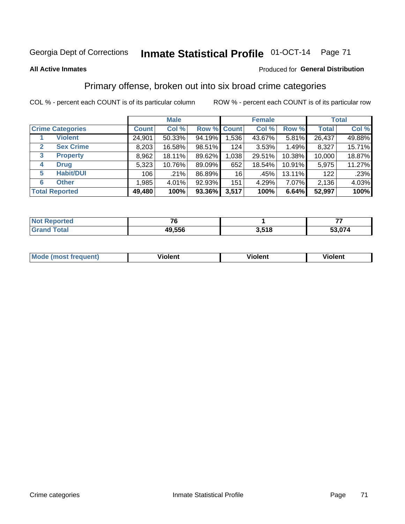## Georgia Dept of Corrections **Inmate Statistical Profile** 01-OCT-14 Page 71

#### **All Active Inmates**

#### Produced for **General Distribution**

### Primary offense, broken out into six broad crime categories

COL % - percent each COUNT is of its particular column ROW % - percent each COUNT is of its particular row

|                         | <b>Male</b>  |        |        | <b>Female</b> |        |        | <b>Total</b> |        |
|-------------------------|--------------|--------|--------|---------------|--------|--------|--------------|--------|
| <b>Crime Categories</b> | <b>Count</b> | Col %  |        | Row % Count   | Col %  | Row %  | <b>Total</b> | Col %  |
| <b>Violent</b>          | 24,901       | 50.33% | 94.19% | 1,536         | 43.67% | 5.81%  | 26,437       | 49.88% |
| <b>Sex Crime</b><br>2   | 8,203        | 16.58% | 98.51% | 124           | 3.53%  | 1.49%  | 8,327        | 15.71% |
| 3<br><b>Property</b>    | 8,962        | 18.11% | 89.62% | 1,038         | 29.51% | 10.38% | 10,000       | 18.87% |
| <b>Drug</b><br>4        | 5,323        | 10.76% | 89.09% | 652           | 18.54% | 10.91% | 5,975        | 11.27% |
| <b>Habit/DUI</b><br>5   | 106          | .21%   | 86.89% | 16            | .45%   | 13.11% | 122          | .23%   |
| <b>Other</b><br>6       | 1,985        | 4.01%  | 92.93% | 151           | 4.29%  | 7.07%  | 2,136        | 4.03%  |
| <b>Total Reported</b>   | 49,480       | 100%   | 93.36% | 3,517         | 100%   | 6.64%  | 52,997       | 100%   |

| rtea<br>NO        |        |       |      |  |  |
|-------------------|--------|-------|------|--|--|
| $T \sim$ follows: | 49,556 | 3,518 | .074 |  |  |

| Mo<br>uent)<br>nos | .<br>/iolent | <br>Violent | - --<br><b>Tiolent</b> |
|--------------------|--------------|-------------|------------------------|
|                    |              |             |                        |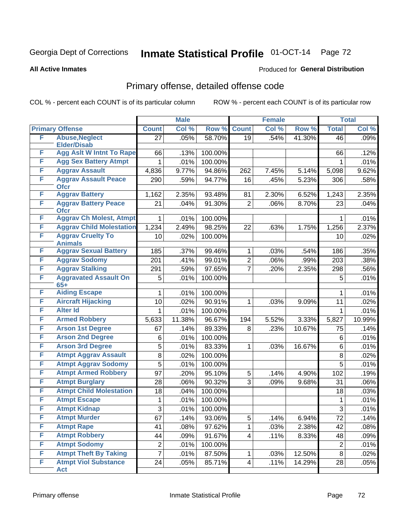## Georgia Dept of Corrections **Inmate Statistical Profile** 01-OCT-14 Page 72

#### **All Active Inmates**

#### Produced for **General Distribution**

### Primary offense, detailed offense code

COL % - percent each COUNT is of its particular column ROW % - percent each COUNT is of its particular row

|   |                                            |                  | <b>Male</b> |         |                 | <b>Female</b> |        |                 | <b>Total</b> |
|---|--------------------------------------------|------------------|-------------|---------|-----------------|---------------|--------|-----------------|--------------|
|   | <b>Primary Offense</b>                     | <b>Count</b>     | Col %       | Row %   | <b>Count</b>    | Col %         | Row %  | <b>Total</b>    | Col %        |
| F | <b>Abuse, Neglect</b>                      | $\overline{27}$  | .05%        | 58.70%  | $\overline{19}$ | .54%          | 41.30% | $\overline{46}$ | .09%         |
|   | <b>Elder/Disab</b>                         |                  |             |         |                 |               |        |                 |              |
| F | <b>Agg Aslt W Intnt To Rape</b>            | 66               | .13%        | 100.00% |                 |               |        | 66              | .12%         |
| F | <b>Agg Sex Battery Atmpt</b>               | 1                | .01%        | 100.00% |                 |               |        | 1               | .01%         |
| F | <b>Aggrav Assault</b>                      | 4,836            | 9.77%       | 94.86%  | 262             | 7.45%         | 5.14%  | 5,098           | 9.62%        |
| F | <b>Aggrav Assault Peace</b><br><b>Ofcr</b> | 290              | .59%        | 94.77%  | 16              | .45%          | 5.23%  | 306             | .58%         |
| F | <b>Aggrav Battery</b>                      | 1,162            | 2.35%       | 93.48%  | 81              | 2.30%         | 6.52%  | 1,243           | 2.35%        |
| F | <b>Aggrav Battery Peace</b><br><b>Ofcr</b> | 21               | .04%        | 91.30%  | $\overline{2}$  | .06%          | 8.70%  | 23              | .04%         |
| F | <b>Aggrav Ch Molest, Atmpt</b>             | 1                | .01%        | 100.00% |                 |               |        | 1               | .01%         |
| F | <b>Aggrav Child Molestation</b>            | 1,234            | 2.49%       | 98.25%  | 22              | .63%          | 1.75%  | 1,256           | 2.37%        |
| F | <b>Aggrav Cruelty To</b><br><b>Animals</b> | 10               | .02%        | 100.00% |                 |               |        | 10              | .02%         |
| F | <b>Aggrav Sexual Battery</b>               | 185              | .37%        | 99.46%  | 1               | .03%          | .54%   | 186             | .35%         |
| F | <b>Aggrav Sodomy</b>                       | 201              | .41%        | 99.01%  | $\overline{c}$  | .06%          | .99%   | 203             | .38%         |
| F | <b>Aggrav Stalking</b>                     | 291              | .59%        | 97.65%  | 7               | .20%          | 2.35%  | 298             | .56%         |
| F | <b>Aggravated Assault On</b><br>$65+$      | 5                | .01%        | 100.00% |                 |               |        | 5               | .01%         |
| F | <b>Aiding Escape</b>                       | 1                | .01%        | 100.00% |                 |               |        | 1               | .01%         |
| F | <b>Aircraft Hijacking</b>                  | 10               | .02%        | 90.91%  | 1               | .03%          | 9.09%  | 11              | .02%         |
| F | <b>Alter Id</b>                            | 1                | .01%        | 100.00% |                 |               |        | $\mathbf 1$     | .01%         |
| F | <b>Armed Robbery</b>                       | 5,633            | 11.38%      | 96.67%  | 194             | 5.52%         | 3.33%  | 5,827           | 10.99%       |
| F | <b>Arson 1st Degree</b>                    | 67               | .14%        | 89.33%  | 8               | .23%          | 10.67% | 75              | .14%         |
| F | <b>Arson 2nd Degree</b>                    | 6                | .01%        | 100.00% |                 |               |        | 6               | .01%         |
| F | <b>Arson 3rd Degree</b>                    | 5                | .01%        | 83.33%  | 1               | .03%          | 16.67% | 6               | .01%         |
| F | <b>Atmpt Aggrav Assault</b>                | 8                | .02%        | 100.00% |                 |               |        | 8               | .02%         |
| F | <b>Atmpt Aggrav Sodomy</b>                 | 5                | .01%        | 100.00% |                 |               |        | 5               | .01%         |
| F | <b>Atmpt Armed Robbery</b>                 | 97               | .20%        | 95.10%  | 5               | .14%          | 4.90%  | 102             | .19%         |
| F | <b>Atmpt Burglary</b>                      | 28               | .06%        | 90.32%  | 3               | .09%          | 9.68%  | 31              | .06%         |
| F | <b>Atmpt Child Molestation</b>             | 18               | .04%        | 100.00% |                 |               |        | 18              | .03%         |
| F | <b>Atmpt Escape</b>                        | 1                | .01%        | 100.00% |                 |               |        | 1               | .01%         |
| F | <b>Atmpt Kidnap</b>                        | 3                | .01%        | 100.00% |                 |               |        | 3               | .01%         |
| F | <b>Atmpt Murder</b>                        | 67               | .14%        | 93.06%  | 5               | .14%          | 6.94%  | 72              | .14%         |
| F | <b>Atmpt Rape</b>                          | 41               | .08%        | 97.62%  | 1               | .03%          | 2.38%  | 42              | .08%         |
| F | <b>Atmpt Robbery</b>                       | 44               | .09%        | 91.67%  | 4               | .11%          | 8.33%  | 48              | .09%         |
| F | <b>Atmpt Sodomy</b>                        | $\boldsymbol{2}$ | .01%        | 100.00% |                 |               |        | $\overline{2}$  | .01%         |
| F | <b>Atmpt Theft By Taking</b>               | $\overline{7}$   | .01%        | 87.50%  | 1               | .03%          | 12.50% | 8               | .02%         |
| F | <b>Atmpt Viol Substance</b>                | 24               | .05%        | 85.71%  | 4               | .11%          | 14.29% | 28              | .05%         |
|   | Act                                        |                  |             |         |                 |               |        |                 |              |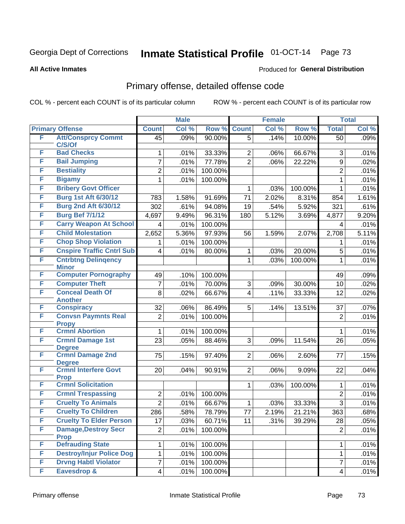#### **All Active Inmates**

### Produced for **General Distribution**

## Primary offense, detailed offense code

| Col %<br>Row %<br><b>Count</b><br>Col %<br>Row %<br><b>Total</b><br><b>Primary Offense</b><br><b>Count</b><br>F<br><b>Att/Consprcy Commt</b><br>.09%<br>90.00%<br>.14%<br>10.00%<br>$\overline{50}$<br>45<br>5<br>C/S/Of<br><b>Bad Checks</b><br>F<br>.01%<br>33.33%<br>66.67%<br>3<br>2<br>.06%<br>1<br>F<br><b>Bail Jumping</b><br>77.78%<br>.01%<br>$\overline{2}$<br>22.22%<br>$\overline{7}$<br>.06%<br>9<br>F<br><b>Bestiality</b><br>$\overline{2}$<br>.01%<br>100.00%<br>$\overline{2}$<br>F<br><b>Bigamy</b><br>100.00%<br>1<br>.01%<br>1<br><b>Bribery Govt Officer</b><br>F<br>100.00%<br>.03%<br>1<br>1<br><b>Burg 1st Aft 6/30/12</b><br>F<br>8.31%<br>1.58%<br>91.69%<br>71<br>2.02%<br>783<br>854<br>F<br><b>Burg 2nd Aft 6/30/12</b><br>302<br>.61%<br>94.08%<br>.54%<br>5.92%<br>19<br>321<br><b>Burg Bef 7/1/12</b><br>F<br>9.49%<br>96.31%<br>180<br>5.12%<br>4,697<br>3.69%<br>4,877<br><b>Carry Weapon At School</b><br>F<br>100.00%<br>.01%<br>4<br>4<br><b>Child Molestation</b><br>F<br>5.36%<br>97.93%<br>2,652<br>1.59%<br>2.07%<br>2,708<br>56<br><b>Chop Shop Violation</b><br>F<br>100.00%<br>.01%<br>1<br>1<br><b>Cnspire Traffic Cntrl Sub</b><br>F<br>5<br>.01%<br>80.00%<br>20.00%<br>4<br>.03%<br>1<br>F<br><b>Cntrbtng Delingency</b><br>1<br>.03%<br>$\mathbf{1}$<br>100.00%<br><b>Minor</b><br><b>Computer Pornography</b><br>F<br>100.00%<br>49<br>.10%<br>49<br>F<br><b>Computer Theft</b><br>.01%<br>3<br>30.00%<br>7<br>70.00%<br>.09%<br>10<br><b>Conceal Death Of</b><br>F<br>8<br>.02%<br>66.67%<br>4<br>.11%<br>33.33%<br>12<br><b>Another</b><br><b>Conspiracy</b><br>F<br>86.49%<br>5<br>37<br>32<br>.06%<br>.14%<br>13.51%<br>F<br><b>Convsn Paymnts Real</b><br>.01%<br>100.00%<br>$\overline{2}$<br>$\overline{2}$<br><b>Propy</b><br><b>Crmnl Abortion</b><br>F<br>100.00%<br>1<br>.01%<br>1<br>F<br><b>Crmnl Damage 1st</b><br>23<br>.05%<br>3<br>88.46%<br>.09%<br>11.54%<br>26<br><b>Degree</b><br><b>Crmnl Damage 2nd</b><br>F<br>75<br>$\overline{2}$<br>.15%<br>97.40%<br>.06%<br>2.60%<br>77<br><b>Degree</b><br><b>Crmnl Interfere Govt</b><br>F<br>90.91%<br>9.09%<br>20<br>.04%<br>$\overline{2}$<br>.06%<br>22<br><b>Prop</b> | Col %<br>.09%<br>.01%<br>.02%<br>.01%<br>.01%<br>.01%<br>1.61%<br>.61%<br>9.20%<br>.01%<br>5.11%<br>.01%<br>.01%<br>.01%<br>.09% |
|---------------------------------------------------------------------------------------------------------------------------------------------------------------------------------------------------------------------------------------------------------------------------------------------------------------------------------------------------------------------------------------------------------------------------------------------------------------------------------------------------------------------------------------------------------------------------------------------------------------------------------------------------------------------------------------------------------------------------------------------------------------------------------------------------------------------------------------------------------------------------------------------------------------------------------------------------------------------------------------------------------------------------------------------------------------------------------------------------------------------------------------------------------------------------------------------------------------------------------------------------------------------------------------------------------------------------------------------------------------------------------------------------------------------------------------------------------------------------------------------------------------------------------------------------------------------------------------------------------------------------------------------------------------------------------------------------------------------------------------------------------------------------------------------------------------------------------------------------------------------------------------------------------------------------------------------------------------------------------------------------------------------------------------------------------------------------------------------------------------------------------------------------------------------------------------------|----------------------------------------------------------------------------------------------------------------------------------|
|                                                                                                                                                                                                                                                                                                                                                                                                                                                                                                                                                                                                                                                                                                                                                                                                                                                                                                                                                                                                                                                                                                                                                                                                                                                                                                                                                                                                                                                                                                                                                                                                                                                                                                                                                                                                                                                                                                                                                                                                                                                                                                                                                                                             |                                                                                                                                  |
|                                                                                                                                                                                                                                                                                                                                                                                                                                                                                                                                                                                                                                                                                                                                                                                                                                                                                                                                                                                                                                                                                                                                                                                                                                                                                                                                                                                                                                                                                                                                                                                                                                                                                                                                                                                                                                                                                                                                                                                                                                                                                                                                                                                             |                                                                                                                                  |
|                                                                                                                                                                                                                                                                                                                                                                                                                                                                                                                                                                                                                                                                                                                                                                                                                                                                                                                                                                                                                                                                                                                                                                                                                                                                                                                                                                                                                                                                                                                                                                                                                                                                                                                                                                                                                                                                                                                                                                                                                                                                                                                                                                                             |                                                                                                                                  |
|                                                                                                                                                                                                                                                                                                                                                                                                                                                                                                                                                                                                                                                                                                                                                                                                                                                                                                                                                                                                                                                                                                                                                                                                                                                                                                                                                                                                                                                                                                                                                                                                                                                                                                                                                                                                                                                                                                                                                                                                                                                                                                                                                                                             |                                                                                                                                  |
|                                                                                                                                                                                                                                                                                                                                                                                                                                                                                                                                                                                                                                                                                                                                                                                                                                                                                                                                                                                                                                                                                                                                                                                                                                                                                                                                                                                                                                                                                                                                                                                                                                                                                                                                                                                                                                                                                                                                                                                                                                                                                                                                                                                             |                                                                                                                                  |
|                                                                                                                                                                                                                                                                                                                                                                                                                                                                                                                                                                                                                                                                                                                                                                                                                                                                                                                                                                                                                                                                                                                                                                                                                                                                                                                                                                                                                                                                                                                                                                                                                                                                                                                                                                                                                                                                                                                                                                                                                                                                                                                                                                                             |                                                                                                                                  |
|                                                                                                                                                                                                                                                                                                                                                                                                                                                                                                                                                                                                                                                                                                                                                                                                                                                                                                                                                                                                                                                                                                                                                                                                                                                                                                                                                                                                                                                                                                                                                                                                                                                                                                                                                                                                                                                                                                                                                                                                                                                                                                                                                                                             |                                                                                                                                  |
|                                                                                                                                                                                                                                                                                                                                                                                                                                                                                                                                                                                                                                                                                                                                                                                                                                                                                                                                                                                                                                                                                                                                                                                                                                                                                                                                                                                                                                                                                                                                                                                                                                                                                                                                                                                                                                                                                                                                                                                                                                                                                                                                                                                             |                                                                                                                                  |
|                                                                                                                                                                                                                                                                                                                                                                                                                                                                                                                                                                                                                                                                                                                                                                                                                                                                                                                                                                                                                                                                                                                                                                                                                                                                                                                                                                                                                                                                                                                                                                                                                                                                                                                                                                                                                                                                                                                                                                                                                                                                                                                                                                                             |                                                                                                                                  |
|                                                                                                                                                                                                                                                                                                                                                                                                                                                                                                                                                                                                                                                                                                                                                                                                                                                                                                                                                                                                                                                                                                                                                                                                                                                                                                                                                                                                                                                                                                                                                                                                                                                                                                                                                                                                                                                                                                                                                                                                                                                                                                                                                                                             |                                                                                                                                  |
|                                                                                                                                                                                                                                                                                                                                                                                                                                                                                                                                                                                                                                                                                                                                                                                                                                                                                                                                                                                                                                                                                                                                                                                                                                                                                                                                                                                                                                                                                                                                                                                                                                                                                                                                                                                                                                                                                                                                                                                                                                                                                                                                                                                             |                                                                                                                                  |
|                                                                                                                                                                                                                                                                                                                                                                                                                                                                                                                                                                                                                                                                                                                                                                                                                                                                                                                                                                                                                                                                                                                                                                                                                                                                                                                                                                                                                                                                                                                                                                                                                                                                                                                                                                                                                                                                                                                                                                                                                                                                                                                                                                                             |                                                                                                                                  |
|                                                                                                                                                                                                                                                                                                                                                                                                                                                                                                                                                                                                                                                                                                                                                                                                                                                                                                                                                                                                                                                                                                                                                                                                                                                                                                                                                                                                                                                                                                                                                                                                                                                                                                                                                                                                                                                                                                                                                                                                                                                                                                                                                                                             |                                                                                                                                  |
|                                                                                                                                                                                                                                                                                                                                                                                                                                                                                                                                                                                                                                                                                                                                                                                                                                                                                                                                                                                                                                                                                                                                                                                                                                                                                                                                                                                                                                                                                                                                                                                                                                                                                                                                                                                                                                                                                                                                                                                                                                                                                                                                                                                             |                                                                                                                                  |
|                                                                                                                                                                                                                                                                                                                                                                                                                                                                                                                                                                                                                                                                                                                                                                                                                                                                                                                                                                                                                                                                                                                                                                                                                                                                                                                                                                                                                                                                                                                                                                                                                                                                                                                                                                                                                                                                                                                                                                                                                                                                                                                                                                                             |                                                                                                                                  |
|                                                                                                                                                                                                                                                                                                                                                                                                                                                                                                                                                                                                                                                                                                                                                                                                                                                                                                                                                                                                                                                                                                                                                                                                                                                                                                                                                                                                                                                                                                                                                                                                                                                                                                                                                                                                                                                                                                                                                                                                                                                                                                                                                                                             |                                                                                                                                  |
|                                                                                                                                                                                                                                                                                                                                                                                                                                                                                                                                                                                                                                                                                                                                                                                                                                                                                                                                                                                                                                                                                                                                                                                                                                                                                                                                                                                                                                                                                                                                                                                                                                                                                                                                                                                                                                                                                                                                                                                                                                                                                                                                                                                             | .02%                                                                                                                             |
|                                                                                                                                                                                                                                                                                                                                                                                                                                                                                                                                                                                                                                                                                                                                                                                                                                                                                                                                                                                                                                                                                                                                                                                                                                                                                                                                                                                                                                                                                                                                                                                                                                                                                                                                                                                                                                                                                                                                                                                                                                                                                                                                                                                             | .02%                                                                                                                             |
|                                                                                                                                                                                                                                                                                                                                                                                                                                                                                                                                                                                                                                                                                                                                                                                                                                                                                                                                                                                                                                                                                                                                                                                                                                                                                                                                                                                                                                                                                                                                                                                                                                                                                                                                                                                                                                                                                                                                                                                                                                                                                                                                                                                             | .07%                                                                                                                             |
|                                                                                                                                                                                                                                                                                                                                                                                                                                                                                                                                                                                                                                                                                                                                                                                                                                                                                                                                                                                                                                                                                                                                                                                                                                                                                                                                                                                                                                                                                                                                                                                                                                                                                                                                                                                                                                                                                                                                                                                                                                                                                                                                                                                             | .01%                                                                                                                             |
|                                                                                                                                                                                                                                                                                                                                                                                                                                                                                                                                                                                                                                                                                                                                                                                                                                                                                                                                                                                                                                                                                                                                                                                                                                                                                                                                                                                                                                                                                                                                                                                                                                                                                                                                                                                                                                                                                                                                                                                                                                                                                                                                                                                             | .01%                                                                                                                             |
|                                                                                                                                                                                                                                                                                                                                                                                                                                                                                                                                                                                                                                                                                                                                                                                                                                                                                                                                                                                                                                                                                                                                                                                                                                                                                                                                                                                                                                                                                                                                                                                                                                                                                                                                                                                                                                                                                                                                                                                                                                                                                                                                                                                             | .05%                                                                                                                             |
|                                                                                                                                                                                                                                                                                                                                                                                                                                                                                                                                                                                                                                                                                                                                                                                                                                                                                                                                                                                                                                                                                                                                                                                                                                                                                                                                                                                                                                                                                                                                                                                                                                                                                                                                                                                                                                                                                                                                                                                                                                                                                                                                                                                             |                                                                                                                                  |
|                                                                                                                                                                                                                                                                                                                                                                                                                                                                                                                                                                                                                                                                                                                                                                                                                                                                                                                                                                                                                                                                                                                                                                                                                                                                                                                                                                                                                                                                                                                                                                                                                                                                                                                                                                                                                                                                                                                                                                                                                                                                                                                                                                                             | .15%                                                                                                                             |
|                                                                                                                                                                                                                                                                                                                                                                                                                                                                                                                                                                                                                                                                                                                                                                                                                                                                                                                                                                                                                                                                                                                                                                                                                                                                                                                                                                                                                                                                                                                                                                                                                                                                                                                                                                                                                                                                                                                                                                                                                                                                                                                                                                                             | .04%                                                                                                                             |
| <b>Crmnl Solicitation</b><br>F<br>100.00%<br>1<br>.03%<br>1                                                                                                                                                                                                                                                                                                                                                                                                                                                                                                                                                                                                                                                                                                                                                                                                                                                                                                                                                                                                                                                                                                                                                                                                                                                                                                                                                                                                                                                                                                                                                                                                                                                                                                                                                                                                                                                                                                                                                                                                                                                                                                                                 | .01%                                                                                                                             |
| F<br><b>Crmnl Trespassing</b><br>100.00%<br>$\overline{2}$<br>$\overline{2}$<br>.01%                                                                                                                                                                                                                                                                                                                                                                                                                                                                                                                                                                                                                                                                                                                                                                                                                                                                                                                                                                                                                                                                                                                                                                                                                                                                                                                                                                                                                                                                                                                                                                                                                                                                                                                                                                                                                                                                                                                                                                                                                                                                                                        | .01%                                                                                                                             |
| F<br><b>Cruelty To Animals</b><br>$\overline{2}$<br>$\overline{3}$<br>.01%<br>66.67%<br>.03%<br>33.33%<br>1                                                                                                                                                                                                                                                                                                                                                                                                                                                                                                                                                                                                                                                                                                                                                                                                                                                                                                                                                                                                                                                                                                                                                                                                                                                                                                                                                                                                                                                                                                                                                                                                                                                                                                                                                                                                                                                                                                                                                                                                                                                                                 | .01%                                                                                                                             |
| <b>Cruelty To Children</b><br>F<br>.58%<br>78.79%<br>286<br>2.19%<br>21.21%<br>363<br>77                                                                                                                                                                                                                                                                                                                                                                                                                                                                                                                                                                                                                                                                                                                                                                                                                                                                                                                                                                                                                                                                                                                                                                                                                                                                                                                                                                                                                                                                                                                                                                                                                                                                                                                                                                                                                                                                                                                                                                                                                                                                                                    | .68%                                                                                                                             |
| <b>Cruelty To Elder Person</b><br>F<br>17<br>60.71%<br>.03%<br>11<br>.31%<br>39.29%<br>28                                                                                                                                                                                                                                                                                                                                                                                                                                                                                                                                                                                                                                                                                                                                                                                                                                                                                                                                                                                                                                                                                                                                                                                                                                                                                                                                                                                                                                                                                                                                                                                                                                                                                                                                                                                                                                                                                                                                                                                                                                                                                                   | .05%                                                                                                                             |
| F<br><b>Damage, Destroy Secr</b><br>$\overline{c}$<br>100.00%<br>.01%<br>$\overline{2}$<br><b>Prop</b>                                                                                                                                                                                                                                                                                                                                                                                                                                                                                                                                                                                                                                                                                                                                                                                                                                                                                                                                                                                                                                                                                                                                                                                                                                                                                                                                                                                                                                                                                                                                                                                                                                                                                                                                                                                                                                                                                                                                                                                                                                                                                      | .01%                                                                                                                             |
| <b>Defrauding State</b><br>F<br>.01%<br>100.00%<br>1<br>1                                                                                                                                                                                                                                                                                                                                                                                                                                                                                                                                                                                                                                                                                                                                                                                                                                                                                                                                                                                                                                                                                                                                                                                                                                                                                                                                                                                                                                                                                                                                                                                                                                                                                                                                                                                                                                                                                                                                                                                                                                                                                                                                   | .01%                                                                                                                             |
| <b>Destroy/Injur Police Dog</b><br>F<br>1<br>100.00%<br>$\mathbf{1}$<br>.01%                                                                                                                                                                                                                                                                                                                                                                                                                                                                                                                                                                                                                                                                                                                                                                                                                                                                                                                                                                                                                                                                                                                                                                                                                                                                                                                                                                                                                                                                                                                                                                                                                                                                                                                                                                                                                                                                                                                                                                                                                                                                                                                | .01%                                                                                                                             |
| <b>Drvng Habtl Violator</b><br>F<br>$\overline{7}$<br>7<br>.01%<br>100.00%                                                                                                                                                                                                                                                                                                                                                                                                                                                                                                                                                                                                                                                                                                                                                                                                                                                                                                                                                                                                                                                                                                                                                                                                                                                                                                                                                                                                                                                                                                                                                                                                                                                                                                                                                                                                                                                                                                                                                                                                                                                                                                                  |                                                                                                                                  |
| Eavesdrop &<br>F<br>100.00%<br>$\overline{4}$<br>.01%<br>$\overline{\mathbf{4}}$                                                                                                                                                                                                                                                                                                                                                                                                                                                                                                                                                                                                                                                                                                                                                                                                                                                                                                                                                                                                                                                                                                                                                                                                                                                                                                                                                                                                                                                                                                                                                                                                                                                                                                                                                                                                                                                                                                                                                                                                                                                                                                            | .01%                                                                                                                             |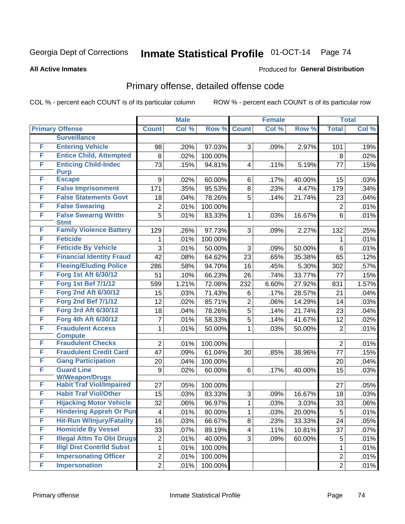#### **All Active Inmates**

#### Produced for **General Distribution**

## Primary offense, detailed offense code

|   |                                               |                         | <b>Male</b> |         |                | <b>Female</b> |        |                | <b>Total</b> |
|---|-----------------------------------------------|-------------------------|-------------|---------|----------------|---------------|--------|----------------|--------------|
|   | <b>Primary Offense</b>                        | <b>Count</b>            | Col %       | Row %   | <b>Count</b>   | Col %         | Row %  | <b>Total</b>   | Col %        |
|   | <b>Surveillance</b>                           |                         |             |         |                |               |        |                |              |
| F | <b>Entering Vehicle</b>                       | 98                      | .20%        | 97.03%  | 3              | .09%          | 2.97%  | 101            | .19%         |
| F | <b>Entice Child, Attempted</b>                | 8                       | .02%        | 100.00% |                |               |        | 8              | .02%         |
| F | <b>Enticing Child-Indec</b>                   | 73                      | .15%        | 94.81%  | 4              | .11%          | 5.19%  | 77             | .15%         |
|   | <b>Purp</b>                                   |                         |             |         |                |               |        |                |              |
| F | <b>Escape</b>                                 | 9                       | .02%        | 60.00%  | 6              | .17%          | 40.00% | 15             | .03%         |
| F | <b>False Imprisonment</b>                     | 171                     | .35%        | 95.53%  | 8              | .23%          | 4.47%  | 179            | .34%         |
| F | <b>False Statements Govt</b>                  | 18                      | .04%        | 78.26%  | 5              | .14%          | 21.74% | 23             | .04%         |
| F | <b>False Swearing</b>                         | $\overline{2}$          | .01%        | 100.00% |                |               |        | $\overline{2}$ | .01%         |
| F | <b>False Swearng Writtn</b>                   | 5                       | .01%        | 83.33%  | 1              | .03%          | 16.67% | $\overline{6}$ | .01%         |
| F | <b>Stmt</b><br><b>Family Violence Battery</b> | 129                     | .26%        | 97.73%  | 3              | .09%          | 2.27%  | 132            | .25%         |
| F | <b>Feticide</b>                               | 1                       | .01%        | 100.00% |                |               |        | 1              | .01%         |
| F | <b>Feticide By Vehicle</b>                    | 3                       | .01%        | 50.00%  | 3              | .09%          | 50.00% | 6              | .01%         |
| F | <b>Financial Identity Fraud</b>               | 42                      | .08%        | 64.62%  | 23             | .65%          | 35.38% | 65             | .12%         |
| F | <b>Fleeing/Eluding Police</b>                 |                         |             |         |                |               |        |                |              |
| F | Forg 1st Aft 6/30/12                          | 286                     | .58%        | 94.70%  | 16             | .45%          | 5.30%  | 302            | .57%         |
| F |                                               | 51                      | .10%        | 66.23%  | 26             | .74%          | 33.77% | 77             | .15%         |
|   | <b>Forg 1st Bef 7/1/12</b>                    | 599                     | 1.21%       | 72.08%  | 232            | 6.60%         | 27.92% | 831            | 1.57%        |
| F | <b>Forg 2nd Aft 6/30/12</b>                   | 15                      | .03%        | 71.43%  | 6              | .17%          | 28.57% | 21             | .04%         |
| F | <b>Forg 2nd Bef 7/1/12</b>                    | 12                      | .02%        | 85.71%  | $\overline{2}$ | .06%          | 14.29% | 14             | .03%         |
| F | <b>Forg 3rd Aft 6/30/12</b>                   | 18                      | .04%        | 78.26%  | 5              | .14%          | 21.74% | 23             | .04%         |
| F | Forg 4th Aft 6/30/12                          | 7                       | .01%        | 58.33%  | 5              | .14%          | 41.67% | 12             | .02%         |
| F | <b>Fraudulent Access</b><br><b>Compute</b>    | 1                       | .01%        | 50.00%  | $\mathbf{1}$   | .03%          | 50.00% | $\overline{2}$ | .01%         |
| F | <b>Fraudulent Checks</b>                      | 2                       | .01%        | 100.00% |                |               |        | $\overline{2}$ | .01%         |
| F | <b>Fraudulent Credit Card</b>                 | 47                      | .09%        | 61.04%  | 30             | .85%          | 38.96% | 77             | .15%         |
| F | <b>Gang Participation</b>                     | 20                      | .04%        | 100.00% |                |               |        | 20             | .04%         |
| F | <b>Guard Line</b>                             | 9                       | .02%        | 60.00%  | 6              | .17%          | 40.00% | 15             | .03%         |
|   | <b>W/Weapon/Drugs</b>                         |                         |             |         |                |               |        |                |              |
| F | <b>Habit Traf Viol/Impaired</b>               | 27                      | .05%        | 100.00% |                |               |        | 27             | .05%         |
| F | <b>Habit Traf Viol/Other</b>                  | 15                      | .03%        | 83.33%  | 3              | .09%          | 16.67% | 18             | .03%         |
| F | <b>Hijacking Motor Vehicle</b>                | 32                      | .06%        | 96.97%  | 1              | .03%          | 3.03%  | 33             | .06%         |
| F | <b>Hindering Appreh Or Pun</b>                | $\overline{\mathbf{4}}$ | .01%        | 80.00%  | $\mathbf 1$    | .03%          | 20.00% | $\overline{5}$ | .01%         |
| F | <b>Hit-Run W/Injury/Fatality</b>              | 16                      | .03%        | 66.67%  | 8              | .23%          | 33.33% | 24             | .05%         |
| F | <b>Homicide By Vessel</b>                     | 33                      | .07%        | 89.19%  | 4              | .11%          | 10.81% | 37             | .07%         |
| F | <b>Illegal Attm To Obt Drugs</b>              | $\overline{c}$          | .01%        | 40.00%  | 3              | .09%          | 60.00% | 5              | .01%         |
| F | <b>Illgl Dist Contrild Subst</b>              | 1                       | .01%        | 100.00% |                |               |        | $\mathbf{1}$   | .01%         |
| F | <b>Impersonating Officer</b>                  | $\overline{c}$          | .01%        | 100.00% |                |               |        | $\overline{2}$ | .01%         |
| F | <b>Impersonation</b>                          | $\overline{2}$          | .01%        | 100.00% |                |               |        | $\overline{2}$ | .01%         |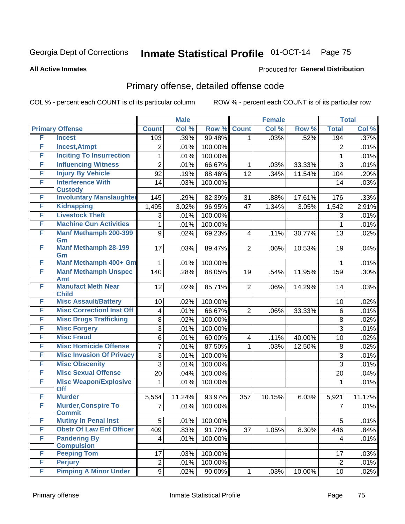#### **All Active Inmates**

#### Produced for **General Distribution**

## Primary offense, detailed offense code

|   |                                             |                         | <b>Male</b> |         |                         | <b>Female</b> |        |                | <b>Total</b> |
|---|---------------------------------------------|-------------------------|-------------|---------|-------------------------|---------------|--------|----------------|--------------|
|   | <b>Primary Offense</b>                      | <b>Count</b>            | Col %       | Row %   | <b>Count</b>            | Col %         | Row %  | <b>Total</b>   | Col %        |
| F | <b>Incest</b>                               | 193                     | .39%        | 99.48%  | $\mathbf{1}$            | .03%          | .52%   | 194            | .37%         |
| F | <b>Incest, Atmpt</b>                        | $\overline{2}$          | .01%        | 100.00% |                         |               |        | $\overline{2}$ | .01%         |
| F | <b>Inciting To Insurrection</b>             | 1                       | .01%        | 100.00% |                         |               |        | 1              | .01%         |
| F | <b>Influencing Witness</b>                  | $\overline{2}$          | .01%        | 66.67%  | 1                       | .03%          | 33.33% | 3              | .01%         |
| F | <b>Injury By Vehicle</b>                    | 92                      | .19%        | 88.46%  | 12                      | .34%          | 11.54% | 104            | .20%         |
| F | <b>Interference With</b>                    | 14                      | .03%        | 100.00% |                         |               |        | 14             | .03%         |
|   | <b>Custody</b>                              |                         |             |         |                         |               |        |                |              |
| F | <b>Involuntary Manslaughter</b>             | 145                     | .29%        | 82.39%  | 31                      | .88%          | 17.61% | 176            | .33%         |
| F | <b>Kidnapping</b>                           | 1,495                   | 3.02%       | 96.95%  | 47                      | 1.34%         | 3.05%  | 1,542          | 2.91%        |
| F | <b>Livestock Theft</b>                      | 3                       | .01%        | 100.00% |                         |               |        | 3              | .01%         |
| F | <b>Machine Gun Activities</b>               | 1                       | .01%        | 100.00% |                         |               |        | 1              | .01%         |
| F | <b>Manf Methamph 200-399</b><br>Gm          | 9                       | .02%        | 69.23%  | 4                       | .11%          | 30.77% | 13             | .02%         |
| F | <b>Manf Methamph 28-199</b>                 | 17                      | .03%        | 89.47%  | $\overline{2}$          | .06%          | 10.53% | 19             | .04%         |
|   | Gm                                          |                         |             |         |                         |               |        |                |              |
| F | <b>Manf Methamph 400+ Gm</b>                | 1                       | .01%        | 100.00% |                         |               |        | 1              | .01%         |
| F | <b>Manf Methamph Unspec</b>                 | 140                     | .28%        | 88.05%  | 19                      | .54%          | 11.95% | 159            | .30%         |
|   | Amt                                         |                         |             |         |                         |               |        |                |              |
| F | <b>Manufact Meth Near</b><br><b>Child</b>   | 12                      | .02%        | 85.71%  | $\overline{2}$          | .06%          | 14.29% | 14             | .03%         |
| F | <b>Misc Assault/Battery</b>                 | 10                      | .02%        | 100.00% |                         |               |        | 10             | .02%         |
| F | <b>Misc CorrectionI Inst Off</b>            | $\overline{\mathbf{4}}$ | .01%        | 66.67%  | $\overline{2}$          | .06%          | 33.33% | 6              | .01%         |
| F | <b>Misc Drugs Trafficking</b>               | 8                       | .02%        | 100.00% |                         |               |        | 8              | .02%         |
| F | <b>Misc Forgery</b>                         | 3                       | .01%        | 100.00% |                         |               |        | 3              | .01%         |
| F | <b>Misc Fraud</b>                           | 6                       | .01%        | 60.00%  | $\overline{\mathbf{4}}$ | .11%          | 40.00% | 10             | .02%         |
| F | <b>Misc Homicide Offense</b>                | 7                       | .01%        | 87.50%  | 1                       | .03%          | 12.50% | 8              | .02%         |
| F | <b>Misc Invasion Of Privacy</b>             | 3                       | .01%        | 100.00% |                         |               |        | 3              | .01%         |
| F | <b>Misc Obscenity</b>                       | 3                       | .01%        | 100.00% |                         |               |        | $\overline{3}$ | .01%         |
| F | <b>Misc Sexual Offense</b>                  | $\overline{20}$         | .04%        | 100.00% |                         |               |        | 20             | .04%         |
| F | <b>Misc Weapon/Explosive</b>                | 1                       | .01%        | 100.00% |                         |               |        | 1              | .01%         |
|   | <b>Off</b>                                  |                         |             |         |                         |               |        |                |              |
| F | <b>Murder</b>                               | 5,564                   | 11.24%      | 93.97%  | 357                     | 10.15%        | 6.03%  | 5,921          | 11.17%       |
| F | <b>Murder, Conspire To</b><br><b>Commit</b> | 7                       | .01%        | 100.00% |                         |               |        | 7              | .01%         |
| F | <b>Mutiny In Penal Inst</b>                 | $\overline{5}$          | .01%        | 100.00% |                         |               |        | 5              | .01%         |
| F | <b>Obstr Of Law Enf Officer</b>             | 409                     | .83%        | 91.70%  | 37                      | 1.05%         | 8.30%  | 446            | .84%         |
| F | <b>Pandering By</b>                         | $\overline{\mathbf{4}}$ | .01%        | 100.00% |                         |               |        | 4              | .01%         |
|   | <b>Compulsion</b>                           |                         |             |         |                         |               |        |                |              |
| F | <b>Peeping Tom</b>                          | 17                      | .03%        | 100.00% |                         |               |        | 17             | .03%         |
| F | <b>Perjury</b>                              | $\overline{2}$          | .01%        | 100.00% |                         |               |        | $\overline{2}$ | .01%         |
| F | <b>Pimping A Minor Under</b>                | 9                       | .02%        | 90.00%  | 1                       | .03%          | 10.00% | 10             | .02%         |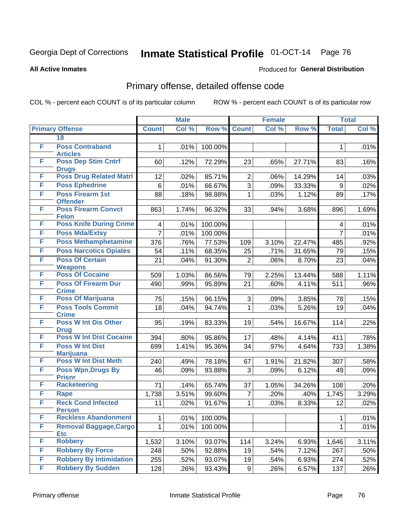#### **All Active Inmates**

#### Produced for **General Distribution**

## Primary offense, detailed offense code

|   |                                              | <b>Male</b>    |       | <b>Female</b> |                |       | <b>Total</b>    |                |               |
|---|----------------------------------------------|----------------|-------|---------------|----------------|-------|-----------------|----------------|---------------|
|   | <b>Primary Offense</b>                       | <b>Count</b>   | Col % | Row %         | <b>Count</b>   | Col % | Row %           | <b>Total</b>   | Col %         |
|   | 18                                           |                |       |               |                |       |                 |                |               |
| F | <b>Poss Contraband</b><br><b>Articles</b>    | 1              | .01%  | 100.00%       |                |       |                 | 1              | .01%          |
| F | <b>Poss Dep Stim Cntrf</b><br><b>Drugs</b>   | 60             | .12%  | 72.29%        | 23             | .65%  | 27.71%          | 83             | .16%          |
| F | <b>Poss Drug Related Matri</b>               | 12             | .02%  | 85.71%        | $\overline{2}$ | .06%  | 14.29%          | 14             | .03%          |
| F | <b>Poss Ephedrine</b>                        | $6\phantom{1}$ | .01%  | 66.67%        | $\overline{3}$ | .09%  | 33.33%          | 9              | .02%          |
| F | <b>Poss Firearm 1st</b><br><b>Offender</b>   | 88             | .18%  | 98.88%        | $\mathbf 1$    | .03%  | 1.12%           | 89             | .17%          |
| F | <b>Poss Firearm Convct</b><br><b>Felon</b>   | 863            | 1.74% | 96.32%        | 33             | .94%  | 3.68%           | 896            | 1.69%         |
| F | <b>Poss Knife During Crime</b>               | 4              | .01%  | 100.00%       |                |       |                 | 4              | .01%          |
| F | <b>Poss Mda/Extsy</b>                        | $\overline{7}$ | .01%  | 100.00%       |                |       |                 | $\overline{7}$ | .01%          |
| F | <b>Poss Methamphetamine</b>                  | 376            | .76%  | 77.53%        | 109            | 3.10% | 22.47%          | 485            | .92%          |
| F | <b>Poss Narcotics Opiates</b>                | 54             | .11%  | 68.35%        | 25             | .71%  | 31.65%          | 79             | .15%          |
| F | <b>Poss Of Certain</b>                       | 21             | .04%  | 91.30%        | $\overline{2}$ | .06%  | 8.70%           | 23             | .04%          |
| F | <b>Weapons</b><br><b>Poss Of Cocaine</b>     |                | 1.03% |               |                |       |                 |                |               |
| F | <b>Poss Of Firearm Dur</b>                   | 509<br>490     |       | 86.56%        | 79<br>21       | 2.25% | 13.44%<br>4.11% | 588<br>511     | 1.11%<br>.96% |
|   | <b>Crime</b>                                 |                | .99%  | 95.89%        |                | .60%  |                 |                |               |
| F | <b>Poss Of Marijuana</b>                     | 75             | .15%  | 96.15%        | 3              | .09%  | 3.85%           | 78             | .15%          |
| F | <b>Poss Tools Commit</b><br><b>Crime</b>     | 18             | .04%  | 94.74%        | $\mathbf{1}$   | .03%  | 5.26%           | 19             | .04%          |
| F | <b>Poss W Int Dis Other</b><br><b>Drug</b>   | 95             | .19%  | 83.33%        | 19             | .54%  | 16.67%          | 114            | .22%          |
| F | <b>Poss W Int Dist Cocaine</b>               | 394            | .80%  | 95.86%        | 17             | .48%  | 4.14%           | 411            | .78%          |
| F | <b>Poss W Int Dist</b><br><b>Marijuana</b>   | 699            | 1.41% | 95.36%        | 34             | .97%  | 4.64%           | 733            | 1.38%         |
| F | <b>Poss W Int Dist Meth</b>                  | 240            | .49%  | 78.18%        | 67             | 1.91% | 21.82%          | 307            | .58%          |
| F | <b>Poss Wpn, Drugs By</b><br><b>Prisnr</b>   | 46             | .09%  | 93.88%        | 3              | .09%  | 6.12%           | 49             | .09%          |
| F | <b>Racketeering</b>                          | 71             | .14%  | 65.74%        | 37             | 1.05% | 34.26%          | 108            | .20%          |
| F | Rape                                         | 1,738          | 3.51% | 99.60%        | $\overline{7}$ | .20%  | .40%            | 1,745          | 3.29%         |
| F | <b>Reck Cond Infected</b>                    | 11             | .02%  | 91.67%        | $\mathbf{1}$   | .03%  | 8.33%           | 12             | .02%          |
| F | <b>Person</b><br><b>Reckless Abandonment</b> | 1              | .01%  | 100.00%       |                |       |                 | 1              | .01%          |
| F | <b>Removal Baggage, Cargo</b>                | 1              | .01%  | 100.00%       |                |       |                 | 1              | .01%          |
|   | <b>Etc</b>                                   |                |       |               |                |       |                 |                |               |
| F | <b>Robbery</b>                               | 1,532          | 3.10% | 93.07%        | 114            | 3.24% | 6.93%           | 1,646          | 3.11%         |
| F | <b>Robbery By Force</b>                      | 248            | .50%  | 92.88%        | 19             | .54%  | 7.12%           | 267            | .50%          |
| F | <b>Robbery By Intimidation</b>               | 255            | .52%  | 93.07%        | 19             | .54%  | 6.93%           | 274            | .52%          |
| F | <b>Robbery By Sudden</b>                     | 128            | .26%  | 93.43%        | 9 <sup>1</sup> | .26%  | 6.57%           | 137            | .26%          |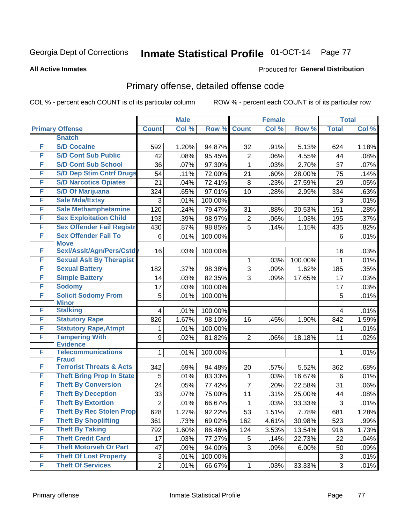#### **All Active Inmates**

### Produced for **General Distribution**

## Primary offense, detailed offense code

|   |                                          | <b>Male</b>               |       |         | <b>Female</b>  | <b>Total</b> |         |              |       |
|---|------------------------------------------|---------------------------|-------|---------|----------------|--------------|---------|--------------|-------|
|   | <b>Primary Offense</b>                   | <b>Count</b>              | Col % | Row %   | <b>Count</b>   | Col %        | Row %   | <b>Total</b> | Col % |
|   | <b>Snatch</b>                            |                           |       |         |                |              |         |              |       |
| F | <b>S/D Cocaine</b>                       | 592                       | 1.20% | 94.87%  | 32             | .91%         | 5.13%   | 624          | 1.18% |
| F | <b>S/D Cont Sub Public</b>               | 42                        | .08%  | 95.45%  | $\overline{2}$ | .06%         | 4.55%   | 44           | .08%  |
| F | <b>S/D Cont Sub School</b>               | 36                        | .07%  | 97.30%  | 1              | .03%         | 2.70%   | 37           | .07%  |
| F | <b>S/D Dep Stim Cntrf Drugs</b>          | 54                        | .11%  | 72.00%  | 21             | .60%         | 28.00%  | 75           | .14%  |
| F | <b>S/D Narcotics Opiates</b>             | 21                        | .04%  | 72.41%  | $\bf 8$        | .23%         | 27.59%  | 29           | .05%  |
| F | <b>S/D Of Marijuana</b>                  | 324                       | .65%  | 97.01%  | 10             | .28%         | 2.99%   | 334          | .63%  |
| F | <b>Sale Mda/Extsy</b>                    | 3                         | .01%  | 100.00% |                |              |         | 3            | .01%  |
| F | <b>Sale Methamphetamine</b>              | 120                       | .24%  | 79.47%  | 31             | .88%         | 20.53%  | 151          | .28%  |
| F | <b>Sex Exploitation Child</b>            | 193                       | .39%  | 98.97%  | $\overline{2}$ | .06%         | 1.03%   | 195          | .37%  |
| F | <b>Sex Offender Fail Registr</b>         | 430                       | .87%  | 98.85%  | 5              | .14%         | 1.15%   | 435          | .82%  |
| F | <b>Sex Offender Fail To</b>              | $\,6$                     | .01%  | 100.00% |                |              |         | 6            | .01%  |
|   | <b>Move</b>                              |                           |       |         |                |              |         |              |       |
| F | Sexl/Assit/Agn/Pers/Cstdy                | 16                        | .03%  | 100.00% |                |              |         | 16           | .03%  |
| F | <b>Sexual Aslt By Therapist</b>          |                           |       |         | 1              | .03%         | 100.00% | 1            | .01%  |
| F | <b>Sexual Battery</b>                    | 182                       | .37%  | 98.38%  | 3              | .09%         | 1.62%   | 185          | .35%  |
| F | <b>Simple Battery</b>                    | 14                        | .03%  | 82.35%  | 3              | .09%         | 17.65%  | 17           | .03%  |
| F | <b>Sodomy</b>                            | 17                        | .03%  | 100.00% |                |              |         | 17           | .03%  |
| F | <b>Solicit Sodomy From</b>               | 5                         | .01%  | 100.00% |                |              |         | 5            | .01%  |
| F | <b>Minor</b><br><b>Stalking</b>          |                           |       |         |                |              |         |              |       |
| F |                                          | 4                         | .01%  | 100.00% |                |              |         | 4            | .01%  |
| F | <b>Statutory Rape</b>                    | 826                       | 1.67% | 98.10%  | 16             | .45%         | 1.90%   | 842          | 1.59% |
| F | <b>Statutory Rape, Atmpt</b>             | 1                         | .01%  | 100.00% |                |              |         | 1            | .01%  |
|   | <b>Tampering With</b><br><b>Evidence</b> | 9                         | .02%  | 81.82%  | $\overline{2}$ | .06%         | 18.18%  | 11           | .02%  |
| F | <b>Telecommunications</b>                | 1                         | .01%  | 100.00% |                |              |         | 1            | .01%  |
|   | <b>Fraud</b>                             |                           |       |         |                |              |         |              |       |
| F | <b>Terrorist Threats &amp; Acts</b>      | 342                       | .69%  | 94.48%  | 20             | .57%         | 5.52%   | 362          | .68%  |
| F | <b>Theft Bring Prop In State</b>         | 5                         | .01%  | 83.33%  | 1              | .03%         | 16.67%  | 6            | .01%  |
| F | <b>Theft By Conversion</b>               | 24                        | .05%  | 77.42%  | $\overline{7}$ | .20%         | 22.58%  | 31           | .06%  |
| F | <b>Theft By Deception</b>                | 33                        | .07%  | 75.00%  | 11             | .31%         | 25.00%  | 44           | .08%  |
| F | <b>Theft By Extortion</b>                | $\overline{2}$            | .01%  | 66.67%  | 1              | .03%         | 33.33%  | 3            | .01%  |
| F | <b>Theft By Rec Stolen Prop</b>          | 628                       | 1.27% | 92.22%  | 53             | 1.51%        | 7.78%   | 681          | 1.28% |
| F | <b>Theft By Shoplifting</b>              | 361                       | .73%  | 69.02%  | 162            | 4.61%        | 30.98%  | 523          | .99%  |
| F | <b>Theft By Taking</b>                   | 792                       | 1.60% | 86.46%  | 124            | 3.53%        | 13.54%  | 916          | 1.73% |
| F | <b>Theft Credit Card</b>                 | 17                        | .03%  | 77.27%  | 5              | .14%         | 22.73%  | 22           | .04%  |
| F | <b>Theft Motorveh Or Part</b>            | 47                        | .09%  | 94.00%  | 3              | .09%         | 6.00%   | 50           | .09%  |
| F | <b>Theft Of Lost Property</b>            | $\ensuremath{\mathsf{3}}$ | .01%  | 100.00% |                |              |         | 3            | .01%  |
| F | <b>Theft Of Services</b>                 | $\overline{c}$            | .01%  | 66.67%  | $\mathbf{1}$   | .03%         | 33.33%  | 3            | .01%  |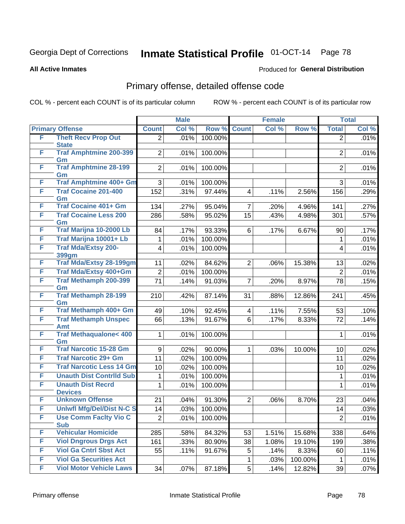**All Active Inmates**

#### Produced for **General Distribution**

## Primary offense, detailed offense code

|   |                                         | <b>Male</b>             |       |         | <b>Female</b>           |       | <b>Total</b> |                |       |
|---|-----------------------------------------|-------------------------|-------|---------|-------------------------|-------|--------------|----------------|-------|
|   | <b>Primary Offense</b>                  | <b>Count</b>            | Col % | Row %   | <b>Count</b>            | Col % | Row %        | <b>Total</b>   | Col % |
| F | <b>Theft Recv Prop Out</b>              | $\overline{2}$          | .01%  | 100.00% |                         |       |              | $\overline{2}$ | .01%  |
|   | <b>State</b>                            |                         |       |         |                         |       |              |                |       |
| F | <b>Traf Amphtmine 200-399</b>           | $\overline{2}$          | .01%  | 100.00% |                         |       |              | $\overline{2}$ | .01%  |
| F | Gm<br><b>Traf Amphtmine 28-199</b>      | $\overline{2}$          | .01%  | 100.00% |                         |       |              | $\overline{2}$ | .01%  |
|   | Gm                                      |                         |       |         |                         |       |              |                |       |
| F | Traf Amphtmine 400+ Gm                  | 3                       | .01%  | 100.00% |                         |       |              | 3              | .01%  |
| F | <b>Traf Cocaine 201-400</b>             | 152                     | .31%  | 97.44%  | $\overline{\mathbf{4}}$ | .11%  | 2.56%        | 156            | .29%  |
|   | Gm                                      |                         |       |         |                         |       |              |                |       |
| F | <b>Traf Cocaine 401+ Gm</b>             | 134                     | .27%  | 95.04%  | $\overline{7}$          | .20%  | 4.96%        | 141            | .27%  |
| F | <b>Traf Cocaine Less 200</b>            | 286                     | .58%  | 95.02%  | 15                      | .43%  | 4.98%        | 301            | .57%  |
| F | Gm<br>Traf Marijna 10-2000 Lb           | 84                      |       | 93.33%  | 6                       |       |              | 90             |       |
| F | Traf Marijna 10001+ Lb                  |                         | .17%  |         |                         | .17%  | 6.67%        |                | .17%  |
| F | <b>Traf Mda/Extsy 200-</b>              | 1                       | .01%  | 100.00% |                         |       |              | 1              | .01%  |
|   | 399gm                                   | $\overline{\mathbf{4}}$ | .01%  | 100.00% |                         |       |              | 4              | .01%  |
| F | <b>Traf Mda/Extsy 28-199gm</b>          | 11                      | .02%  | 84.62%  | $\overline{2}$          | .06%  | 15.38%       | 13             | .02%  |
| F | Traf Mda/Extsy 400+Gm                   | $\overline{2}$          | .01%  | 100.00% |                         |       |              | $\overline{2}$ | .01%  |
| F | <b>Traf Methamph 200-399</b>            | 71                      | .14%  | 91.03%  | $\overline{7}$          | .20%  | 8.97%        | 78             | .15%  |
|   | Gm                                      |                         |       |         |                         |       |              |                |       |
| F | <b>Traf Methamph 28-199</b>             | 210                     | .42%  | 87.14%  | 31                      | .88%  | 12.86%       | 241            | .45%  |
|   | Gm                                      |                         |       |         |                         |       |              |                |       |
| F | Traf Methamph 400+ Gm                   | 49                      | .10%  | 92.45%  | $\overline{\mathbf{4}}$ | .11%  | 7.55%        | 53             | .10%  |
| F | <b>Traf Methamph Unspec</b>             | 66                      | .13%  | 91.67%  | 6                       | .17%  | 8.33%        | 72             | .14%  |
| F | Amt<br><b>Traf Methaqualone&lt; 400</b> | 1                       | .01%  | 100.00% |                         |       |              | 1              | .01%  |
|   | Gm                                      |                         |       |         |                         |       |              |                |       |
| F | <b>Traf Narcotic 15-28 Gm</b>           | 9                       | .02%  | 90.00%  | 1                       | .03%  | 10.00%       | 10             | .02%  |
| F | <b>Traf Narcotic 29+ Gm</b>             | 11                      | .02%  | 100.00% |                         |       |              | 11             | .02%  |
| F | <b>Traf Narcotic Less 14 Gm</b>         | 10                      | .02%  | 100.00% |                         |       |              | 10             | .02%  |
| F | <b>Unauth Dist Contrild Sub</b>         | 1                       | .01%  | 100.00% |                         |       |              | 1              | .01%  |
| F | <b>Unauth Dist Recrd</b>                | 1                       | .01%  | 100.00% |                         |       |              | 1              | .01%  |
|   | <b>Devices</b>                          |                         |       |         |                         |       |              |                |       |
| F | <b>Unknown Offense</b>                  | 21                      | .04%  | 91.30%  | $\overline{2}$          | .06%  | 8.70%        | 23             | .04%  |
| F | <b>Uniwfl Mfg/Del/Dist N-C S</b>        | 14                      | .03%  | 100.00% |                         |       |              | 14             | .03%  |
| F | <b>Use Comm Facity Vio C</b>            | $\overline{2}$          | .01%  | 100.00% |                         |       |              | $\overline{2}$ | .01%  |
|   | <b>Sub</b>                              |                         |       |         |                         |       |              |                |       |
| F | <b>Vehicular Homicide</b>               | 285                     | .58%  | 84.32%  | 53                      | 1.51% | 15.68%       | 338            | .64%  |
| F | <b>Viol Dngrous Drgs Act</b>            | 161                     | .33%  | 80.90%  | 38                      | 1.08% | 19.10%       | 199            | .38%  |
| F | <b>Viol Ga Cntrl Sbst Act</b>           | 55                      | .11%  | 91.67%  | 5                       | .14%  | 8.33%        | 60             | .11%  |
| F | <b>Viol Ga Securities Act</b>           |                         |       |         | 1                       | .03%  | 100.00%      |                | .01%  |
| F | <b>Viol Motor Vehicle Laws</b>          | 34                      | .07%  | 87.18%  | 5 <sup>1</sup>          | .14%  | 12.82%       | 39             | .07%  |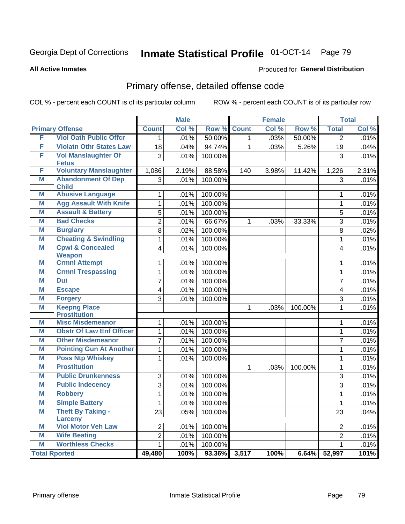#### **All Active Inmates**

### Produced for **General Distribution**

## Primary offense, detailed offense code

|   |                                              |                         | <b>Male</b> |         |              | <b>Female</b> |         |                         | <b>Total</b> |
|---|----------------------------------------------|-------------------------|-------------|---------|--------------|---------------|---------|-------------------------|--------------|
|   | <b>Primary Offense</b>                       | <b>Count</b>            | Col %       | Row %   | <b>Count</b> | Col %         | Row %   | <b>Total</b>            | Col %        |
| F | <b>Viol Oath Public Offcr</b>                | $\mathbf{1}$            | .01%        | 50.00%  | $\mathbf{1}$ | .03%          | 50.00%  | $\overline{2}$          | .01%         |
| F | <b>Violatn Othr States Law</b>               | 18                      | .04%        | 94.74%  | $\mathbf 1$  | .03%          | 5.26%   | 19                      | .04%         |
| F | <b>Vol Manslaughter Of</b>                   | $\overline{3}$          | .01%        | 100.00% |              |               |         | 3                       | .01%         |
|   | <b>Fetus</b>                                 |                         |             |         |              |               |         |                         |              |
| F | <b>Voluntary Manslaughter</b>                | 1,086                   | 2.19%       | 88.58%  | 140          | 3.98%         | 11.42%  | 1,226                   | 2.31%        |
| M | <b>Abandonment Of Dep</b><br><b>Child</b>    | $\overline{3}$          | .01%        | 100.00% |              |               |         | 3                       | .01%         |
| M | <b>Abusive Language</b>                      | $\mathbf 1$             | .01%        | 100.00% |              |               |         | $\mathbf 1$             | .01%         |
| M | <b>Agg Assault With Knife</b>                | $\overline{1}$          | .01%        | 100.00% |              |               |         | $\mathbf{1}$            | .01%         |
| M | <b>Assault &amp; Battery</b>                 | 5                       | .01%        | 100.00% |              |               |         | 5                       | .01%         |
| M | <b>Bad Checks</b>                            | $\overline{2}$          | .01%        | 66.67%  | $\mathbf 1$  | .03%          | 33.33%  | 3                       | .01%         |
| M | <b>Burglary</b>                              | $\overline{8}$          | .02%        | 100.00% |              |               |         | $\overline{8}$          | .02%         |
| M | <b>Cheating &amp; Swindling</b>              | $\overline{1}$          | .01%        | 100.00% |              |               |         | $\mathbf{1}$            | .01%         |
| M | <b>Cpwl &amp; Concealed</b><br><b>Weapon</b> | $\overline{4}$          | .01%        | 100.00% |              |               |         | 4                       | .01%         |
| M | <b>Crmnl Attempt</b>                         | $\mathbf{1}$            | .01%        | 100.00% |              |               |         | $\mathbf{1}$            | .01%         |
| M | <b>Crmnl Trespassing</b>                     | 1                       | .01%        | 100.00% |              |               |         | $\mathbf{1}$            | .01%         |
| M | <b>Dui</b>                                   | $\overline{7}$          | .01%        | 100.00% |              |               |         | $\overline{7}$          | .01%         |
| M | <b>Escape</b>                                | $\overline{\mathbf{4}}$ | .01%        | 100.00% |              |               |         | $\overline{\mathbf{4}}$ | .01%         |
| M | <b>Forgery</b>                               | $\overline{3}$          | .01%        | 100.00% |              |               |         | $\overline{3}$          | .01%         |
| M | <b>Keepng Place</b><br><b>Prostitution</b>   |                         |             |         | 1            | .03%          | 100.00% | $\mathbf{1}$            | .01%         |
| M | <b>Misc Misdemeanor</b>                      | $\mathbf 1$             | .01%        | 100.00% |              |               |         | $\mathbf{1}$            | .01%         |
| M | <b>Obstr Of Law Enf Officer</b>              | $\mathbf{1}$            | .01%        | 100.00% |              |               |         | $\mathbf{1}$            | .01%         |
| M | <b>Other Misdemeanor</b>                     | 7                       | .01%        | 100.00% |              |               |         | $\overline{7}$          | .01%         |
| M | <b>Pointing Gun At Another</b>               | $\mathbf{1}$            | .01%        | 100.00% |              |               |         | $\mathbf{1}$            | .01%         |
| M | <b>Poss Ntp Whiskey</b>                      | $\overline{1}$          | .01%        | 100.00% |              |               |         | $\mathbf{1}$            | .01%         |
| M | <b>Prostitution</b>                          |                         |             |         | 1            | .03%          | 100.00% | $\mathbf{1}$            | .01%         |
| M | <b>Public Drunkenness</b>                    | $\overline{3}$          | .01%        | 100.00% |              |               |         | $\overline{3}$          | .01%         |
| M | <b>Public Indecency</b>                      | $\overline{3}$          | .01%        | 100.00% |              |               |         | 3                       | .01%         |
| M | <b>Robbery</b>                               | $\mathbf{1}$            | .01%        | 100.00% |              |               |         | $\mathbf{1}$            | .01%         |
| M | <b>Simple Battery</b>                        | $\mathbf{1}$            | .01%        | 100.00% |              |               |         | $\mathbf{1}$            | .01%         |
| M | <b>Theft By Taking -</b><br>Larceny          | $\overline{23}$         | .05%        | 100.00% |              |               |         | 23                      | .04%         |
| M | <b>Viol Motor Veh Law</b>                    | $\overline{2}$          | .01%        | 100.00% |              |               |         | $\overline{2}$          | .01%         |
| M | <b>Wife Beating</b>                          | $\overline{2}$          | .01%        | 100.00% |              |               |         | $\overline{2}$          | .01%         |
| M | <b>Worthless Checks</b>                      | 1                       | .01%        | 100.00% |              |               |         | $\mathbf{1}$            | .01%         |
|   | <b>Total Rported</b>                         | 49,480                  | 100%        | 93.36%  | 3,517        | 100%          | 6.64%   | 52,997                  | 101%         |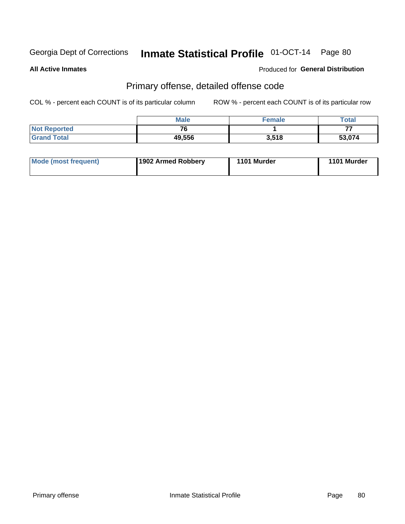**All Active Inmates**

### Produced for **General Distribution**

## Primary offense, detailed offense code

|                     | <b>Male</b>              | <b>Female</b> | Total  |
|---------------------|--------------------------|---------------|--------|
| <b>Not Reported</b> | $\overline{\phantom{a}}$ |               | --     |
| <b>Grand Total</b>  | 49,556                   | 3,518         | 53,074 |

| <b>Mode (most frequent)</b> | 1902 Armed Robbery | 1101 Murder | 1101 Murder |
|-----------------------------|--------------------|-------------|-------------|
|                             |                    |             |             |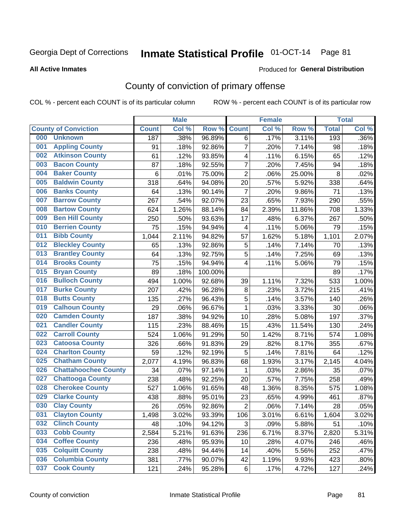#### **All Active Inmates**

#### Produced for **General Distribution**

## County of conviction of primary offense

|     |                             |              | <b>Male</b> |         |                         | <b>Female</b> |                     |              | <b>Total</b> |
|-----|-----------------------------|--------------|-------------|---------|-------------------------|---------------|---------------------|--------------|--------------|
|     | <b>County of Conviction</b> | <b>Count</b> | Col %       | Row %   | <b>Count</b>            | Col %         | Row %               | <b>Total</b> | Col %        |
| 000 | <b>Unknown</b>              | 187          | .38%        | 96.89%  | 6                       | .17%          | 3.11%               | 193          | .36%         |
| 001 | <b>Appling County</b>       | 91           | .18%        | 92.86%  | $\overline{7}$          | .20%          | 7.14%               | 98           | .18%         |
| 002 | <b>Atkinson County</b>      | 61           | .12%        | 93.85%  | 4                       | .11%          | 6.15%               | 65           | .12%         |
| 003 | <b>Bacon County</b>         | 87           | .18%        | 92.55%  | $\overline{7}$          | .20%          | 7.45%               | 94           | .18%         |
| 004 | <b>Baker County</b>         | 6            | .01%        | 75.00%  | $\overline{2}$          | .06%          | 25.00%              | 8            | .02%         |
| 005 | <b>Baldwin County</b>       | 318          | .64%        | 94.08%  | 20                      | .57%          | 5.92%               | 338          | .64%         |
| 006 | <b>Banks County</b>         | 64           | .13%        | 90.14%  | $\overline{7}$          | .20%          | 9.86%               | 71           | .13%         |
| 007 | <b>Barrow County</b>        | 267          | .54%        | 92.07%  | 23                      | .65%          | 7.93%               | 290          | .55%         |
| 008 | <b>Bartow County</b>        | 624          | 1.26%       | 88.14%  | 84                      | 2.39%         | 11.86%              | 708          | 1.33%        |
| 009 | <b>Ben Hill County</b>      | 250          | .50%        | 93.63%  | 17                      | .48%          | 6.37%               | 267          | .50%         |
| 010 | <b>Berrien County</b>       | 75           | .15%        | 94.94%  | $\overline{\mathbf{4}}$ | .11%          | 5.06%               | 79           | .15%         |
| 011 | <b>Bibb County</b>          | 1,044        | 2.11%       | 94.82%  | 57                      | 1.62%         | 5.18%               | 1,101        | 2.07%        |
| 012 | <b>Bleckley County</b>      | 65           | .13%        | 92.86%  | 5                       | .14%          | $\overline{7.14\%}$ | 70           | .13%         |
| 013 | <b>Brantley County</b>      | 64           | .13%        | 92.75%  | 5                       | .14%          | 7.25%               | 69           | .13%         |
| 014 | <b>Brooks County</b>        | 75           | .15%        | 94.94%  | 4                       | .11%          | 5.06%               | 79           | .15%         |
| 015 | <b>Bryan County</b>         | 89           | .18%        | 100.00% |                         |               |                     | 89           | .17%         |
| 016 | <b>Bulloch County</b>       | 494          | 1.00%       | 92.68%  | 39                      | 1.11%         | 7.32%               | 533          | 1.00%        |
| 017 | <b>Burke County</b>         | 207          | .42%        | 96.28%  | 8                       | .23%          | 3.72%               | 215          | .41%         |
| 018 | <b>Butts County</b>         | 135          | .27%        | 96.43%  | $\sqrt{5}$              | .14%          | 3.57%               | 140          | .26%         |
| 019 | <b>Calhoun County</b>       | 29           | .06%        | 96.67%  | $\mathbf{1}$            | .03%          | 3.33%               | 30           | .06%         |
| 020 | <b>Camden County</b>        | 187          | .38%        | 94.92%  | 10                      | .28%          | 5.08%               | 197          | .37%         |
| 021 | <b>Candler County</b>       | 115          | .23%        | 88.46%  | 15                      | .43%          | 11.54%              | 130          | .24%         |
| 022 | <b>Carroll County</b>       | 524          | 1.06%       | 91.29%  | 50                      | 1.42%         | 8.71%               | 574          | 1.08%        |
| 023 | <b>Catoosa County</b>       | 326          | .66%        | 91.83%  | 29                      | .82%          | 8.17%               | 355          | .67%         |
| 024 | <b>Charlton County</b>      | 59           | .12%        | 92.19%  | 5                       | .14%          | 7.81%               | 64           | .12%         |
| 025 | <b>Chatham County</b>       | 2,077        | 4.19%       | 96.83%  | 68                      | 1.93%         | 3.17%               | 2,145        | 4.04%        |
| 026 | <b>Chattahoochee County</b> | 34           | .07%        | 97.14%  | 1                       | .03%          | 2.86%               | 35           | .07%         |
| 027 | <b>Chattooga County</b>     | 238          | .48%        | 92.25%  | 20                      | .57%          | 7.75%               | 258          | .49%         |
| 028 | <b>Cherokee County</b>      | 527          | 1.06%       | 91.65%  | 48                      | 1.36%         | 8.35%               | 575          | 1.08%        |
| 029 | <b>Clarke County</b>        | 438          | .88%        | 95.01%  | 23                      | .65%          | 4.99%               | 461          | .87%         |
| 030 | <b>Clay County</b>          | 26           | .05%        | 92.86%  | $\overline{2}$          | .06%          | 7.14%               | 28           | .05%         |
| 031 | <b>Clayton County</b>       | 1,498        | 3.02%       | 93.39%  | 106                     | 3.01%         | 6.61%               | 1,604        | 3.02%        |
| 032 | <b>Clinch County</b>        | 48           | .10%        | 94.12%  | 3                       | .09%          | 5.88%               | 51           | .10%         |
| 033 | <b>Cobb County</b>          | 2,584        | 5.21%       | 91.63%  | 236                     | 6.71%         | 8.37%               | 2,820        | 5.31%        |
| 034 | <b>Coffee County</b>        | 236          | .48%        | 95.93%  | 10                      | .28%          | 4.07%               | 246          | .46%         |
| 035 | <b>Colquitt County</b>      | 238          | .48%        | 94.44%  | 14                      | .40%          | 5.56%               | 252          | .47%         |
| 036 | <b>Columbia County</b>      | 381          | .77%        | 90.07%  | 42                      | 1.19%         | 9.93%               | 423          | .80%         |
| 037 | <b>Cook County</b>          | 121          | .24%        | 95.28%  | 6                       | .17%          | 4.72%               | 127          | .24%         |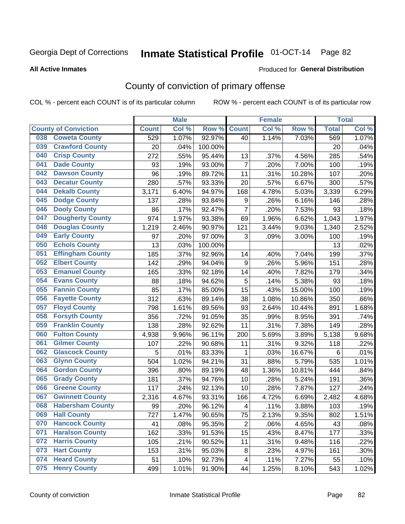#### **All Active Inmates**

#### Produced for **General Distribution**

## County of conviction of primary offense

|     |                             |              | <b>Male</b> |         |                         | <b>Female</b> |        |              | <b>Total</b> |
|-----|-----------------------------|--------------|-------------|---------|-------------------------|---------------|--------|--------------|--------------|
|     | <b>County of Conviction</b> | <b>Count</b> | Col %       | Row %   | <b>Count</b>            | Col %         | Row %  | <b>Total</b> | Col %        |
| 038 | <b>Coweta County</b>        | 529          | 1.07%       | 92.97%  | 40                      | 1.14%         | 7.03%  | 569          | 1.07%        |
| 039 | <b>Crawford County</b>      | 20           | .04%        | 100.00% |                         |               |        | 20           | .04%         |
| 040 | <b>Crisp County</b>         | 272          | .55%        | 95.44%  | 13                      | .37%          | 4.56%  | 285          | .54%         |
| 041 | <b>Dade County</b>          | 93           | .19%        | 93.00%  | $\overline{7}$          | .20%          | 7.00%  | 100          | .19%         |
| 042 | <b>Dawson County</b>        | 96           | .19%        | 89.72%  | 11                      | .31%          | 10.28% | 107          | .20%         |
| 043 | <b>Decatur County</b>       | 280          | .57%        | 93.33%  | 20                      | .57%          | 6.67%  | 300          | .57%         |
| 044 | <b>Dekalb County</b>        | 3,171        | 6.40%       | 94.97%  | 168                     | 4.78%         | 5.03%  | 3,339        | 6.29%        |
| 045 | <b>Dodge County</b>         | 137          | .28%        | 93.84%  | $\boldsymbol{9}$        | .26%          | 6.16%  | 146          | .28%         |
| 046 | <b>Dooly County</b>         | 86           | .17%        | 92.47%  | $\overline{7}$          | .20%          | 7.53%  | 93           | .18%         |
| 047 | <b>Dougherty County</b>     | 974          | 1.97%       | 93.38%  | 69                      | 1.96%         | 6.62%  | 1,043        | 1.97%        |
| 048 | <b>Douglas County</b>       | 1,219        | 2.46%       | 90.97%  | 121                     | 3.44%         | 9.03%  | 1,340        | 2.52%        |
| 049 | <b>Early County</b>         | 97           | .20%        | 97.00%  | 3                       | .09%          | 3.00%  | 100          | .19%         |
| 050 | <b>Echols County</b>        | 13           | .03%        | 100.00% |                         |               |        | 13           | .02%         |
| 051 | <b>Effingham County</b>     | 185          | .37%        | 92.96%  | 14                      | .40%          | 7.04%  | 199          | .37%         |
| 052 | <b>Elbert County</b>        | 142          | .29%        | 94.04%  | $9\,$                   | .26%          | 5.96%  | 151          | .28%         |
| 053 | <b>Emanuel County</b>       | 165          | .33%        | 92.18%  | 14                      | .40%          | 7.82%  | 179          | .34%         |
| 054 | <b>Evans County</b>         | 88           | .18%        | 94.62%  | 5                       | .14%          | 5.38%  | 93           | .18%         |
| 055 | <b>Fannin County</b>        | 85           | .17%        | 85.00%  | 15                      | .43%          | 15.00% | 100          | .19%         |
| 056 | <b>Fayette County</b>       | 312          | .63%        | 89.14%  | 38                      | 1.08%         | 10.86% | 350          | .66%         |
| 057 | <b>Floyd County</b>         | 798          | 1.61%       | 89.56%  | 93                      | 2.64%         | 10.44% | 891          | 1.68%        |
| 058 | <b>Forsyth County</b>       | 356          | .72%        | 91.05%  | 35                      | .99%          | 8.95%  | 391          | .74%         |
| 059 | <b>Franklin County</b>      | 138          | .28%        | 92.62%  | 11                      | .31%          | 7.38%  | 149          | .28%         |
| 060 | <b>Fulton County</b>        | 4,938        | 9.96%       | 96.11%  | 200                     | 5.69%         | 3.89%  | 5,138        | 9.68%        |
| 061 | <b>Gilmer County</b>        | 107          | .22%        | 90.68%  | 11                      | .31%          | 9.32%  | 118          | .22%         |
| 062 | <b>Glascock County</b>      | 5            | .01%        | 83.33%  | $\mathbf 1$             | .03%          | 16.67% | $\,6$        | $.01\%$      |
| 063 | <b>Glynn County</b>         | 504          | 1.02%       | 94.21%  | 31                      | .88%          | 5.79%  | 535          | 1.01%        |
| 064 | <b>Gordon County</b>        | 396          | .80%        | 89.19%  | 48                      | 1.36%         | 10.81% | 444          | .84%         |
| 065 | <b>Grady County</b>         | 181          | .37%        | 94.76%  | 10                      | .28%          | 5.24%  | 191          | .36%         |
| 066 | <b>Greene County</b>        | 117          | .24%        | 92.13%  | 10                      | .28%          | 7.87%  | 127          | .24%         |
| 067 | <b>Gwinnett County</b>      | 2,316        | 4.67%       | 93.31%  | 166                     | 4.72%         | 6.69%  | 2,482        | 4.68%        |
| 068 | <b>Habersham County</b>     | 99           | .20%        | 96.12%  | $\overline{\mathbf{4}}$ | .11%          | 3.88%  | 103          | .19%         |
| 069 | <b>Hall County</b>          | 727          | 1.47%       | 90.65%  | 75                      | 2.13%         | 9.35%  | 802          | 1.51%        |
| 070 | <b>Hancock County</b>       | 41           | .08%        | 95.35%  | $\overline{2}$          | .06%          | 4.65%  | 43           | .08%         |
| 071 | <b>Haralson County</b>      | 162          | .33%        | 91.53%  | 15                      | .43%          | 8.47%  | 177          | .33%         |
| 072 | <b>Harris County</b>        | 105          | .21%        | 90.52%  | 11                      | .31%          | 9.48%  | 116          | .22%         |
| 073 | <b>Hart County</b>          | 153          | .31%        | 95.03%  | 8                       | .23%          | 4.97%  | 161          | .30%         |
| 074 | <b>Heard County</b>         | 51           | .10%        | 92.73%  | $\overline{4}$          | .11%          | 7.27%  | 55           | .10%         |
| 075 | <b>Henry County</b>         | 499          | 1.01%       | 91.90%  | 44                      | 1.25%         | 8.10%  | 543          | 1.02%        |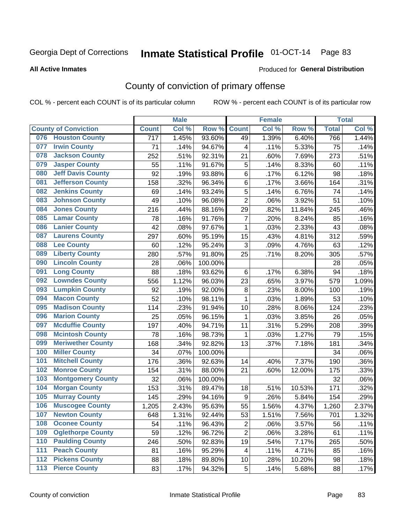#### **All Active Inmates**

#### Produced for **General Distribution**

## County of conviction of primary offense

|                  |                             |              | <b>Male</b> |         |                  | <b>Female</b> |        |              | <b>Total</b> |
|------------------|-----------------------------|--------------|-------------|---------|------------------|---------------|--------|--------------|--------------|
|                  | <b>County of Conviction</b> | <b>Count</b> | Col %       | Row %   | <b>Count</b>     | Col %         | Row %  | <b>Total</b> | Col %        |
|                  | 076 Houston County          | 717          | 1.45%       | 93.60%  | 49               | 1.39%         | 6.40%  | 766          | 1.44%        |
| 077              | <b>Irwin County</b>         | 71           | .14%        | 94.67%  | 4                | .11%          | 5.33%  | 75           | .14%         |
| 078              | <b>Jackson County</b>       | 252          | .51%        | 92.31%  | 21               | .60%          | 7.69%  | 273          | .51%         |
| 079              | <b>Jasper County</b>        | 55           | .11%        | 91.67%  | 5                | .14%          | 8.33%  | 60           | .11%         |
| 080              | <b>Jeff Davis County</b>    | 92           | .19%        | 93.88%  | 6                | .17%          | 6.12%  | 98           | .18%         |
| 081              | <b>Jefferson County</b>     | 158          | .32%        | 96.34%  | 6                | .17%          | 3.66%  | 164          | .31%         |
| 082              | <b>Jenkins County</b>       | 69           | .14%        | 93.24%  | 5                | .14%          | 6.76%  | 74           | .14%         |
| 083              | <b>Johnson County</b>       | 49           | .10%        | 96.08%  | $\overline{2}$   | .06%          | 3.92%  | 51           | .10%         |
| 084              | <b>Jones County</b>         | 216          | .44%        | 88.16%  | 29               | .82%          | 11.84% | 245          | .46%         |
| 085              | <b>Lamar County</b>         | 78           | .16%        | 91.76%  | $\overline{7}$   | .20%          | 8.24%  | 85           | .16%         |
| 086              | <b>Lanier County</b>        | 42           | .08%        | 97.67%  | 1                | .03%          | 2.33%  | 43           | .08%         |
| 087              | <b>Laurens County</b>       | 297          | .60%        | 95.19%  | 15               | .43%          | 4.81%  | 312          | .59%         |
| 088              | <b>Lee County</b>           | 60           | .12%        | 95.24%  | 3                | .09%          | 4.76%  | 63           | .12%         |
| 089              | <b>Liberty County</b>       | 280          | .57%        | 91.80%  | 25               | .71%          | 8.20%  | 305          | .57%         |
| 090              | <b>Lincoln County</b>       | 28           | .06%        | 100.00% |                  |               |        | 28           | .05%         |
| 091              | <b>Long County</b>          | 88           | .18%        | 93.62%  | 6                | .17%          | 6.38%  | 94           | .18%         |
| 092              | <b>Lowndes County</b>       | 556          | 1.12%       | 96.03%  | 23               | .65%          | 3.97%  | 579          | 1.09%        |
| 093              | <b>Lumpkin County</b>       | 92           | .19%        | 92.00%  | 8                | .23%          | 8.00%  | 100          | .19%         |
| 094              | <b>Macon County</b>         | 52           | .10%        | 98.11%  | $\mathbf{1}$     | .03%          | 1.89%  | 53           | .10%         |
| 095              | <b>Madison County</b>       | 114          | .23%        | 91.94%  | 10               | .28%          | 8.06%  | 124          | .23%         |
| 096              | <b>Marion County</b>        | 25           | .05%        | 96.15%  | $\mathbf{1}$     | .03%          | 3.85%  | 26           | .05%         |
| 097              | <b>Mcduffie County</b>      | 197          | .40%        | 94.71%  | 11               | .31%          | 5.29%  | 208          | .39%         |
| 098              | <b>Mcintosh County</b>      | 78           | .16%        | 98.73%  | 1                | .03%          | 1.27%  | 79           | .15%         |
| 099              | <b>Meriwether County</b>    | 168          | .34%        | 92.82%  | 13               | .37%          | 7.18%  | 181          | .34%         |
| 100              | <b>Miller County</b>        | 34           | .07%        | 100.00% |                  |               |        | 34           | .06%         |
| 101              | <b>Mitchell County</b>      | 176          | .36%        | 92.63%  | 14               | .40%          | 7.37%  | 190          | .36%         |
| 102              | <b>Monroe County</b>        | 154          | .31%        | 88.00%  | 21               | .60%          | 12.00% | 175          | .33%         |
| 103              | <b>Montgomery County</b>    | 32           | .06%        | 100.00% |                  |               |        | 32           | .06%         |
| 104              | <b>Morgan County</b>        | 153          | .31%        | 89.47%  | 18               | .51%          | 10.53% | 171          | .32%         |
| 105              | <b>Murray County</b>        | 145          | .29%        | 94.16%  | $\boldsymbol{9}$ | .26%          | 5.84%  | 154          | .29%         |
| 106              | <b>Muscogee County</b>      | 1,205        | 2.43%       | 95.63%  | 55               | 1.56%         | 4.37%  | 1,260        | 2.37%        |
| 107              | <b>Newton County</b>        | 648          | 1.31%       | 92.44%  | 53               | 1.51%         | 7.56%  | 701          | 1.32%        |
| 108              | <b>Oconee County</b>        | 54           | .11%        | 96.43%  | 2                | .06%          | 3.57%  | 56           | .11%         |
| 109              | <b>Oglethorpe County</b>    | 59           | .12%        | 96.72%  | $\overline{c}$   | .06%          | 3.28%  | 61           | .11%         |
| 110              | <b>Paulding County</b>      | 246          | .50%        | 92.83%  | 19               | .54%          | 7.17%  | 265          | .50%         |
| 111              | <b>Peach County</b>         | 81           | .16%        | 95.29%  | 4                | .11%          | 4.71%  | 85           | .16%         |
| $\overline{112}$ | <b>Pickens County</b>       | 88           | .18%        | 89.80%  | 10               | .28%          | 10.20% | 98           | .18%         |
| 113              | <b>Pierce County</b>        | 83           | .17%        | 94.32%  | 5                | .14%          | 5.68%  | 88           | .17%         |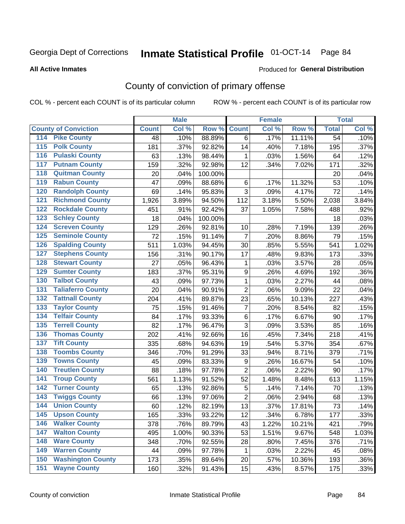#### **All Active Inmates**

#### Produced for **General Distribution**

## County of conviction of primary offense

|                                          |              | <b>Male</b> |         |                | <b>Female</b> |        |                 | <b>Total</b> |
|------------------------------------------|--------------|-------------|---------|----------------|---------------|--------|-----------------|--------------|
| <b>County of Conviction</b>              | <b>Count</b> | Col %       | Row %   | <b>Count</b>   | Col %         | Row %  | <b>Total</b>    | Col %        |
| <b>Pike County</b><br>114                | 48           | .10%        | 88.89%  | 6              | .17%          | 11.11% | $\overline{54}$ | .10%         |
| <b>Polk County</b><br>$\overline{115}$   | 181          | .37%        | 92.82%  | 14             | .40%          | 7.18%  | 195             | .37%         |
| <b>Pulaski County</b><br>116             | 63           | .13%        | 98.44%  | 1              | .03%          | 1.56%  | 64              | .12%         |
| <b>Putnam County</b><br>117              | 159          | .32%        | 92.98%  | 12             | .34%          | 7.02%  | 171             | .32%         |
| <b>Quitman County</b><br>118             | 20           | .04%        | 100.00% |                |               |        | 20              | .04%         |
| <b>Rabun County</b><br>119               | 47           | .09%        | 88.68%  | 6              | .17%          | 11.32% | 53              | .10%         |
| <b>Randolph County</b><br>120            | 69           | .14%        | 95.83%  | 3              | .09%          | 4.17%  | 72              | .14%         |
| <b>Richmond County</b><br>121            | 1,926        | 3.89%       | 94.50%  | 112            | 3.18%         | 5.50%  | 2,038           | 3.84%        |
| <b>Rockdale County</b><br>122            | 451          | .91%        | 92.42%  | 37             | 1.05%         | 7.58%  | 488             | .92%         |
| <b>Schley County</b><br>123              | 18           | .04%        | 100.00% |                |               |        | 18              | .03%         |
| <b>Screven County</b><br>124             | 129          | .26%        | 92.81%  | 10             | .28%          | 7.19%  | 139             | .26%         |
| <b>Seminole County</b><br>125            | 72           | .15%        | 91.14%  | $\overline{7}$ | .20%          | 8.86%  | 79              | .15%         |
| <b>Spalding County</b><br>126            | 511          | 1.03%       | 94.45%  | 30             | .85%          | 5.55%  | 541             | 1.02%        |
| <b>Stephens County</b><br>127            | 156          | .31%        | 90.17%  | 17             | .48%          | 9.83%  | 173             | .33%         |
| <b>Stewart County</b><br>128             | 27           | .05%        | 96.43%  | 1              | .03%          | 3.57%  | 28              | .05%         |
| <b>Sumter County</b><br>129              | 183          | .37%        | 95.31%  | 9              | .26%          | 4.69%  | 192             | .36%         |
| <b>Talbot County</b><br>130              | 43           | .09%        | 97.73%  | 1              | .03%          | 2.27%  | 44              | .08%         |
| <b>Taliaferro County</b><br>131          | 20           | .04%        | 90.91%  | $\overline{2}$ | .06%          | 9.09%  | 22              | .04%         |
| <b>Tattnall County</b><br>132            | 204          | .41%        | 89.87%  | 23             | .65%          | 10.13% | 227             | .43%         |
| <b>Taylor County</b><br>133              | 75           | .15%        | 91.46%  | $\overline{7}$ | .20%          | 8.54%  | 82              | .15%         |
| <b>Telfair County</b><br>134             | 84           | .17%        | 93.33%  | 6              | .17%          | 6.67%  | 90              | .17%         |
| <b>Terrell County</b><br>135             | 82           | .17%        | 96.47%  | 3              | .09%          | 3.53%  | 85              | .16%         |
| <b>Thomas County</b><br>136              | 202          | .41%        | 92.66%  | 16             | .45%          | 7.34%  | 218             | .41%         |
| <b>Tift County</b><br>137                | 335          | .68%        | 94.63%  | 19             | .54%          | 5.37%  | 354             | .67%         |
| <b>Toombs County</b><br>138              | 346          | .70%        | 91.29%  | 33             | .94%          | 8.71%  | 379             | .71%         |
| <b>Towns County</b><br>139               | 45           | .09%        | 83.33%  | 9              | .26%          | 16.67% | 54              | .10%         |
| <b>Treutlen County</b><br>140            | 88           | .18%        | 97.78%  | $\overline{2}$ | .06%          | 2.22%  | 90              | .17%         |
| <b>Troup County</b><br>141               | 561          | 1.13%       | 91.52%  | 52             | 1.48%         | 8.48%  | 613             | 1.15%        |
| <b>Turner County</b><br>142              | 65           | .13%        | 92.86%  | 5              | .14%          | 7.14%  | 70              | .13%         |
| <b>Twiggs County</b><br>$\overline{143}$ | 66           | .13%        | 97.06%  | $\overline{2}$ | .06%          | 2.94%  | 68              | .13%         |
| <b>Union County</b><br>144               | 60           | .12%        | 82.19%  | 13             | .37%          | 17.81% | 73              | .14%         |
| 145<br><b>Upson County</b>               | 165          | .33%        | 93.22%  | 12             | .34%          | 6.78%  | 177             | .33%         |
| <b>Walker County</b><br>146              | 378          | .76%        | 89.79%  | 43             | 1.22%         | 10.21% | 421             | .79%         |
| <b>Walton County</b><br>147              | 495          | 1.00%       | 90.33%  | 53             | 1.51%         | 9.67%  | 548             | 1.03%        |
| <b>Ware County</b><br>148                | 348          | .70%        | 92.55%  | 28             | .80%          | 7.45%  | 376             | .71%         |
| <b>Warren County</b><br>149              | 44           | .09%        | 97.78%  | 1              | .03%          | 2.22%  | 45              | .08%         |
| <b>Washington County</b><br>150          | 173          | .35%        | 89.64%  | 20             | .57%          | 10.36% | 193             | .36%         |
| <b>Wayne County</b><br>151               | 160          | .32%        | 91.43%  | 15             | .43%          | 8.57%  | 175             | .33%         |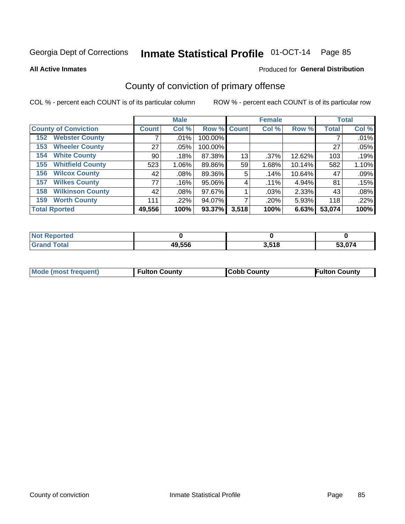**All Active Inmates**

#### Produced for **General Distribution**

## County of conviction of primary offense

|                                |                    | <b>Male</b> |             |       | <b>Female</b> |        |              | <b>Total</b> |
|--------------------------------|--------------------|-------------|-------------|-------|---------------|--------|--------------|--------------|
| <b>County of Conviction</b>    | Count <sup>!</sup> | Col %       | Row % Count |       | Col %         | Row %  | <b>Total</b> | Col %        |
| <b>Webster County</b><br>152   |                    | .01%        | 100.00%     |       |               |        |              | .01%         |
| <b>Wheeler County</b><br>153   | 27                 | $.05\%$     | 100.00%     |       |               |        | 27           | .05%         |
| <b>White County</b><br>154     | 90                 | .18%        | 87.38%      | 13    | .37%          | 12.62% | 103          | .19%         |
| <b>Whitfield County</b><br>155 | 523                | $1.06\%$    | 89.86%      | 59    | 1.68%         | 10.14% | 582          | 1.10%        |
| <b>Wilcox County</b><br>156    | 42                 | $.08\%$     | 89.36%      | 5     | .14%          | 10.64% | 47           | .09%         |
| <b>Wilkes County</b><br>157    | 77                 | .16%        | 95.06%      | 4     | .11%          | 4.94%  | 81           | .15%         |
| <b>Wilkinson County</b><br>158 | 42                 | .08%        | 97.67%      |       | .03%          | 2.33%  | 43           | .08%         |
| <b>Worth County</b><br>159     | 111                | .22%        | 94.07%      |       | .20%          | 5.93%  | 118          | .22%         |
| <b>Total Rported</b>           | 49,556             | 100%        | 93.37%      | 3,518 | 100%          | 6.63%  | 53,074       | 100%         |

| <b>Not Reported</b> |        |       |        |
|---------------------|--------|-------|--------|
| <b>Grand Total</b>  | 49,556 | 3,518 | 53,074 |

| Mode (most frequent) | <b>Fulton County</b> | <b>Cobb County</b> | <b>Fulton County</b> |
|----------------------|----------------------|--------------------|----------------------|
|                      |                      |                    |                      |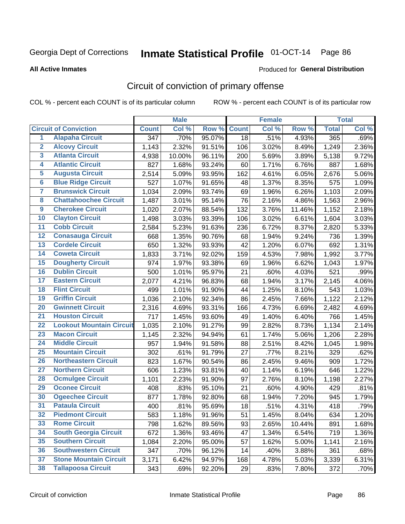#### **All Active Inmates**

#### Produced for **General Distribution**

## Circuit of conviction of primary offense

|                         |                                 |                  | <b>Male</b> |        |              | <b>Female</b> |        |              | <b>Total</b> |
|-------------------------|---------------------------------|------------------|-------------|--------|--------------|---------------|--------|--------------|--------------|
|                         | <b>Circuit of Conviction</b>    | <b>Count</b>     | Col %       | Row %  | <b>Count</b> | Col %         | Row %  | <b>Total</b> | Col %        |
| $\overline{1}$          | <b>Alapaha Circuit</b>          | $\overline{347}$ | .70%        | 95.07% | 18           | .51%          | 4.93%  | 365          | .69%         |
| $\overline{2}$          | <b>Alcovy Circuit</b>           | 1,143            | 2.32%       | 91.51% | 106          | 3.02%         | 8.49%  | 1,249        | 2.36%        |
| 3                       | <b>Atlanta Circuit</b>          | 4,938            | 10.00%      | 96.11% | 200          | 5.69%         | 3.89%  | 5,138        | 9.72%        |
| 4                       | <b>Atlantic Circuit</b>         | 827              | 1.68%       | 93.24% | 60           | 1.71%         | 6.76%  | 887          | 1.68%        |
| 5                       | <b>Augusta Circuit</b>          | 2,514            | 5.09%       | 93.95% | 162          | 4.61%         | 6.05%  | 2,676        | 5.06%        |
| $6\overline{6}$         | <b>Blue Ridge Circuit</b>       | 527              | 1.07%       | 91.65% | 48           | 1.37%         | 8.35%  | 575          | 1.09%        |
| $\overline{\mathbf{7}}$ | <b>Brunswick Circuit</b>        | 1,034            | 2.09%       | 93.74% | 69           | 1.96%         | 6.26%  | 1,103        | 2.09%        |
| 8                       | <b>Chattahoochee Circuit</b>    | 1,487            | 3.01%       | 95.14% | 76           | 2.16%         | 4.86%  | 1,563        | 2.96%        |
| $\overline{9}$          | <b>Cherokee Circuit</b>         | 1,020            | 2.07%       | 88.54% | 132          | 3.76%         | 11.46% | 1,152        | 2.18%        |
| 10                      | <b>Clayton Circuit</b>          | 1,498            | 3.03%       | 93.39% | 106          | 3.02%         | 6.61%  | 1,604        | 3.03%        |
| 11                      | <b>Cobb Circuit</b>             | 2,584            | $5.23\%$    | 91.63% | 236          | 6.72%         | 8.37%  | 2,820        | 5.33%        |
| 12                      | <b>Conasauga Circuit</b>        | 668              | 1.35%       | 90.76% | 68           | 1.94%         | 9.24%  | 736          | 1.39%        |
| 13                      | <b>Cordele Circuit</b>          | 650              | 1.32%       | 93.93% | 42           | 1.20%         | 6.07%  | 692          | 1.31%        |
| 14                      | <b>Coweta Circuit</b>           | 1,833            | 3.71%       | 92.02% | 159          | 4.53%         | 7.98%  | 1,992        | 3.77%        |
| 15                      | <b>Dougherty Circuit</b>        | 974              | 1.97%       | 93.38% | 69           | 1.96%         | 6.62%  | 1,043        | 1.97%        |
| 16                      | <b>Dublin Circuit</b>           | 500              | 1.01%       | 95.97% | 21           | .60%          | 4.03%  | 521          | .99%         |
| 17                      | <b>Eastern Circuit</b>          | 2,077            | 4.21%       | 96.83% | 68           | 1.94%         | 3.17%  | 2,145        | 4.06%        |
| 18                      | <b>Flint Circuit</b>            | 499              | 1.01%       | 91.90% | 44           | 1.25%         | 8.10%  | 543          | 1.03%        |
| 19                      | <b>Griffin Circuit</b>          | 1,036            | 2.10%       | 92.34% | 86           | 2.45%         | 7.66%  | 1,122        | 2.12%        |
| 20                      | <b>Gwinnett Circuit</b>         | 2,316            | 4.69%       | 93.31% | 166          | 4.73%         | 6.69%  | 2,482        | 4.69%        |
| $\overline{21}$         | <b>Houston Circuit</b>          | 717              | 1.45%       | 93.60% | 49           | 1.40%         | 6.40%  | 766          | 1.45%        |
| $\overline{22}$         | <b>Lookout Mountain Circuit</b> | 1,035            | 2.10%       | 91.27% | 99           | 2.82%         | 8.73%  | 1,134        | 2.14%        |
| 23                      | <b>Macon Circuit</b>            | 1,145            | 2.32%       | 94.94% | 61           | 1.74%         | 5.06%  | 1,206        | 2.28%        |
| 24                      | <b>Middle Circuit</b>           | 957              | 1.94%       | 91.58% | 88           | 2.51%         | 8.42%  | 1,045        | 1.98%        |
| 25                      | <b>Mountain Circuit</b>         | 302              | .61%        | 91.79% | 27           | .77%          | 8.21%  | 329          | .62%         |
| 26                      | <b>Northeastern Circuit</b>     | 823              | 1.67%       | 90.54% | 86           | 2.45%         | 9.46%  | 909          | 1.72%        |
| $\overline{27}$         | <b>Northern Circuit</b>         | 606              | 1.23%       | 93.81% | 40           | 1.14%         | 6.19%  | 646          | 1.22%        |
| 28                      | <b>Ocmulgee Circuit</b>         | 1,101            | 2.23%       | 91.90% | 97           | 2.76%         | 8.10%  | 1,198        | 2.27%        |
| 29                      | <b>Oconee Circuit</b>           | 408              | .83%        | 95.10% | 21           | .60%          | 4.90%  | 429          | .81%         |
| 30                      | <b>Ogeechee Circuit</b>         | 877              | 1.78%       | 92.80% | 68           | 1.94%         | 7.20%  | 945          | 1.79%        |
| $\overline{31}$         | <b>Pataula Circuit</b>          | 400              | .81%        | 95.69% | 18           | .51%          | 4.31%  | 418          | .79%         |
| 32                      | <b>Piedmont Circuit</b>         | 583              | 1.18%       | 91.96% | 51           | 1.45%         | 8.04%  | 634          | 1.20%        |
| 33                      | <b>Rome Circuit</b>             | 798              | 1.62%       | 89.56% | 93           | 2.65%         | 10.44% | 891          | 1.68%        |
| 34                      | <b>South Georgia Circuit</b>    | 672              | 1.36%       | 93.46% | 47           | 1.34%         | 6.54%  | 719          | 1.36%        |
| 35                      | <b>Southern Circuit</b>         | 1,084            | 2.20%       | 95.00% | 57           | 1.62%         | 5.00%  | 1,141        | 2.16%        |
| 36                      | <b>Southwestern Circuit</b>     | 347              | .70%        | 96.12% | 14           | .40%          | 3.88%  | 361          | .68%         |
| 37                      | <b>Stone Mountain Circuit</b>   | 3,171            | 6.42%       | 94.97% | 168          | 4.78%         | 5.03%  | 3,339        | 6.31%        |
| 38                      | <b>Tallapoosa Circuit</b>       | 343              | .69%        | 92.20% | 29           | .83%          | 7.80%  | 372          | .70%         |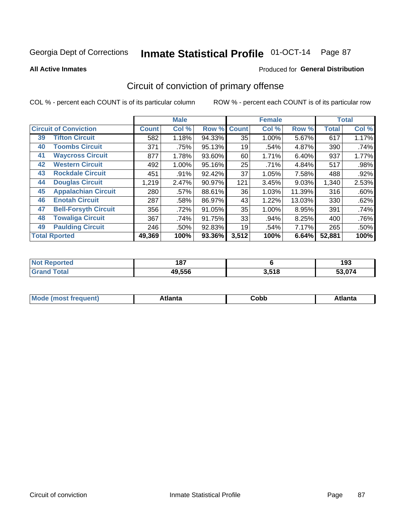**All Active Inmates**

### Produced for **General Distribution**

## Circuit of conviction of primary offense

|                      |                              |              | <b>Male</b> |        |              | <b>Female</b> |        |              | <b>Total</b> |
|----------------------|------------------------------|--------------|-------------|--------|--------------|---------------|--------|--------------|--------------|
|                      | <b>Circuit of Conviction</b> | <b>Count</b> | Col %       | Row %  | <b>Count</b> | Col %         | Row %  | <b>Total</b> | Col %        |
| 39                   | <b>Tifton Circuit</b>        | 582          | 1.18%       | 94.33% | 35           | 1.00%         | 5.67%  | 617          | 1.17%        |
| 40                   | <b>Toombs Circuit</b>        | 371          | .75%        | 95.13% | 19           | .54%          | 4.87%  | 390          | .74%         |
| 41                   | <b>Waycross Circuit</b>      | 877          | 1.78%       | 93.60% | 60           | 1.71%         | 6.40%  | 937          | 1.77%        |
| 42                   | <b>Western Circuit</b>       | 492          | 1.00%       | 95.16% | 25           | .71%          | 4.84%  | 517          | .98%         |
| 43                   | <b>Rockdale Circuit</b>      | 451          | $.91\%$     | 92.42% | 37           | 1.05%         | 7.58%  | 488          | .92%         |
| 44                   | <b>Douglas Circuit</b>       | 1,219        | 2.47%       | 90.97% | 121          | 3.45%         | 9.03%  | 1,340        | 2.53%        |
| 45                   | <b>Appalachian Circuit</b>   | 280          | .57%        | 88.61% | 36           | 1.03%         | 11.39% | 316          | .60%         |
| 46                   | <b>Enotah Circuit</b>        | 287          | .58%        | 86.97% | 43           | 1.22%         | 13.03% | 330          | .62%         |
| 47                   | <b>Bell-Forsyth Circuit</b>  | 356          | .72%        | 91.05% | 35           | 1.00%         | 8.95%  | 391          | .74%         |
| 48                   | <b>Towaliga Circuit</b>      | 367          | .74%        | 91.75% | 33           | .94%          | 8.25%  | 400          | .76%         |
| 49                   | <b>Paulding Circuit</b>      | 246          | .50%        | 92.83% | 19           | .54%          | 7.17%  | 265          | .50%         |
| <b>Total Rported</b> |                              | 49,369       | 100%        | 93.36% | 3,512        | 100%          | 6.64%  | 52,881       | 100%         |

| rted | 187    |       | 193 |
|------|--------|-------|-----|
|      | 49,556 | 3,518 | .   |

| M | . | ----<br>oг  | ----<br>пLс |
|---|---|-------------|-------------|
|   |   | <b>OUNN</b> |             |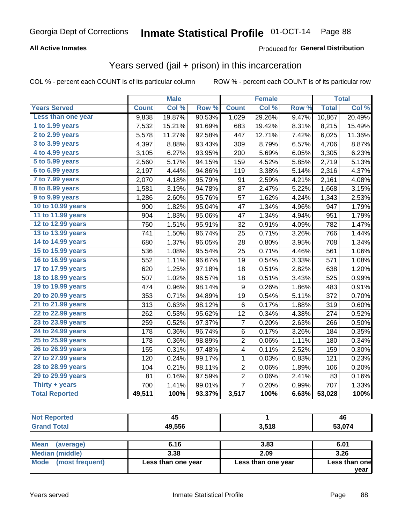### **All Active Inmates**

### Produced for **General Distribution**

### Years served (jail + prison) in this incarceration

|                              |              | <b>Male</b> |        |                         | <b>Female</b> |       |              | <b>Total</b> |
|------------------------------|--------------|-------------|--------|-------------------------|---------------|-------|--------------|--------------|
| <b>Years Served</b>          | <b>Count</b> | Col %       | Row %  | <b>Count</b>            | Col %         | Row % | <b>Total</b> | Col %        |
| Less than one year           | 9,838        | 19.87%      | 90.53% | 1,029                   | 29.26%        | 9.47% | 10,867       | 20.49%       |
| 1 to 1.99 years              | 7,532        | 15.21%      | 91.69% | 683                     | 19.42%        | 8.31% | 8,215        | 15.49%       |
| 2 to 2.99 years              | 5,578        | 11.27%      | 92.58% | 447                     | 12.71%        | 7.42% | 6,025        | 11.36%       |
| $3$ to $3.99$ years          | 4,397        | 8.88%       | 93.43% | 309                     | 8.79%         | 6.57% | 4,706        | 8.87%        |
| $\overline{4}$ to 4.99 years | 3,105        | 6.27%       | 93.95% | 200                     | 5.69%         | 6.05% | 3,305        | 6.23%        |
| $\overline{5}$ to 5.99 years | 2,560        | 5.17%       | 94.15% | 159                     | 4.52%         | 5.85% | 2,719        | 5.13%        |
| $6$ to $6.99$ years          | 2,197        | 4.44%       | 94.86% | 119                     | 3.38%         | 5.14% | 2,316        | 4.37%        |
| 7 to 7.99 years              | 2,070        | 4.18%       | 95.79% | 91                      | 2.59%         | 4.21% | 2,161        | 4.08%        |
| 8 to 8.99 years              | 1,581        | 3.19%       | 94.78% | 87                      | 2.47%         | 5.22% | 1,668        | 3.15%        |
| 9 to 9.99 years              | 1,286        | 2.60%       | 95.76% | 57                      | 1.62%         | 4.24% | 1,343        | 2.53%        |
| 10 to 10.99 years            | 900          | 1.82%       | 95.04% | 47                      | 1.34%         | 4.96% | 947          | 1.79%        |
| 11 to 11.99 years            | 904          | 1.83%       | 95.06% | 47                      | 1.34%         | 4.94% | 951          | 1.79%        |
| 12 to 12.99 years            | 750          | 1.51%       | 95.91% | 32                      | 0.91%         | 4.09% | 782          | 1.47%        |
| 13 to 13.99 years            | 741          | 1.50%       | 96.74% | 25                      | 0.71%         | 3.26% | 766          | 1.44%        |
| 14 to 14.99 years            | 680          | 1.37%       | 96.05% | 28                      | 0.80%         | 3.95% | 708          | 1.34%        |
| 15 to 15.99 years            | 536          | 1.08%       | 95.54% | 25                      | 0.71%         | 4.46% | 561          | 1.06%        |
| 16 to 16.99 years            | 552          | 1.11%       | 96.67% | 19                      | 0.54%         | 3.33% | 571          | 1.08%        |
| 17 to 17.99 years            | 620          | 1.25%       | 97.18% | 18                      | 0.51%         | 2.82% | 638          | 1.20%        |
| 18 to 18.99 years            | 507          | 1.02%       | 96.57% | 18                      | 0.51%         | 3.43% | 525          | 0.99%        |
| 19 to 19.99 years            | 474          | 0.96%       | 98.14% | $\boldsymbol{9}$        | 0.26%         | 1.86% | 483          | 0.91%        |
| 20 to 20.99 years            | 353          | 0.71%       | 94.89% | 19                      | 0.54%         | 5.11% | 372          | 0.70%        |
| 21 to 21.99 years            | 313          | 0.63%       | 98.12% | $\,6$                   | 0.17%         | 1.88% | 319          | 0.60%        |
| 22 to 22.99 years            | 262          | 0.53%       | 95.62% | 12                      | 0.34%         | 4.38% | 274          | 0.52%        |
| 23 to 23.99 years            | 259          | 0.52%       | 97.37% | 7                       | 0.20%         | 2.63% | 266          | 0.50%        |
| 24 to 24.99 years            | 178          | 0.36%       | 96.74% | 6                       | 0.17%         | 3.26% | 184          | 0.35%        |
| 25 to 25.99 years            | 178          | 0.36%       | 98.89% | $\overline{\mathbf{c}}$ | 0.06%         | 1.11% | 180          | 0.34%        |
| 26 to 26.99 years            | 155          | 0.31%       | 97.48% | 4                       | 0.11%         | 2.52% | 159          | 0.30%        |
| 27 to 27.99 years            | 120          | 0.24%       | 99.17% | 1                       | 0.03%         | 0.83% | 121          | 0.23%        |
| 28 to 28.99 years            | 104          | 0.21%       | 98.11% | $\overline{c}$          | 0.06%         | 1.89% | 106          | 0.20%        |
| 29 to 29.99 years            | 81           | 0.16%       | 97.59% | $\overline{c}$          | 0.06%         | 2.41% | 83           | 0.16%        |
| Thirty + years               | 700          | 1.41%       | 99.01% | $\overline{7}$          | 0.20%         | 0.99% | 707          | 1.33%        |
| <b>Total Reported</b>        | 49,511       | 100%        | 93.37% | 3,517                   | 100%          | 6.63% | 53,028       | 100%         |

| . .<br>тес                            | . .<br>-45 |       | 46  |
|---------------------------------------|------------|-------|-----|
| T <sub>ofol</sub><br><b>C Example</b> | 49,556     | 3,518 | 074 |
|                                       |            |       |     |

| Mean<br>(average)      | 6.16               | 3.83               | 6.01          |
|------------------------|--------------------|--------------------|---------------|
| <b>Median (middle)</b> | 3.38               | 2.09               | 3.26          |
| Mode (most frequent)   | Less than one year | Less than one year | Less than one |
|                        |                    |                    | year          |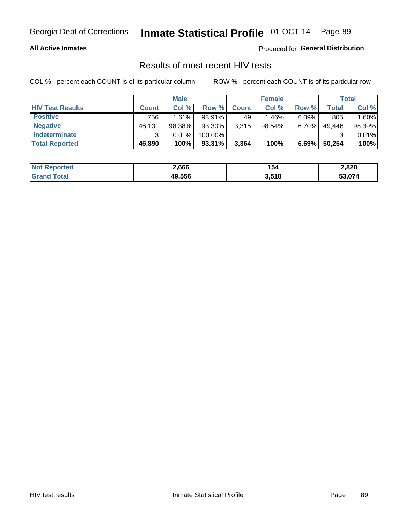### **All Active Inmates**

Produced for **General Distribution**

### Results of most recent HIV tests

|                         |              | <b>Male</b> |         |              | <b>Female</b> |          |        | <b>Total</b> |
|-------------------------|--------------|-------------|---------|--------------|---------------|----------|--------|--------------|
| <b>HIV Test Results</b> | <b>Count</b> | Col %       | Row %I  | <b>Count</b> | Col %         | Row %    | Total  | Col %        |
| <b>Positive</b>         | 756          | 1.61%       | 93.91%  | 49           | 1.46%         | $6.09\%$ | 805    | 1.60%        |
| <b>Negative</b>         | 46,131       | 98.38%      | 93.30%  | 3,315        | 98.54%        | 6.70%    | 49,446 | 98.39%       |
| <b>Indeterminate</b>    | ີ            | 0.01%       | 100.00% |              |               |          |        | 0.01%        |
| <b>Total Reported</b>   | 46,890       | 100%        | 93.31%  | 3,364        | 100%          | 6.69%    | 50,254 | 100%         |

| <b>Not Reported</b>     | 2,666  | 154   | 2,820  |
|-------------------------|--------|-------|--------|
| <b>Total</b><br>' Grand | 49,556 | 3,518 | 53.074 |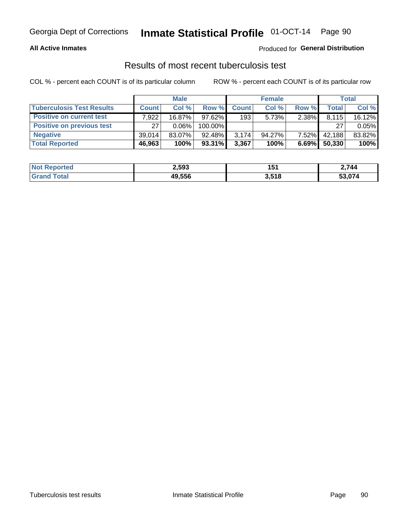### **All Active Inmates**

### Produced for **General Distribution**

### Results of most recent tuberculosis test

|                                  | <b>Male</b>  |           |           | <b>Female</b> |        |          | Total  |        |
|----------------------------------|--------------|-----------|-----------|---------------|--------|----------|--------|--------|
| <b>Tuberculosis Test Results</b> | <b>Count</b> | Col%      | Row %I    | <b>Count</b>  | Col%   | Row %    | Total  | Col %  |
| <b>Positive on current test</b>  | .922         | $16.87\%$ | $97.62\%$ | 193           | 5.73%  | 2.38%    | 8,115  | 16.12% |
| <b>Positive on previous test</b> | 27           | $0.06\%$  | 100.00%   |               |        |          | 27     | 0.05%  |
| <b>Negative</b>                  | 39.014       | $83.07\%$ | 92.48%    | 3,174         | 94.27% | $7.52\%$ | 42,188 | 83.82% |
| <b>Total Reported</b>            | 46,963       | 100%      | $93.31\%$ | 3,367         | 100%   | 6.69%    | 50,330 | 100%   |

| <b>Not Reported</b> | 2,593  | 151   | 2,744 |
|---------------------|--------|-------|-------|
| ™otal               | 49,556 | 3,518 | - 571 |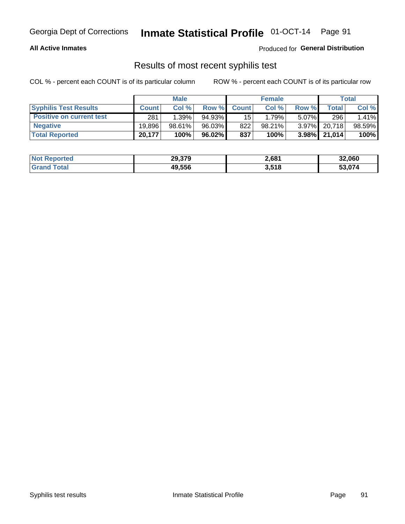### **All Active Inmates**

Produced for **General Distribution**

### Results of most recent syphilis test

|                                 | <b>Male</b>  |          |           | <b>Female</b>   |        |          | Total           |        |
|---------------------------------|--------------|----------|-----------|-----------------|--------|----------|-----------------|--------|
| <b>Syphilis Test Results</b>    | <b>Count</b> | Col%     | Row %     | <b>Count</b>    | Col %  | Row %    | Total I         | Col %  |
| <b>Positive on current test</b> | 281          | $1.39\%$ | $94.93\%$ | 15 <sup>1</sup> | 1.79%  | $5.07\%$ | 296             | 1.41%  |
| <b>Negative</b>                 | 19.896       | 98.61%   | 96.03%    | 822             | 98.21% | $3.97\%$ | 20.718          | 98.59% |
| <b>Total Reported</b>           | 20,177       | 100%     | $96.02\%$ | 837             | 100%   |          | $3.98\%$ 21,014 | 100%   |

| <b>Not Reported</b> | 29,379 | 2,681 | 32,060 |
|---------------------|--------|-------|--------|
| <b>Grand Total</b>  | 49.556 | 3,518 | 53,074 |